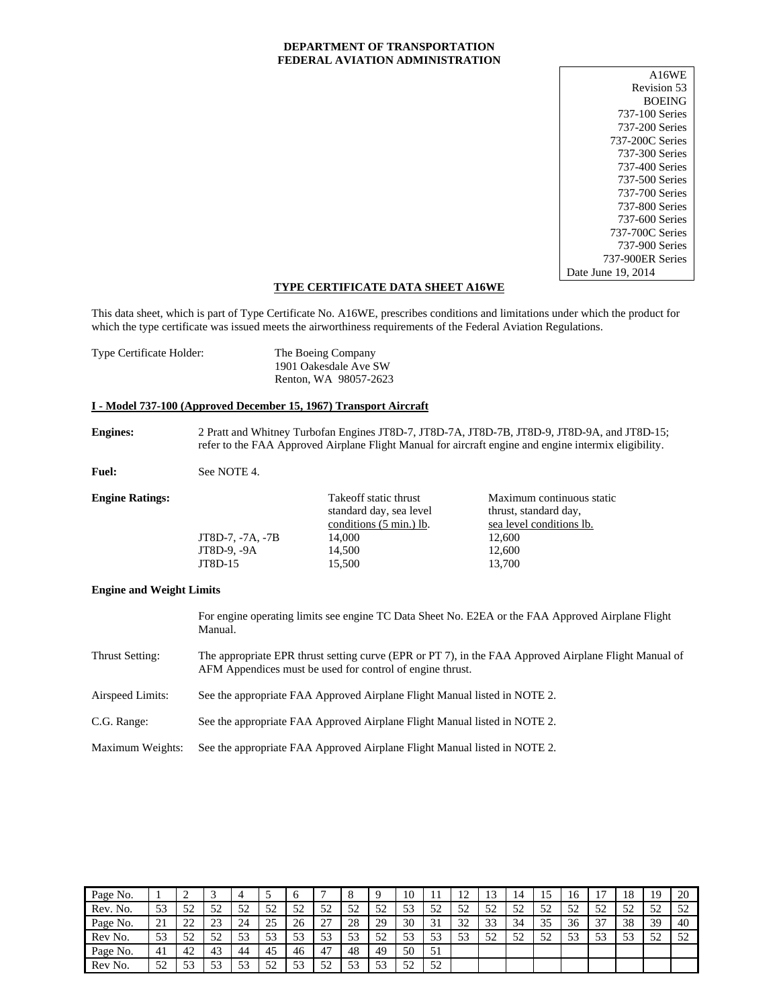### **DEPARTMENT OF TRANSPORTATION FEDERAL AVIATION ADMINISTRATION**

| A16WE              |
|--------------------|
| Revision 53        |
| <b>BOEING</b>      |
| 737-100 Series     |
| 737-200 Series     |
| 737-200C Series    |
| 737-300 Series     |
| 737-400 Series     |
| 737-500 Series     |
| 737-700 Series     |
| 737-800 Series     |
| 737-600 Series     |
| 737-700C Series    |
| 737-900 Series     |
| 737-900ER Series   |
| Date June 19, 2014 |

### **TYPE CERTIFICATE DATA SHEET A16WE**

This data sheet, which is part of Type Certificate No. A16WE, prescribes conditions and limitations under which the product for which the type certificate was issued meets the airworthiness requirements of the Federal Aviation Regulations.

| Type Certificate Holder: | The Boeing Company    |
|--------------------------|-----------------------|
|                          | 1901 Oakesdale Ave SW |
|                          | Renton, WA 98057-2623 |

### **I - Model 737-100 (Approved December 15, 1967) Transport Aircraft**

**Engines:** 2 Pratt and Whitney Turbofan Engines JT8D-7, JT8D-7A, JT8D-7B, JT8D-9, JT8D-9A, and JT8D-15; refer to the FAA Approved Airplane Flight Manual for aircraft engine and engine intermix eligibility.

Fuel: See NOTE 4.

| <b>Engine Ratings:</b> |                  | Take off static thrust<br>standard day, sea level<br>conditions (5 min.) lb. | Maximum continuous static<br>thrust, standard day,<br>sea level conditions lb. |
|------------------------|------------------|------------------------------------------------------------------------------|--------------------------------------------------------------------------------|
|                        | JT8D-7, -7A, -7B | 14,000                                                                       | 12.600                                                                         |
|                        | JT8D-9, -9A      | 14,500                                                                       | 12.600                                                                         |
|                        | JT8D-15          | 15,500                                                                       | 13.700                                                                         |
|                        |                  |                                                                              |                                                                                |

### **Engine and Weight Limits**

For engine operating limits see engine TC Data Sheet No. E2EA or the FAA Approved Airplane Flight Manual. Thrust Setting: The appropriate EPR thrust setting curve (EPR or PT 7), in the FAA Approved Airplane Flight Manual of AFM Appendices must be used for control of engine thrust. Airspeed Limits: See the appropriate FAA Approved Airplane Flight Manual listed in NOTE 2. C.G. Range: See the appropriate FAA Approved Airplane Flight Manual listed in NOTE 2. Maximum Weights: See the appropriate FAA Approved Airplane Flight Manual listed in NOTE 2.

| Page No. |           | ∼                  | $\sim$    |    |           |    |           | $\circ$   |           | 10        |           | $1^{\circ}$<br>$\overline{1}$ |             | 14        | 15 | 16 |           | 18 | 19        | 20        |
|----------|-----------|--------------------|-----------|----|-----------|----|-----------|-----------|-----------|-----------|-----------|-------------------------------|-------------|-----------|----|----|-----------|----|-----------|-----------|
| Rev. No. | 53        | 52<br>ے ر          | 52        | 50 | 52<br>ے ر | 52 | 52        | 52<br>ے ر | 52        | 53        | 52<br>ے ر | 52                            | 52<br>ے ر   | 52<br>ے ر | 52 | 52 | 52<br>ے ر | 52 | 52<br>ے ر | 52        |
| Page No. | 21        | $\mathcal{L}$<br>∼ | 23        | 24 | 25        | 26 | つつ<br>. ت | 28        | 29        | 30        | 31<br>JІ  | 32                            | 33          | 34        | 35 | 36 | 37<br>◡   | 38 | 39        | 40        |
| Rev No.  | 53        | 52<br>ے ر          | 52        | 53 | 53        | 53 | 53        | 53        | 52        | 53        | 53        | 53<br>ر ر                     | $5^{\circ}$ | 52<br>ے ر | 52 | 53 | 53        | 53 | 52        | 52<br>ے ر |
| Page No. | 41        | 42                 | 43        | 44 | 45        | 46 | 47        | 48        | 49        | 50        | 51        |                               |             |           |    |    |           |    |           |           |
| Rev No.  | 52<br>ے ر | 53<br>ر_ ر_        | 53<br>ر ر | 53 | 50<br>ے ب | 53 | 50<br>◡   | 52<br>ЭJ  | 53<br>ر ر | 52<br>ے ر | 52<br>ے ر |                               |             |           |    |    |           |    |           |           |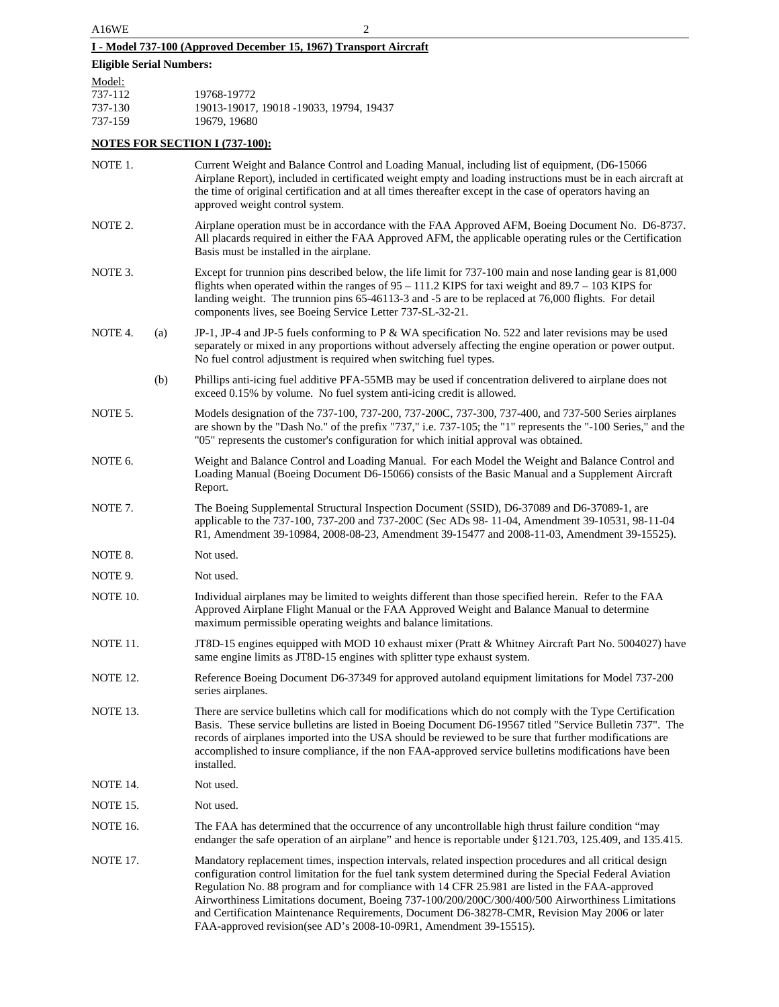# **I - Model 737-100 (Approved December 15, 1967) Transport Aircraft**

# **Eligible Serial Numbers:**

| Model:  |                                         |
|---------|-----------------------------------------|
| 737-112 | 19768-19772                             |
| 737-130 | 19013-19017, 19018 -19033, 19794, 19437 |
| 737-159 | 19679.19680                             |

# **NOTES FOR SECTION I (737-100):**

| NOTE 1.         |     | Current Weight and Balance Control and Loading Manual, including list of equipment, (D6-15066)<br>Airplane Report), included in certificated weight empty and loading instructions must be in each aircraft at<br>the time of original certification and at all times thereafter except in the case of operators having an<br>approved weight control system.                                                                                                                                                                                                                                     |
|-----------------|-----|---------------------------------------------------------------------------------------------------------------------------------------------------------------------------------------------------------------------------------------------------------------------------------------------------------------------------------------------------------------------------------------------------------------------------------------------------------------------------------------------------------------------------------------------------------------------------------------------------|
| NOTE 2.         |     | Airplane operation must be in accordance with the FAA Approved AFM, Boeing Document No. D6-8737.<br>All placards required in either the FAA Approved AFM, the applicable operating rules or the Certification<br>Basis must be installed in the airplane.                                                                                                                                                                                                                                                                                                                                         |
| NOTE 3.         |     | Except for trunnion pins described below, the life limit for 737-100 main and nose landing gear is 81,000<br>flights when operated within the ranges of $95 - 111.2$ KIPS for taxi weight and $89.7 - 103$ KIPS for<br>landing weight. The trunnion pins 65-46113-3 and -5 are to be replaced at 76,000 flights. For detail<br>components lives, see Boeing Service Letter 737-SL-32-21.                                                                                                                                                                                                          |
| NOTE 4.         | (a) | JP-1, JP-4 and JP-5 fuels conforming to P & WA specification No. 522 and later revisions may be used<br>separately or mixed in any proportions without adversely affecting the engine operation or power output.<br>No fuel control adjustment is required when switching fuel types.                                                                                                                                                                                                                                                                                                             |
|                 | (b) | Phillips anti-icing fuel additive PFA-55MB may be used if concentration delivered to airplane does not<br>exceed 0.15% by volume. No fuel system anti-icing credit is allowed.                                                                                                                                                                                                                                                                                                                                                                                                                    |
| NOTE 5.         |     | Models designation of the 737-100, 737-200, 737-200C, 737-300, 737-400, and 737-500 Series airplanes<br>are shown by the "Dash No." of the prefix "737," i.e. 737-105; the "1" represents the "-100 Series," and the<br>"05" represents the customer's configuration for which initial approval was obtained.                                                                                                                                                                                                                                                                                     |
| NOTE 6.         |     | Weight and Balance Control and Loading Manual. For each Model the Weight and Balance Control and<br>Loading Manual (Boeing Document D6-15066) consists of the Basic Manual and a Supplement Aircraft<br>Report.                                                                                                                                                                                                                                                                                                                                                                                   |
| NOTE 7.         |     | The Boeing Supplemental Structural Inspection Document (SSID), D6-37089 and D6-37089-1, are<br>applicable to the 737-100, 737-200 and 737-200C (Sec ADs 98-11-04, Amendment 39-10531, 98-11-04<br>R1, Amendment 39-10984, 2008-08-23, Amendment 39-15477 and 2008-11-03, Amendment 39-15525).                                                                                                                                                                                                                                                                                                     |
| NOTE 8.         |     | Not used.                                                                                                                                                                                                                                                                                                                                                                                                                                                                                                                                                                                         |
| NOTE 9.         |     | Not used.                                                                                                                                                                                                                                                                                                                                                                                                                                                                                                                                                                                         |
| NOTE 10.        |     | Individual airplanes may be limited to weights different than those specified herein. Refer to the FAA<br>Approved Airplane Flight Manual or the FAA Approved Weight and Balance Manual to determine<br>maximum permissible operating weights and balance limitations.                                                                                                                                                                                                                                                                                                                            |
| NOTE 11.        |     | JT8D-15 engines equipped with MOD 10 exhaust mixer (Pratt & Whitney Aircraft Part No. 5004027) have<br>same engine limits as JT8D-15 engines with splitter type exhaust system.                                                                                                                                                                                                                                                                                                                                                                                                                   |
| <b>NOTE 12.</b> |     | Reference Boeing Document D6-37349 for approved autoland equipment limitations for Model 737-200<br>series airplanes.                                                                                                                                                                                                                                                                                                                                                                                                                                                                             |
| NOTE 13.        |     | There are service bulletins which call for modifications which do not comply with the Type Certification<br>Basis. These service bulletins are listed in Boeing Document D6-19567 titled "Service Bulletin 737". The<br>records of airplanes imported into the USA should be reviewed to be sure that further modifications are<br>accomplished to insure compliance, if the non FAA-approved service bulletins modifications have been<br>installed.                                                                                                                                             |
| NOTE 14.        |     | Not used.                                                                                                                                                                                                                                                                                                                                                                                                                                                                                                                                                                                         |
| NOTE 15.        |     | Not used.                                                                                                                                                                                                                                                                                                                                                                                                                                                                                                                                                                                         |
| <b>NOTE 16.</b> |     | The FAA has determined that the occurrence of any uncontrollable high thrust failure condition "may<br>endanger the safe operation of an airplane" and hence is reportable under §121.703, 125.409, and 135.415.                                                                                                                                                                                                                                                                                                                                                                                  |
| <b>NOTE 17.</b> |     | Mandatory replacement times, inspection intervals, related inspection procedures and all critical design<br>configuration control limitation for the fuel tank system determined during the Special Federal Aviation<br>Regulation No. 88 program and for compliance with 14 CFR 25.981 are listed in the FAA-approved<br>Airworthiness Limitations document, Boeing 737-100/200/200C/300/400/500 Airworthiness Limitations<br>and Certification Maintenance Requirements, Document D6-38278-CMR, Revision May 2006 or later<br>FAA-approved revision(see AD's 2008-10-09R1, Amendment 39-15515). |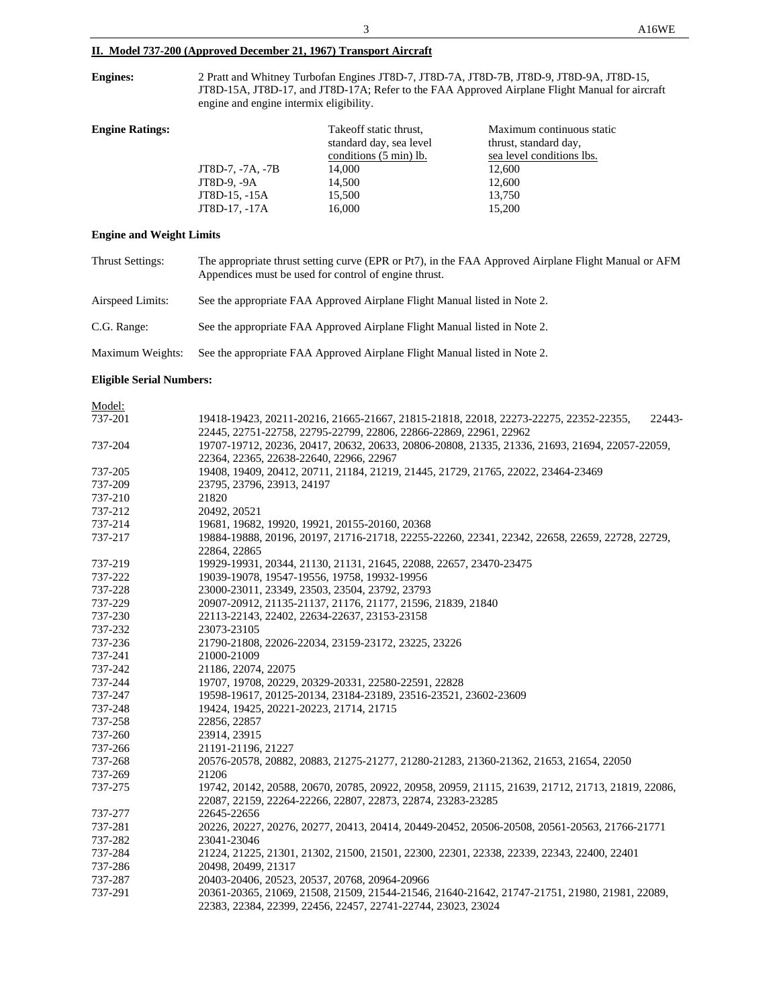## **II. Model 737-200 (Approved December 21, 1967) Transport Aircraft**

**Engines:** 2 Pratt and Whitney Turbofan Engines JT8D-7, JT8D-7A, JT8D-7B, JT8D-9, JT8D-9A, JT8D-15, JT8D-15A, JT8D-17, and JT8D-17A; Refer to the FAA Approved Airplane Flight Manual for aircraft engine and engine intermix eligibility.

| <b>Engine Ratings:</b> | JT8D-7, -7A, -7B<br>JT8D-9, -9A | Take off static thrust,<br>standard day, sea level<br>conditions (5 min) lb.<br>14,000<br>14,500 | Maximum continuous static<br>thrust, standard day,<br>sea level conditions lbs.<br>12,600<br>12,600 |
|------------------------|---------------------------------|--------------------------------------------------------------------------------------------------|-----------------------------------------------------------------------------------------------------|
|                        | JT8D-15, -15A                   | 15,500                                                                                           | 13,750                                                                                              |
|                        | JT8D-17, -17A                   | 16,000                                                                                           | 15,200                                                                                              |

### **Engine and Weight Limits**

| <b>Thrust Settings:</b> | The appropriate thrust setting curve (EPR or Pt7), in the FAA Approved Airplane Flight Manual or AFM<br>Appendices must be used for control of engine thrust. |
|-------------------------|---------------------------------------------------------------------------------------------------------------------------------------------------------------|
| Airspeed Limits:        | See the appropriate FAA Approved Airplane Flight Manual listed in Note 2.                                                                                     |
| C.G. Range:             | See the appropriate FAA Approved Airplane Flight Manual listed in Note 2.                                                                                     |
| Maximum Weights:        | See the appropriate FAA Approved Airplane Flight Manual listed in Note 2.                                                                                     |

### **Eligible Serial Numbers:**

| Model:  |                                                                                                   |
|---------|---------------------------------------------------------------------------------------------------|
| 737-201 | 19418-19423, 20211-20216, 21665-21667, 21815-21818, 22018, 22273-22275, 22352-22355,<br>22443-    |
|         | 22445, 22751-22758, 22795-22799, 22806, 22866-22869, 22961, 22962                                 |
| 737-204 | 19707-19712, 20236, 20417, 20632, 20633, 20806-20808, 21335, 21336, 21693, 21694, 22057-22059,    |
|         | 22364, 22365, 22638-22640, 22966, 22967                                                           |
| 737-205 | 19408, 19409, 20412, 20711, 21184, 21219, 21445, 21729, 21765, 22022, 23464-23469                 |
| 737-209 | 23795, 23796, 23913, 24197                                                                        |
| 737-210 | 21820                                                                                             |
| 737-212 | 20492, 20521                                                                                      |
| 737-214 | 19681, 19682, 19920, 19921, 20155-20160, 20368                                                    |
| 737-217 | 19884-19888, 20196, 20197, 21716-21718, 22255-22260, 22341, 22342, 22658, 22659, 22728, 22729,    |
|         | 22864, 22865                                                                                      |
| 737-219 | 19929-19931, 20344, 21130, 21131, 21645, 22088, 22657, 23470-23475                                |
| 737-222 | 19039-19078, 19547-19556, 19758, 19932-19956                                                      |
| 737-228 | 23000-23011, 23349, 23503, 23504, 23792, 23793                                                    |
| 737-229 | 20907-20912, 21135-21137, 21176, 21177, 21596, 21839, 21840                                       |
| 737-230 | 22113-22143, 22402, 22634-22637, 23153-23158                                                      |
| 737-232 | 23073-23105                                                                                       |
| 737-236 | 21790-21808, 22026-22034, 23159-23172, 23225, 23226                                               |
| 737-241 | 21000-21009                                                                                       |
| 737-242 | 21186, 22074, 22075                                                                               |
| 737-244 | 19707, 19708, 20229, 20329-20331, 22580-22591, 22828                                              |
| 737-247 | 19598-19617, 20125-20134, 23184-23189, 23516-23521, 23602-23609                                   |
| 737-248 | 19424, 19425, 20221-20223, 21714, 21715                                                           |
| 737-258 | 22856, 22857                                                                                      |
| 737-260 | 23914, 23915                                                                                      |
| 737-266 | 21191-21196, 21227                                                                                |
| 737-268 | 20576-20578, 20882, 20883, 21275-21277, 21280-21283, 21360-21362, 21653, 21654, 22050             |
| 737-269 | 21206                                                                                             |
| 737-275 | 19742, 20142, 20588, 20670, 20785, 20922, 20958, 20959, 21115, 21639, 21712, 21713, 21819, 22086, |
|         | 22087, 22159, 22264-22266, 22807, 22873, 22874, 23283-23285                                       |
| 737-277 | 22645-22656                                                                                       |
| 737-281 | 20226, 20227, 20276, 20277, 20413, 20414, 20449-20452, 20506-20508, 20561-20563, 21766-21771      |
| 737-282 | 23041-23046                                                                                       |
| 737-284 | 21224, 21225, 21301, 21302, 21500, 21501, 22300, 22301, 22338, 22339, 22343, 22400, 22401         |
| 737-286 | 20498, 20499, 21317                                                                               |
| 737-287 | 20403-20406, 20523, 20537, 20768, 20964-20966                                                     |
| 737-291 | 20361-20365, 21069, 21508, 21509, 21544-21546, 21640-21642, 21747-21751, 21980, 21981, 22089,     |
|         | 22383, 22384, 22399, 22456, 22457, 22741-22744, 23023, 23024                                      |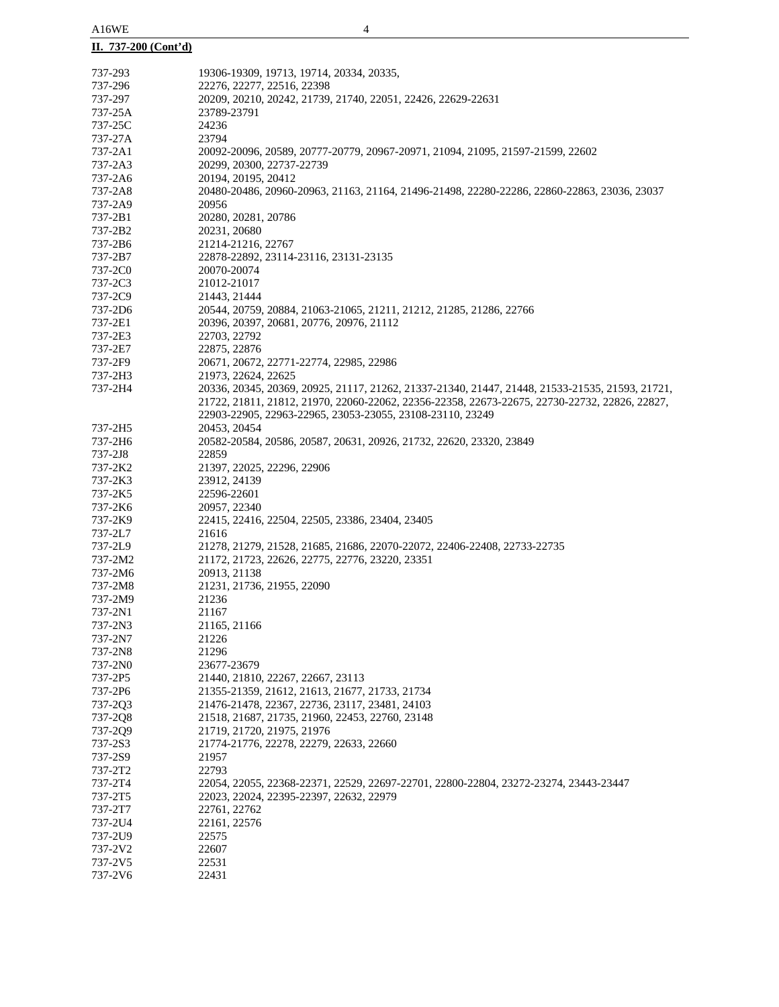# **II. 737-200 (Cont'd)**

| 737-293 | 19306-19309, 19713, 19714, 20334, 20335,                                                        |
|---------|-------------------------------------------------------------------------------------------------|
| 737-296 | 22276, 22277, 22516, 22398                                                                      |
| 737-297 | 20209, 20210, 20242, 21739, 21740, 22051, 22426, 22629-22631                                    |
| 737-25A | 23789-23791                                                                                     |
| 737-25C | 24236                                                                                           |
| 737-27A | 23794                                                                                           |
| 737-2A1 | 20092-20096, 20589, 20777-20779, 20967-20971, 21094, 21095, 21597-21599, 22602                  |
| 737-2A3 | 20299, 20300, 22737-22739                                                                       |
|         |                                                                                                 |
| 737-2A6 | 20194, 20195, 20412                                                                             |
| 737-2A8 | 20480-20486, 20960-20963, 21163, 21164, 21496-21498, 22280-22286, 22860-22863, 23036, 23037     |
| 737-2A9 | 20956                                                                                           |
| 737-2B1 | 20280, 20281, 20786                                                                             |
| 737-2B2 | 20231, 20680                                                                                    |
| 737-2B6 | 21214-21216, 22767                                                                              |
| 737-2B7 | 22878-22892, 23114-23116, 23131-23135                                                           |
| 737-2C0 | 20070-20074                                                                                     |
| 737-2C3 | 21012-21017                                                                                     |
| 737-2C9 | 21443, 21444                                                                                    |
|         |                                                                                                 |
| 737-2D6 | 20544, 20759, 20884, 21063-21065, 21211, 21212, 21285, 21286, 22766                             |
| 737-2E1 | 20396, 20397, 20681, 20776, 20976, 21112                                                        |
| 737-2E3 | 22703, 22792                                                                                    |
| 737-2E7 | 22875, 22876                                                                                    |
| 737-2F9 | 20671, 20672, 22771-22774, 22985, 22986                                                         |
| 737-2H3 | 21973, 22624, 22625                                                                             |
| 737-2H4 | 20336, 20345, 20369, 20925, 21117, 21262, 21337-21340, 21447, 21448, 21533-21535, 21593, 21721, |
|         | 21722, 21811, 21812, 21970, 22060-22062, 22356-22358, 22673-22675, 22730-22732, 22826, 22827,   |
|         |                                                                                                 |
|         | 22903-22905, 22963-22965, 23053-23055, 23108-23110, 23249                                       |
| 737-2H5 | 20453, 20454                                                                                    |
| 737-2H6 | 20582-20584, 20586, 20587, 20631, 20926, 21732, 22620, 23320, 23849                             |
| 737-2J8 | 22859                                                                                           |
| 737-2K2 | 21397, 22025, 22296, 22906                                                                      |
| 737-2K3 | 23912, 24139                                                                                    |
| 737-2K5 | 22596-22601                                                                                     |
| 737-2K6 | 20957, 22340                                                                                    |
| 737-2K9 | 22415, 22416, 22504, 22505, 23386, 23404, 23405                                                 |
| 737-2L7 | 21616                                                                                           |
|         |                                                                                                 |
| 737-2L9 | 21278, 21279, 21528, 21685, 21686, 22070-22072, 22406-22408, 22733-22735                        |
| 737-2M2 | 21172, 21723, 22626, 22775, 22776, 23220, 23351                                                 |
| 737-2M6 | 20913, 21138                                                                                    |
| 737-2M8 | 21231, 21736, 21955, 22090                                                                      |
| 737-2M9 | 21236                                                                                           |
| 737-2N1 | 21167                                                                                           |
| 737-2N3 | 21165, 21166                                                                                    |
| 737-2N7 | 21226                                                                                           |
| 737-2N8 | 21296                                                                                           |
|         |                                                                                                 |
| 737-2N0 | 23677-23679                                                                                     |
| 737-2P5 | 21440, 21810, 22267, 22667, 23113                                                               |
| 737-2P6 | 21355-21359, 21612, 21613, 21677, 21733, 21734                                                  |
| 737-2Q3 | 21476-21478, 22367, 22736, 23117, 23481, 24103                                                  |
| 737-2Q8 | 21518, 21687, 21735, 21960, 22453, 22760, 23148                                                 |
| 737-2Q9 | 21719, 21720, 21975, 21976                                                                      |
| 737-2S3 | 21774-21776, 22278, 22279, 22633, 22660                                                         |
| 737-2S9 | 21957                                                                                           |
| 737-2T2 | 22793                                                                                           |
| 737-2T4 | 22054, 22055, 22368-22371, 22529, 22697-22701, 22800-22804, 23272-23274, 23443-23447            |
|         |                                                                                                 |
| 737-2T5 | 22023, 22024, 22395-22397, 22632, 22979                                                         |
| 737-2T7 | 22761, 22762                                                                                    |
| 737-2U4 | 22161, 22576                                                                                    |
| 737-2U9 | 22575                                                                                           |
| 737-2V2 | 22607                                                                                           |
| 737-2V5 | 22531                                                                                           |
| 737-2V6 | 22431                                                                                           |
|         |                                                                                                 |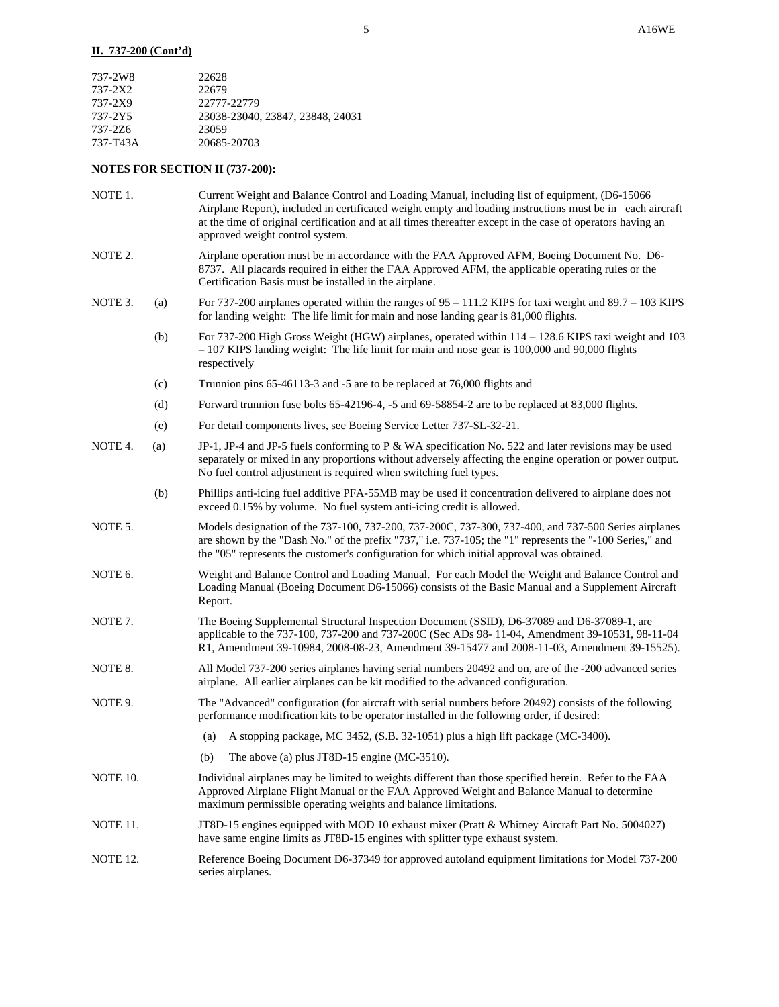## **II. 737-200 (Cont'd)**

| 737-2W8  | 22628                            |
|----------|----------------------------------|
| 737-2X2  | 22679                            |
| 737-2X9  | 22777-22779                      |
| 737-2Y5  | 23038-23040, 23847, 23848, 24031 |
| 737-276  | 23059                            |
| 737-T43A | 20685-20703                      |

# **NOTES FOR SECTION II (737-200):**

| NOTE 1.         |     | Current Weight and Balance Control and Loading Manual, including list of equipment, (D6-15066<br>Airplane Report), included in certificated weight empty and loading instructions must be in each aircraft<br>at the time of original certification and at all times thereafter except in the case of operators having an<br>approved weight control system. |
|-----------------|-----|--------------------------------------------------------------------------------------------------------------------------------------------------------------------------------------------------------------------------------------------------------------------------------------------------------------------------------------------------------------|
| NOTE 2.         |     | Airplane operation must be in accordance with the FAA Approved AFM, Boeing Document No. D6-<br>8737. All placards required in either the FAA Approved AFM, the applicable operating rules or the<br>Certification Basis must be installed in the airplane.                                                                                                   |
| NOTE 3.         | (a) | For 737-200 airplanes operated within the ranges of $95 - 111.2$ KIPS for taxi weight and $89.7 - 103$ KIPS<br>for landing weight: The life limit for main and nose landing gear is 81,000 flights.                                                                                                                                                          |
|                 | (b) | For 737-200 High Gross Weight (HGW) airplanes, operated within $114 - 128.6$ KIPS taxi weight and 103<br>$-107$ KIPS landing weight: The life limit for main and nose gear is 100,000 and 90,000 flights<br>respectively                                                                                                                                     |
|                 | (c) | Trunnion pins 65-46113-3 and -5 are to be replaced at 76,000 flights and                                                                                                                                                                                                                                                                                     |
|                 | (d) | Forward trunnion fuse bolts 65-42196-4, -5 and 69-58854-2 are to be replaced at 83,000 flights.                                                                                                                                                                                                                                                              |
|                 | (e) | For detail components lives, see Boeing Service Letter 737-SL-32-21.                                                                                                                                                                                                                                                                                         |
| NOTE 4.         | (a) | JP-1, JP-4 and JP-5 fuels conforming to P & WA specification No. 522 and later revisions may be used<br>separately or mixed in any proportions without adversely affecting the engine operation or power output.<br>No fuel control adjustment is required when switching fuel types.                                                                        |
|                 | (b) | Phillips anti-icing fuel additive PFA-55MB may be used if concentration delivered to airplane does not<br>exceed 0.15% by volume. No fuel system anti-icing credit is allowed.                                                                                                                                                                               |
| NOTE 5.         |     | Models designation of the 737-100, 737-200, 737-200C, 737-300, 737-400, and 737-500 Series airplanes<br>are shown by the "Dash No." of the prefix "737," i.e. 737-105; the "1" represents the "-100 Series," and<br>the "05" represents the customer's configuration for which initial approval was obtained.                                                |
| NOTE 6.         |     | Weight and Balance Control and Loading Manual. For each Model the Weight and Balance Control and<br>Loading Manual (Boeing Document D6-15066) consists of the Basic Manual and a Supplement Aircraft<br>Report.                                                                                                                                              |
| NOTE 7.         |     | The Boeing Supplemental Structural Inspection Document (SSID), D6-37089 and D6-37089-1, are<br>applicable to the 737-100, 737-200 and 737-200C (Sec ADs 98-11-04, Amendment 39-10531, 98-11-04<br>R1, Amendment 39-10984, 2008-08-23, Amendment 39-15477 and 2008-11-03, Amendment 39-15525).                                                                |
| NOTE 8.         |     | All Model 737-200 series airplanes having serial numbers 20492 and on, are of the -200 advanced series<br>airplane. All earlier airplanes can be kit modified to the advanced configuration.                                                                                                                                                                 |
| NOTE 9.         |     | The "Advanced" configuration (for aircraft with serial numbers before 20492) consists of the following<br>performance modification kits to be operator installed in the following order, if desired:                                                                                                                                                         |
|                 |     | A stopping package, MC 3452, (S.B. 32-1051) plus a high lift package (MC-3400).<br>(a)                                                                                                                                                                                                                                                                       |
|                 |     | (b) The above (a) plus JT8D-15 engine (MC-3510).                                                                                                                                                                                                                                                                                                             |
| NOTE 10.        |     | Individual airplanes may be limited to weights different than those specified herein. Refer to the FAA<br>Approved Airplane Flight Manual or the FAA Approved Weight and Balance Manual to determine<br>maximum permissible operating weights and balance limitations.                                                                                       |
| NOTE 11.        |     | JT8D-15 engines equipped with MOD 10 exhaust mixer (Pratt & Whitney Aircraft Part No. 5004027)<br>have same engine limits as JT8D-15 engines with splitter type exhaust system.                                                                                                                                                                              |
| <b>NOTE 12.</b> |     | Reference Boeing Document D6-37349 for approved autoland equipment limitations for Model 737-200<br>series airplanes.                                                                                                                                                                                                                                        |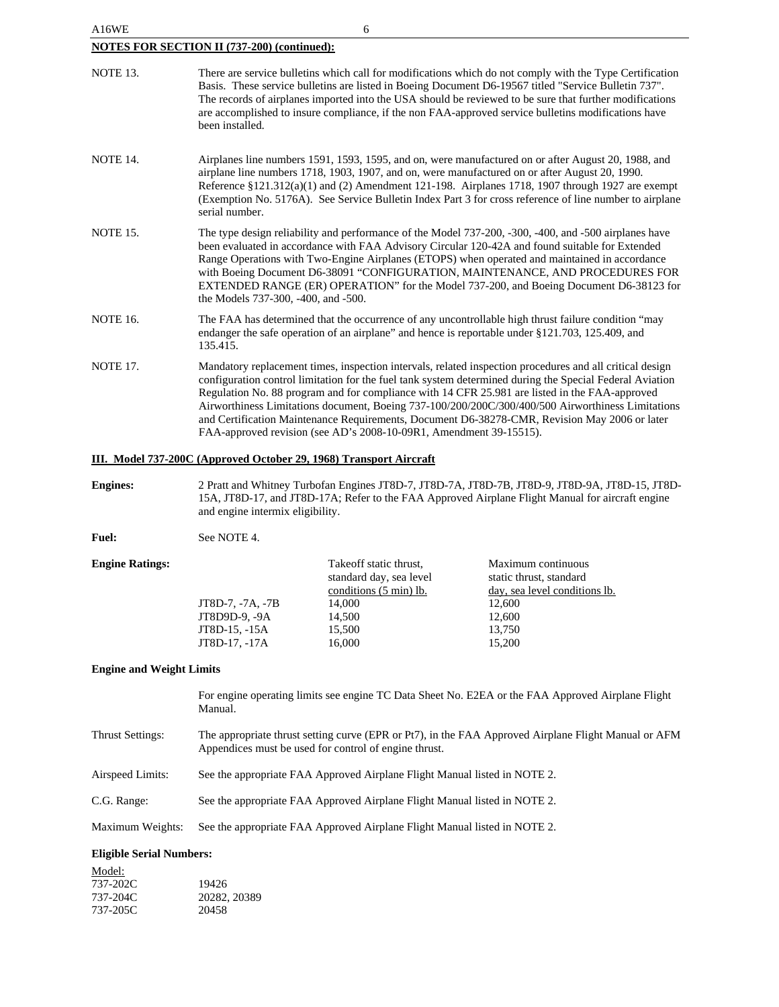| A16WE                                              | 6                                                                                                                                                                                                                                                                                                                                                                                                                                                                                                                                                                                                  |  |  |  |
|----------------------------------------------------|----------------------------------------------------------------------------------------------------------------------------------------------------------------------------------------------------------------------------------------------------------------------------------------------------------------------------------------------------------------------------------------------------------------------------------------------------------------------------------------------------------------------------------------------------------------------------------------------------|--|--|--|
| <b>NOTES FOR SECTION II (737-200) (continued):</b> |                                                                                                                                                                                                                                                                                                                                                                                                                                                                                                                                                                                                    |  |  |  |
| <b>NOTE 13.</b>                                    | There are service bulletins which call for modifications which do not comply with the Type Certification<br>Basis. These service bulletins are listed in Boeing Document D6-19567 titled "Service Bulletin 737".<br>The records of airplanes imported into the USA should be reviewed to be sure that further modifications<br>are accomplished to insure compliance, if the non FAA-approved service bulletins modifications have<br>been installed.                                                                                                                                              |  |  |  |
| <b>NOTE 14.</b>                                    | Airplanes line numbers 1591, 1593, 1595, and on, were manufactured on or after August 20, 1988, and<br>airplane line numbers 1718, 1903, 1907, and on, were manufactured on or after August 20, 1990.<br>Reference $\S 121.312(a)(1)$ and (2) Amendment 121-198. Airplanes 1718, 1907 through 1927 are exempt<br>(Exemption No. 5176A). See Service Bulletin Index Part 3 for cross reference of line number to airplane<br>serial number.                                                                                                                                                         |  |  |  |
| <b>NOTE 15.</b>                                    | The type design reliability and performance of the Model 737-200, -300, -400, and -500 airplanes have<br>been evaluated in accordance with FAA Advisory Circular 120-42A and found suitable for Extended<br>Range Operations with Two-Engine Airplanes (ETOPS) when operated and maintained in accordance<br>with Boeing Document D6-38091 "CONFIGURATION, MAINTENANCE, AND PROCEDURES FOR<br>EXTENDED RANGE (ER) OPERATION" for the Model 737-200, and Boeing Document D6-38123 for<br>the Models 737-300, -400, and -500.                                                                        |  |  |  |
| <b>NOTE 16.</b>                                    | The FAA has determined that the occurrence of any uncontrollable high thrust failure condition "may<br>endanger the safe operation of an airplane" and hence is reportable under §121.703, 125.409, and<br>135.415.                                                                                                                                                                                                                                                                                                                                                                                |  |  |  |
| <b>NOTE 17.</b>                                    | Mandatory replacement times, inspection intervals, related inspection procedures and all critical design<br>configuration control limitation for the fuel tank system determined during the Special Federal Aviation<br>Regulation No. 88 program and for compliance with 14 CFR 25.981 are listed in the FAA-approved<br>Airworthiness Limitations document, Boeing 737-100/200/200C/300/400/500 Airworthiness Limitations<br>and Certification Maintenance Requirements, Document D6-38278-CMR, Revision May 2006 or later<br>FAA-approved revision (see AD's 2008-10-09R1, Amendment 39-15515). |  |  |  |

### **III. Model 737-200C (Approved October 29, 1968) Transport Aircraft**

**Engines:** 2 Pratt and Whitney Turbofan Engines JT8D-7, JT8D-7A, JT8D-7B, JT8D-9, JT8D-9A, JT8D-15, JT8D-15A, JT8D-17, and JT8D-17A; Refer to the FAA Approved Airplane Flight Manual for aircraft engine and engine intermix eligibility.

Fuel: See NOTE 4.

| <b>Engine Ratings:</b> |                  | Take off static thrust, | Maximum continuous            |
|------------------------|------------------|-------------------------|-------------------------------|
|                        |                  | standard day, sea level | static thrust, standard       |
|                        |                  | conditions (5 min) lb.  | day, sea level conditions lb. |
|                        | JT8D-7, -7A, -7B | 14,000                  | 12,600                        |
|                        | JT8D9D-9, -9A    | 14,500                  | 12.600                        |
|                        | JT8D-15, -15A    | 15,500                  | 13,750                        |
|                        | JT8D-17, -17A    | 16,000                  | 15,200                        |
|                        |                  |                         |                               |

### **Engine and Weight Limits**

For engine operating limits see engine TC Data Sheet No. E2EA or the FAA Approved Airplane Flight Manual.

- Thrust Settings: The appropriate thrust setting curve (EPR or Pt7), in the FAA Approved Airplane Flight Manual or AFM Appendices must be used for control of engine thrust.
- Airspeed Limits: See the appropriate FAA Approved Airplane Flight Manual listed in NOTE 2.

C.G. Range: See the appropriate FAA Approved Airplane Flight Manual listed in NOTE 2.

Maximum Weights: See the appropriate FAA Approved Airplane Flight Manual listed in NOTE 2.

# **Eligible Serial Numbers:**

| Model:   |              |
|----------|--------------|
| 737-202C | 19426        |
| 737-204C | 20282, 20389 |
| 737-205C | 20458        |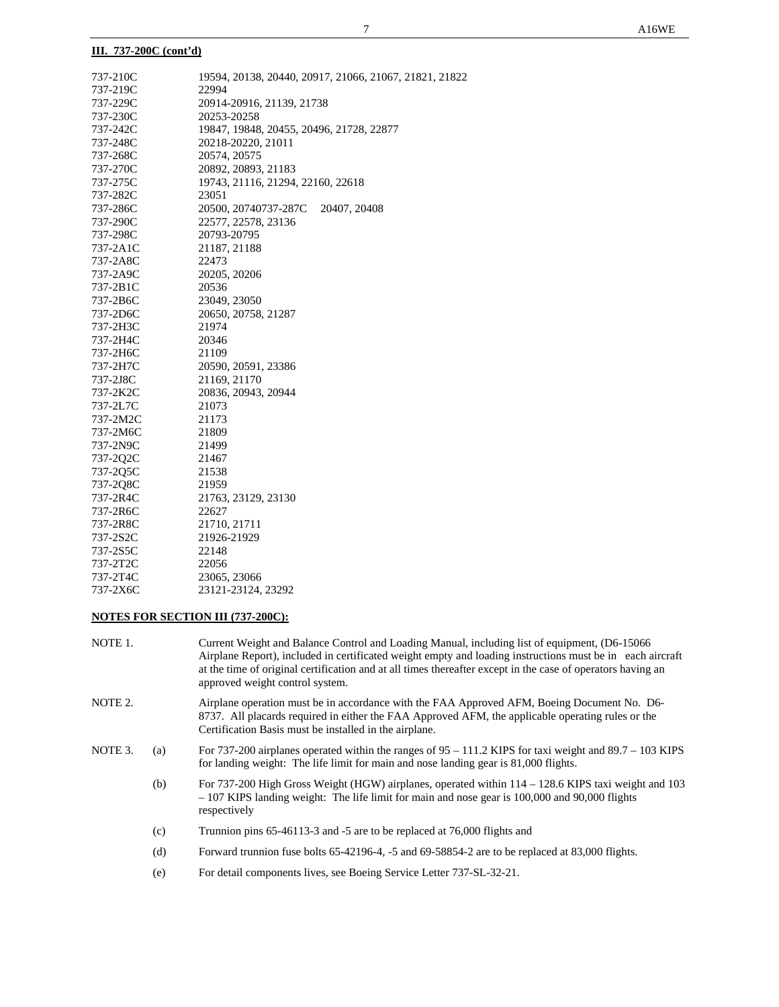### **III. 737-200C (cont'd)**

| 737-210C | 19594, 20138, 20440, 20917, 21066, 21067, 21821, 21822 |
|----------|--------------------------------------------------------|
| 737-219C | 22994                                                  |
| 737-229C | 20914-20916, 21139, 21738                              |
| 737-230C | 20253-20258                                            |
| 737-242C | 19847, 19848, 20455, 20496, 21728, 22877               |
| 737-248C | 20218-20220, 21011                                     |
| 737-268C | 20574, 20575                                           |
| 737-270C | 20892, 20893, 21183                                    |
| 737-275C | 19743, 21116, 21294, 22160, 22618                      |
| 737-282C | 23051                                                  |
| 737-286C | 20500, 20740737-287C<br>20407, 20408                   |
| 737-290C | 22577, 22578, 23136                                    |
| 737-298C | 20793-20795                                            |
| 737-2A1C | 21187, 21188                                           |
| 737-2A8C | 22473                                                  |
| 737-2A9C | 20205, 20206                                           |
| 737-2B1C | 20536                                                  |
| 737-2B6C | 23049, 23050                                           |
| 737-2D6C | 20650, 20758, 21287                                    |
| 737-2H3C | 21974                                                  |
| 737-2H4C | 20346                                                  |
| 737-2H6C | 21109                                                  |
| 737-2H7C | 20590, 20591, 23386                                    |
| 737-2J8C | 21169, 21170                                           |
| 737-2K2C | 20836, 20943, 20944                                    |
| 737-2L7C | 21073                                                  |
| 737-2M2C | 21173                                                  |
| 737-2M6C | 21809                                                  |
| 737-2N9C | 21499                                                  |
| 737-2Q2C | 21467                                                  |
| 737-2Q5C | 21538                                                  |
| 737-2Q8C | 21959                                                  |
| 737-2R4C | 21763, 23129, 23130                                    |
| 737-2R6C | 22627                                                  |
| 737-2R8C | 21710, 21711                                           |
| 737-2S2C | 21926-21929                                            |
| 737-2S5C | 22148                                                  |
| 737-2T2C | 22056                                                  |
| 737-2T4C | 23065, 23066                                           |
| 737-2X6C | 23121-23124, 23292                                     |
|          |                                                        |

### **NOTES FOR SECTION III (737-200C):**

- NOTE 1. Current Weight and Balance Control and Loading Manual, including list of equipment, (D6-15066 Airplane Report), included in certificated weight empty and loading instructions must be in each aircraft at the time of original certification and at all times thereafter except in the case of operators having an approved weight control system.
- NOTE 2. Airplane operation must be in accordance with the FAA Approved AFM, Boeing Document No. D6- 8737. All placards required in either the FAA Approved AFM, the applicable operating rules or the Certification Basis must be installed in the airplane.
- NOTE 3. (a) For 737-200 airplanes operated within the ranges of  $95 111.2$  KIPS for taxi weight and 89.7 103 KIPS for landing weight: The life limit for main and nose landing gear is 81,000 flights.
	- (b) For 737-200 High Gross Weight (HGW) airplanes, operated within 114 128.6 KIPS taxi weight and 103 – 107 KIPS landing weight: The life limit for main and nose gear is 100,000 and 90,000 flights respectively
	- (c) Trunnion pins 65-46113-3 and -5 are to be replaced at 76,000 flights and
	- (d) Forward trunnion fuse bolts 65-42196-4, -5 and 69-58854-2 are to be replaced at 83,000 flights.
	- (e) For detail components lives, see Boeing Service Letter 737-SL-32-21.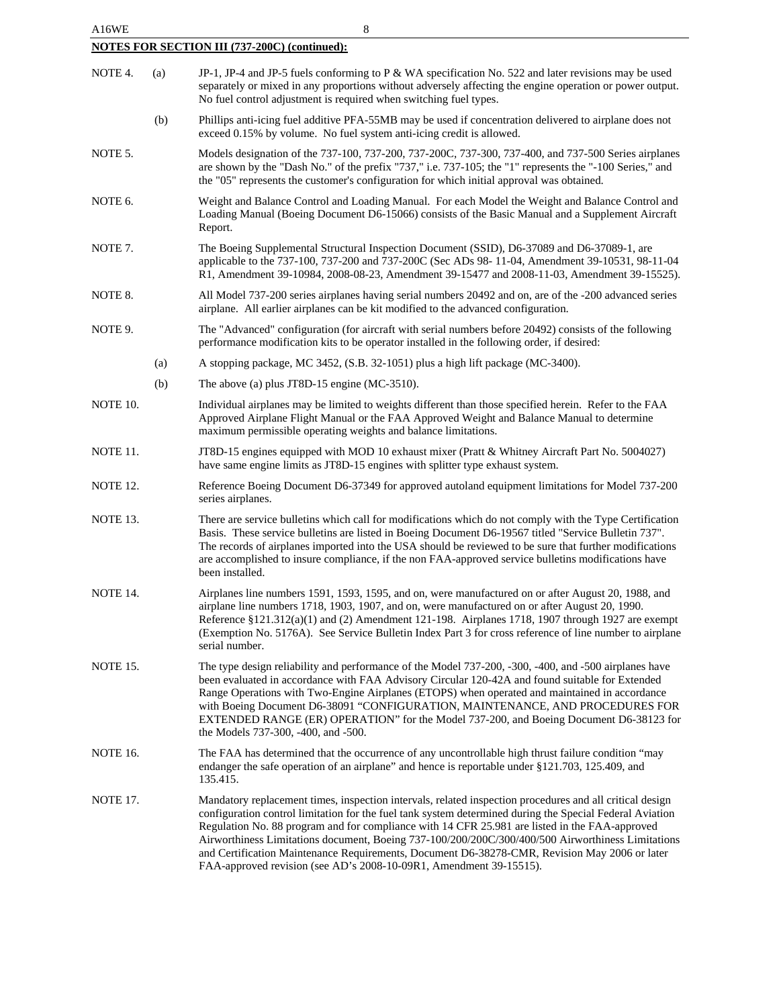| A16WE                                                |     | 8                                                                                                                                                                                                                                                                                                                                                                                                                                                                                                                                                                                                  |  |  |
|------------------------------------------------------|-----|----------------------------------------------------------------------------------------------------------------------------------------------------------------------------------------------------------------------------------------------------------------------------------------------------------------------------------------------------------------------------------------------------------------------------------------------------------------------------------------------------------------------------------------------------------------------------------------------------|--|--|
| <b>NOTES FOR SECTION III (737-200C) (continued):</b> |     |                                                                                                                                                                                                                                                                                                                                                                                                                                                                                                                                                                                                    |  |  |
| NOTE 4.                                              | (a) | JP-1, JP-4 and JP-5 fuels conforming to P & WA specification No. 522 and later revisions may be used<br>separately or mixed in any proportions without adversely affecting the engine operation or power output.<br>No fuel control adjustment is required when switching fuel types.                                                                                                                                                                                                                                                                                                              |  |  |
|                                                      | (b) | Phillips anti-icing fuel additive PFA-55MB may be used if concentration delivered to airplane does not<br>exceed 0.15% by volume. No fuel system anti-icing credit is allowed.                                                                                                                                                                                                                                                                                                                                                                                                                     |  |  |
| NOTE 5.                                              |     | Models designation of the 737-100, 737-200, 737-200C, 737-300, 737-400, and 737-500 Series airplanes<br>are shown by the "Dash No." of the prefix "737," i.e. 737-105; the "1" represents the "-100 Series," and<br>the "05" represents the customer's configuration for which initial approval was obtained.                                                                                                                                                                                                                                                                                      |  |  |
| NOTE 6.                                              |     | Weight and Balance Control and Loading Manual. For each Model the Weight and Balance Control and<br>Loading Manual (Boeing Document D6-15066) consists of the Basic Manual and a Supplement Aircraft<br>Report.                                                                                                                                                                                                                                                                                                                                                                                    |  |  |
| NOTE 7.                                              |     | The Boeing Supplemental Structural Inspection Document (SSID), D6-37089 and D6-37089-1, are<br>applicable to the 737-100, 737-200 and 737-200C (Sec ADs 98-11-04, Amendment 39-10531, 98-11-04<br>R1, Amendment 39-10984, 2008-08-23, Amendment 39-15477 and 2008-11-03, Amendment 39-15525).                                                                                                                                                                                                                                                                                                      |  |  |
| NOTE 8.                                              |     | All Model 737-200 series airplanes having serial numbers 20492 and on, are of the -200 advanced series<br>airplane. All earlier airplanes can be kit modified to the advanced configuration.                                                                                                                                                                                                                                                                                                                                                                                                       |  |  |
| NOTE 9.                                              |     | The "Advanced" configuration (for aircraft with serial numbers before 20492) consists of the following<br>performance modification kits to be operator installed in the following order, if desired:                                                                                                                                                                                                                                                                                                                                                                                               |  |  |
|                                                      | (a) | A stopping package, MC 3452, (S.B. 32-1051) plus a high lift package (MC-3400).                                                                                                                                                                                                                                                                                                                                                                                                                                                                                                                    |  |  |
|                                                      | (b) | The above (a) plus JT8D-15 engine (MC-3510).                                                                                                                                                                                                                                                                                                                                                                                                                                                                                                                                                       |  |  |
| NOTE 10.                                             |     | Individual airplanes may be limited to weights different than those specified herein. Refer to the FAA<br>Approved Airplane Flight Manual or the FAA Approved Weight and Balance Manual to determine<br>maximum permissible operating weights and balance limitations.                                                                                                                                                                                                                                                                                                                             |  |  |
| NOTE 11.                                             |     | JT8D-15 engines equipped with MOD 10 exhaust mixer (Pratt & Whitney Aircraft Part No. 5004027)<br>have same engine limits as JT8D-15 engines with splitter type exhaust system.                                                                                                                                                                                                                                                                                                                                                                                                                    |  |  |
| <b>NOTE 12.</b>                                      |     | Reference Boeing Document D6-37349 for approved autoland equipment limitations for Model 737-200<br>series airplanes.                                                                                                                                                                                                                                                                                                                                                                                                                                                                              |  |  |
| NOTE 13.                                             |     | There are service bulletins which call for modifications which do not comply with the Type Certification<br>Basis. These service bulletins are listed in Boeing Document D6-19567 titled "Service Bulletin 737".<br>The records of airplanes imported into the USA should be reviewed to be sure that further modifications<br>are accomplished to insure compliance, if the non FAA-approved service bulletins modifications have<br>been installed.                                                                                                                                              |  |  |
| NOTE 14.                                             |     | Airplanes line numbers 1591, 1593, 1595, and on, were manufactured on or after August 20, 1988, and<br>airplane line numbers 1718, 1903, 1907, and on, were manufactured on or after August 20, 1990.<br>Reference $\S 121.312(a)(1)$ and (2) Amendment 121-198. Airplanes 1718, 1907 through 1927 are exempt<br>(Exemption No. 5176A). See Service Bulletin Index Part 3 for cross reference of line number to airplane<br>serial number.                                                                                                                                                         |  |  |
| <b>NOTE 15.</b>                                      |     | The type design reliability and performance of the Model 737-200, -300, -400, and -500 airplanes have<br>been evaluated in accordance with FAA Advisory Circular 120-42A and found suitable for Extended<br>Range Operations with Two-Engine Airplanes (ETOPS) when operated and maintained in accordance<br>with Boeing Document D6-38091 "CONFIGURATION, MAINTENANCE, AND PROCEDURES FOR<br>EXTENDED RANGE (ER) OPERATION" for the Model 737-200, and Boeing Document D6-38123 for<br>the Models 737-300, -400, and -500.                                                                        |  |  |
| <b>NOTE 16.</b>                                      |     | The FAA has determined that the occurrence of any uncontrollable high thrust failure condition "may<br>endanger the safe operation of an airplane" and hence is reportable under §121.703, 125.409, and<br>135.415.                                                                                                                                                                                                                                                                                                                                                                                |  |  |
| <b>NOTE 17.</b>                                      |     | Mandatory replacement times, inspection intervals, related inspection procedures and all critical design<br>configuration control limitation for the fuel tank system determined during the Special Federal Aviation<br>Regulation No. 88 program and for compliance with 14 CFR 25.981 are listed in the FAA-approved<br>Airworthiness Limitations document, Boeing 737-100/200/200C/300/400/500 Airworthiness Limitations<br>and Certification Maintenance Requirements, Document D6-38278-CMR, Revision May 2006 or later<br>FAA-approved revision (see AD's 2008-10-09R1, Amendment 39-15515). |  |  |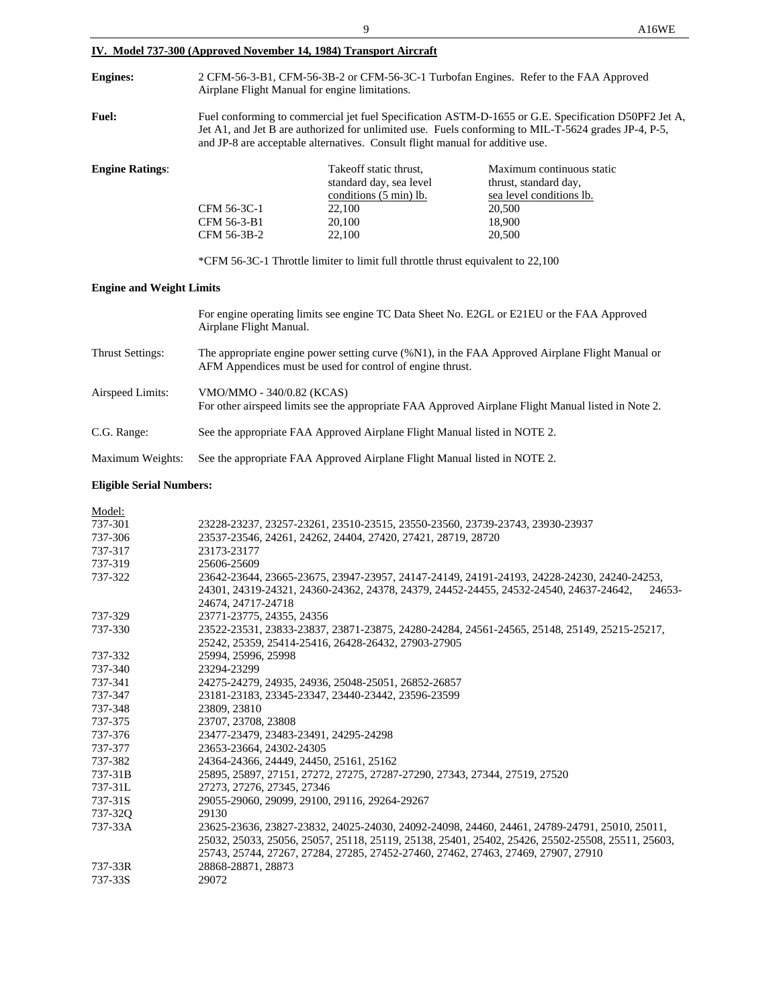|                                                                                     |                                                                                                                                                                                                                                                                                                                                                                                                                                                                                                                               | 9                                                                                                         | A16WE                                                                                                        |
|-------------------------------------------------------------------------------------|-------------------------------------------------------------------------------------------------------------------------------------------------------------------------------------------------------------------------------------------------------------------------------------------------------------------------------------------------------------------------------------------------------------------------------------------------------------------------------------------------------------------------------|-----------------------------------------------------------------------------------------------------------|--------------------------------------------------------------------------------------------------------------|
|                                                                                     |                                                                                                                                                                                                                                                                                                                                                                                                                                                                                                                               | IV. Model 737-300 (Approved November 14, 1984) Transport Aircraft                                         |                                                                                                              |
| <b>Engines:</b>                                                                     | 2 CFM-56-3-B1, CFM-56-3B-2 or CFM-56-3C-1 Turbofan Engines. Refer to the FAA Approved<br>Airplane Flight Manual for engine limitations.                                                                                                                                                                                                                                                                                                                                                                                       |                                                                                                           |                                                                                                              |
| <b>Fuel:</b>                                                                        | Fuel conforming to commercial jet fuel Specification ASTM-D-1655 or G.E. Specification D50PF2 Jet A,<br>Jet A1, and Jet B are authorized for unlimited use. Fuels conforming to MIL-T-5624 grades JP-4, P-5,<br>and JP-8 are acceptable alternatives. Consult flight manual for additive use.                                                                                                                                                                                                                                 |                                                                                                           |                                                                                                              |
| <b>Engine Ratings:</b>                                                              | CFM 56-3C-1<br>CFM 56-3-B1<br>CFM 56-3B-2                                                                                                                                                                                                                                                                                                                                                                                                                                                                                     | Takeoff static thrust,<br>standard day, sea level<br>conditions (5 min) lb.<br>22,100<br>20,100<br>22,100 | Maximum continuous static<br>thrust, standard day,<br>sea level conditions lb.<br>20,500<br>18,900<br>20,500 |
|                                                                                     |                                                                                                                                                                                                                                                                                                                                                                                                                                                                                                                               | *CFM 56-3C-1 Throttle limiter to limit full throttle thrust equivalent to 22,100                          |                                                                                                              |
| <b>Engine and Weight Limits</b>                                                     |                                                                                                                                                                                                                                                                                                                                                                                                                                                                                                                               |                                                                                                           |                                                                                                              |
|                                                                                     | For engine operating limits see engine TC Data Sheet No. E2GL or E21EU or the FAA Approved<br>Airplane Flight Manual.                                                                                                                                                                                                                                                                                                                                                                                                         |                                                                                                           |                                                                                                              |
| Thrust Settings:                                                                    | The appropriate engine power setting curve (%N1), in the FAA Approved Airplane Flight Manual or<br>AFM Appendices must be used for control of engine thrust.                                                                                                                                                                                                                                                                                                                                                                  |                                                                                                           |                                                                                                              |
| Airspeed Limits:                                                                    | VMO/MMO - 340/0.82 (KCAS)<br>For other airspeed limits see the appropriate FAA Approved Airplane Flight Manual listed in Note 2.                                                                                                                                                                                                                                                                                                                                                                                              |                                                                                                           |                                                                                                              |
| C.G. Range:                                                                         | See the appropriate FAA Approved Airplane Flight Manual listed in NOTE 2.                                                                                                                                                                                                                                                                                                                                                                                                                                                     |                                                                                                           |                                                                                                              |
| Maximum Weights:                                                                    | See the appropriate FAA Approved Airplane Flight Manual listed in NOTE 2.                                                                                                                                                                                                                                                                                                                                                                                                                                                     |                                                                                                           |                                                                                                              |
| <b>Eligible Serial Numbers:</b>                                                     |                                                                                                                                                                                                                                                                                                                                                                                                                                                                                                                               |                                                                                                           |                                                                                                              |
| Model:<br>737-301<br>737-306<br>737-317<br>737-319<br>737-322<br>737-329<br>737-330 | 23228-23237, 23257-23261, 23510-23515, 23550-23560, 23739-23743, 23930-23937<br>23537-23546, 24261, 24262, 24404, 27420, 27421, 28719, 28720<br>23173-23177<br>25606-25609<br>23642-23644, 23665-23675, 23947-23957, 24147-24149, 24191-24193, 24228-24230, 24240-24253,<br>24301, 24319-24321, 24360-24362, 24378, 24379, 24452-24455, 24532-24540, 24637-24642,<br>24653-<br>24674, 24717-24718<br>23771-23775, 24355, 24356<br>23522-23531, 23833-23837, 23871-23875, 24280-24284, 24561-24565, 25148, 25149, 25215-25217, |                                                                                                           |                                                                                                              |
| 737-332<br>737-340                                                                  | 25242, 25359, 25414-25416, 26428-26432, 27903-27905<br>25994, 25996, 25998<br>23294-23299                                                                                                                                                                                                                                                                                                                                                                                                                                     |                                                                                                           |                                                                                                              |

| 737-375 | 23707, 23708, 23808                                                                              |
|---------|--------------------------------------------------------------------------------------------------|
| 737-376 | 23477-23479, 23483-23491, 24295-24298                                                            |
| 737-377 | 23653-23664, 24302-24305                                                                         |
| 737-382 | 24364-24366, 24449, 24450, 25161, 25162                                                          |
| 737-31B | 25895, 25897, 27151, 27272, 27275, 27287-27290, 27343, 27344, 27519, 27520                       |
| 737-31L | 27273, 27276, 27345, 27346                                                                       |
| 737-31S | 29055-29060, 29099, 29100, 29116, 29264-29267                                                    |
| 737-320 | 29130                                                                                            |
| 737-33A | 23625-23636, 23827-23832, 24025-24030, 24092-24098, 24460, 24461, 24789-24791, 25010, 25011,     |
|         | 25032, 25033, 25056, 25057, 25118, 25119, 25138, 25401, 25402, 25426, 25502-25508, 25511, 25603, |
|         | 25743, 25744, 27267, 27284, 27285, 27452-27460, 27462, 27463, 27469, 27907, 27910                |
| 737-33R | 28868-28871, 28873                                                                               |
| 737-33S | 29072                                                                                            |

737-340 23294-23299

737-348 23809, 23810

737-341 24275-24279, 24935, 24936, 25048-25051, 26852-26857 737-347 23181-23183, 23345-23347, 23440-23442, 23596-23599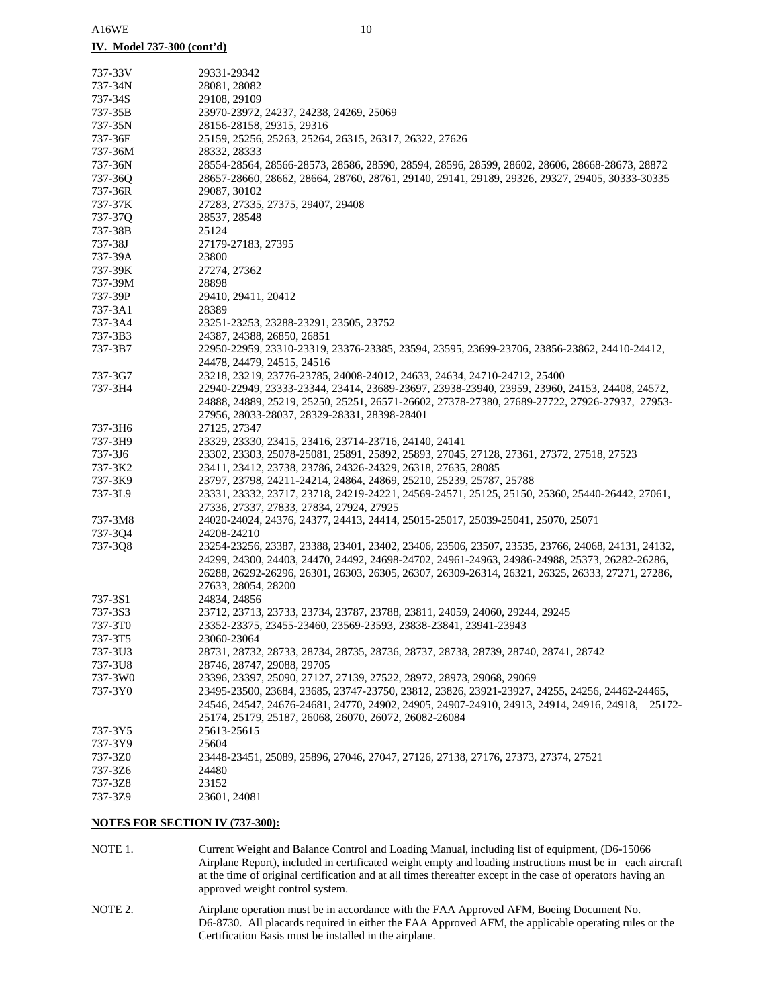| <u>IV. Model 737-300 (cont'd)</u> |                                                                                                  |
|-----------------------------------|--------------------------------------------------------------------------------------------------|
| 737-33V                           | 29331-29342                                                                                      |
| 737-34N                           | 28081, 28082                                                                                     |
| 737-34S                           | 29108, 29109                                                                                     |
| 737-35B                           | 23970-23972, 24237, 24238, 24269, 25069                                                          |
| 737-35N                           | 28156-28158, 29315, 29316                                                                        |
| 737-36E                           | 25159, 25256, 25263, 25264, 26315, 26317, 26322, 27626                                           |
| 737-36M                           | 28332, 28333                                                                                     |
| 737-36N                           | 28554-28564, 28566-28573, 28586, 28590, 28594, 28596, 28599, 28602, 28606, 28668-28673, 28872    |
| 737-36Q                           | 28657-28660, 28662, 28664, 28760, 28761, 29140, 29141, 29189, 29326, 29327, 29405, 30333-30335   |
| 737-36R                           | 29087, 30102                                                                                     |
| 737-37K                           | 27283, 27335, 27375, 29407, 29408                                                                |
| 737-37Q                           | 28537, 28548                                                                                     |
| 737-38B                           | 25124                                                                                            |
| 737-38J                           | 27179-27183, 27395                                                                               |
| 737-39A                           | 23800                                                                                            |
| 737-39K                           | 27274, 27362                                                                                     |
| 737-39M                           | 28898                                                                                            |
| 737-39P                           | 29410, 29411, 20412                                                                              |
| 737-3A1                           | 28389                                                                                            |
| 737-3A4                           | 23251-23253, 23288-23291, 23505, 23752                                                           |
| 737-3B3                           | 24387, 24388, 26850, 26851                                                                       |
| 737-3B7                           | 22950-22959, 23310-23319, 23376-23385, 23594, 23595, 23699-23706, 23856-23862, 24410-24412,      |
|                                   | 24478, 24479, 24515, 24516                                                                       |
| 737-3G7                           | 23218, 23219, 23776-23785, 24008-24012, 24633, 24634, 24710-24712, 25400                         |
| 737-3H4                           | 22940-22949, 23333-23344, 23414, 23689-23697, 23938-23940, 23959, 23960, 24153, 24408, 24572,    |
|                                   | 24888, 24889, 25219, 25250, 25251, 26571-26602, 27378-27380, 27689-27722, 27926-27937, 27953-    |
|                                   | 27956, 28033-28037, 28329-28331, 28398-28401                                                     |
| 737-3H6                           | 27125, 27347                                                                                     |
| 737-3H9                           | 23329, 23330, 23415, 23416, 23714-23716, 24140, 24141                                            |
| 737-3J6                           | 23302, 23303, 25078-25081, 25891, 25892, 25893, 27045, 27128, 27361, 27372, 27518, 27523         |
| 737-3K2                           | 23411, 23412, 23738, 23786, 24326-24329, 26318, 27635, 28085                                     |
| 737-3K9                           | 23797, 23798, 24211-24214, 24864, 24869, 25210, 25239, 25787, 25788                              |
| 737-3L9                           | 23331, 23332, 23717, 23718, 24219-24221, 24569-24571, 25125, 25150, 25360, 25440-26442, 27061,   |
|                                   | 27336, 27337, 27833, 27834, 27924, 27925                                                         |
| 737-3M8                           | 24020-24024, 24376, 24377, 24413, 24414, 25015-25017, 25039-25041, 25070, 25071                  |
| 737-3Q4                           | 24208-24210                                                                                      |
| 737-3Q8                           | 23254-23256, 23387, 23388, 23401, 23402, 23406, 23506, 23507, 23535, 23766, 24068, 24131, 24132, |
|                                   | 24299, 24300, 24403, 24470, 24492, 24698-24702, 24961-24963, 24986-24988, 25373, 26282-26286,    |
|                                   | 26288, 26292-26296, 26301, 26303, 26305, 26307, 26309-26314, 26321, 26325, 26333, 27271, 27286,  |
|                                   | 27633, 28054, 28200                                                                              |
| 737-3S1                           | 24834, 24856                                                                                     |
| 737-3S3                           | 23712, 23713, 23733, 23734, 23787, 23788, 23811, 24059, 24060, 29244, 29245                      |
| 737-3T0                           | 23352-23375, 23455-23460, 23569-23593, 23838-23841, 23941-23943                                  |
| 737-3T5                           | 23060-23064                                                                                      |
| 737-3U3                           | 28731, 28732, 28733, 28734, 28735, 28736, 28737, 28738, 28739, 28740, 28741, 28742               |
| 737-3U8                           | 28746, 28747, 29088, 29705                                                                       |
| 737-3W0                           | 23396, 23397, 25090, 27127, 27139, 27522, 28972, 28973, 29068, 29069                             |
| 737-3Y0                           | 23495-23500, 23684, 23685, 23747-23750, 23812, 23826, 23921-23927, 24255, 24256, 24462-24465,    |
|                                   | 24546, 24547, 24676-24681, 24770, 24902, 24905, 24907-24910, 24913, 24914, 24916, 24918, 25172-  |
|                                   | 25174, 25179, 25187, 26068, 26070, 26072, 26082-26084                                            |
| 737-3Y5                           | 25613-25615                                                                                      |
| 737-3Y9                           | 25604                                                                                            |
| 737-3Z0                           | 23448-23451, 25089, 25896, 27046, 27047, 27126, 27138, 27176, 27373, 27374, 27521                |
| 737-3Z6                           | 24480                                                                                            |
| 737-3Z8                           | 23152                                                                                            |
| 737-3Z9                           | 23601, 24081                                                                                     |
|                                   |                                                                                                  |

### **NOTES FOR SECTION IV (737-300):**

- NOTE 1. Current Weight and Balance Control and Loading Manual, including list of equipment, (D6-15066 Airplane Report), included in certificated weight empty and loading instructions must be in each aircraft at the time of original certification and at all times thereafter except in the case of operators having an approved weight control system.
- NOTE 2. Airplane operation must be in accordance with the FAA Approved AFM, Boeing Document No. D6-8730. All placards required in either the FAA Approved AFM, the applicable operating rules or the Certification Basis must be installed in the airplane.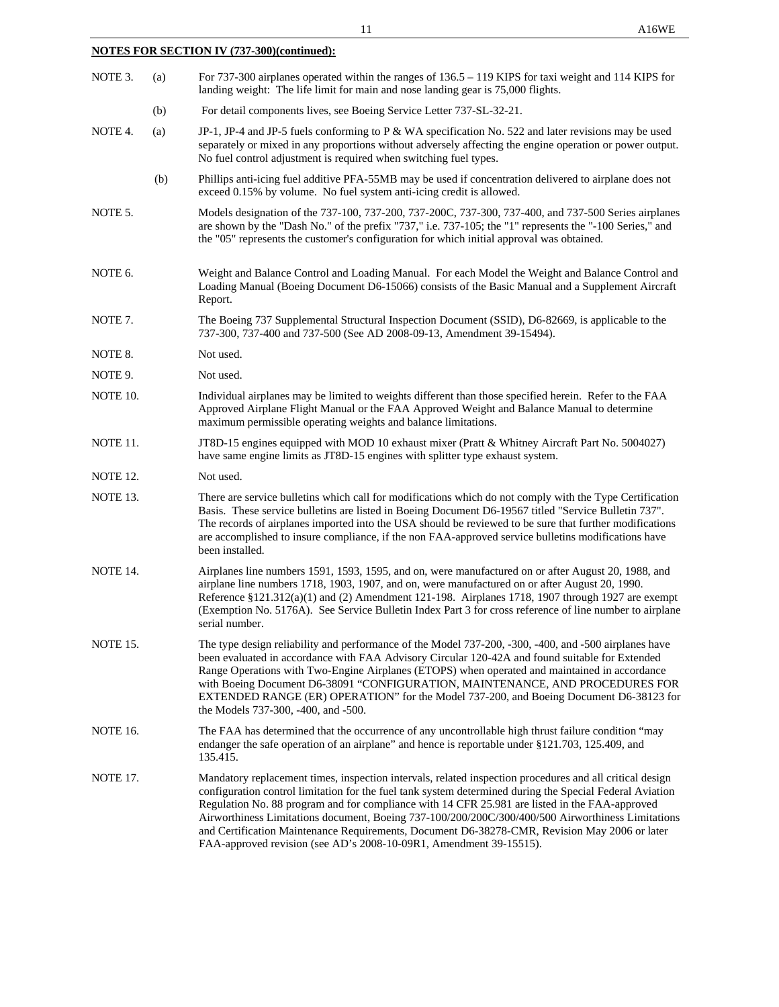|                 |     | 11<br>A16WE                                                                                                                                                                                                                                                                                                                                                                                                                                                                                                                 |  |
|-----------------|-----|-----------------------------------------------------------------------------------------------------------------------------------------------------------------------------------------------------------------------------------------------------------------------------------------------------------------------------------------------------------------------------------------------------------------------------------------------------------------------------------------------------------------------------|--|
|                 |     | <b>NOTES FOR SECTION IV (737-300)(continued):</b>                                                                                                                                                                                                                                                                                                                                                                                                                                                                           |  |
| NOTE 3.         | (a) | For $737-300$ airplanes operated within the ranges of $136.5 - 119$ KIPS for taxi weight and $114$ KIPS for<br>landing weight: The life limit for main and nose landing gear is 75,000 flights.                                                                                                                                                                                                                                                                                                                             |  |
|                 | (b) | For detail components lives, see Boeing Service Letter 737-SL-32-21.                                                                                                                                                                                                                                                                                                                                                                                                                                                        |  |
| NOTE 4.         | (a) | JP-1, JP-4 and JP-5 fuels conforming to P & WA specification No. 522 and later revisions may be used<br>separately or mixed in any proportions without adversely affecting the engine operation or power output.<br>No fuel control adjustment is required when switching fuel types.                                                                                                                                                                                                                                       |  |
|                 | (b) | Phillips anti-icing fuel additive PFA-55MB may be used if concentration delivered to airplane does not<br>exceed 0.15% by volume. No fuel system anti-icing credit is allowed.                                                                                                                                                                                                                                                                                                                                              |  |
| NOTE 5.         |     | Models designation of the 737-100, 737-200, 737-200C, 737-300, 737-400, and 737-500 Series airplanes<br>are shown by the "Dash No." of the prefix "737," i.e. 737-105; the "1" represents the "-100 Series," and<br>the "05" represents the customer's configuration for which initial approval was obtained.                                                                                                                                                                                                               |  |
| NOTE 6.         |     | Weight and Balance Control and Loading Manual. For each Model the Weight and Balance Control and<br>Loading Manual (Boeing Document D6-15066) consists of the Basic Manual and a Supplement Aircraft<br>Report.                                                                                                                                                                                                                                                                                                             |  |
| NOTE 7.         |     | The Boeing 737 Supplemental Structural Inspection Document (SSID), D6-82669, is applicable to the<br>737-300, 737-400 and 737-500 (See AD 2008-09-13, Amendment 39-15494).                                                                                                                                                                                                                                                                                                                                                  |  |
| NOTE 8.         |     | Not used.                                                                                                                                                                                                                                                                                                                                                                                                                                                                                                                   |  |
| NOTE 9.         |     | Not used.                                                                                                                                                                                                                                                                                                                                                                                                                                                                                                                   |  |
| NOTE 10.        |     | Individual airplanes may be limited to weights different than those specified herein. Refer to the FAA<br>Approved Airplane Flight Manual or the FAA Approved Weight and Balance Manual to determine<br>maximum permissible operating weights and balance limitations.                                                                                                                                                                                                                                                      |  |
| NOTE 11.        |     | JT8D-15 engines equipped with MOD 10 exhaust mixer (Pratt & Whitney Aircraft Part No. 5004027)<br>have same engine limits as JT8D-15 engines with splitter type exhaust system.                                                                                                                                                                                                                                                                                                                                             |  |
| <b>NOTE 12.</b> |     | Not used.                                                                                                                                                                                                                                                                                                                                                                                                                                                                                                                   |  |
| NOTE 13.        |     | There are service bulletins which call for modifications which do not comply with the Type Certification<br>Basis. These service bulletins are listed in Boeing Document D6-19567 titled "Service Bulletin 737".<br>The records of airplanes imported into the USA should be reviewed to be sure that further modifications<br>are accomplished to insure compliance, if the non FAA-approved service bulletins modifications have<br>been installed.                                                                       |  |
| NOTE 14.        |     | Airplanes line numbers 1591, 1593, 1595, and on, were manufactured on or after August 20, 1988, and<br>airplane line numbers 1718, 1903, 1907, and on, were manufactured on or after August 20, 1990.<br>Reference $\S 121.312(a)(1)$ and (2) Amendment 121-198. Airplanes 1718, 1907 through 1927 are exempt<br>(Exemption No. 5176A). See Service Bulletin Index Part 3 for cross reference of line number to airplane<br>serial number.                                                                                  |  |
| NOTE 15.        |     | The type design reliability and performance of the Model 737-200, -300, -400, and -500 airplanes have<br>been evaluated in accordance with FAA Advisory Circular 120-42A and found suitable for Extended<br>Range Operations with Two-Engine Airplanes (ETOPS) when operated and maintained in accordance<br>with Boeing Document D6-38091 "CONFIGURATION, MAINTENANCE, AND PROCEDURES FOR<br>EXTENDED RANGE (ER) OPERATION" for the Model 737-200, and Boeing Document D6-38123 for<br>the Models 737-300, -400, and -500. |  |
| <b>NOTE 16.</b> |     | The FAA has determined that the occurrence of any uncontrollable high thrust failure condition "may<br>endanger the safe operation of an airplane" and hence is reportable under §121.703, 125.409, and<br>135.415.                                                                                                                                                                                                                                                                                                         |  |
| <b>IOTE</b>     |     |                                                                                                                                                                                                                                                                                                                                                                                                                                                                                                                             |  |

NOTE 17. Mandatory replacement times, inspection intervals, related inspection procedures and all critical design configuration control limitation for the fuel tank system determined during the Special Federal Aviation Regulation No. 88 program and for compliance with 14 CFR 25.981 are listed in the FAA-approved Airworthiness Limitations document, Boeing 737-100/200/200C/300/400/500 Airworthiness Limitations and Certification Maintenance Requirements, Document D6-38278-CMR, Revision May 2006 or later FAA-approved revision (see AD's 2008-10-09R1, Amendment 39-15515).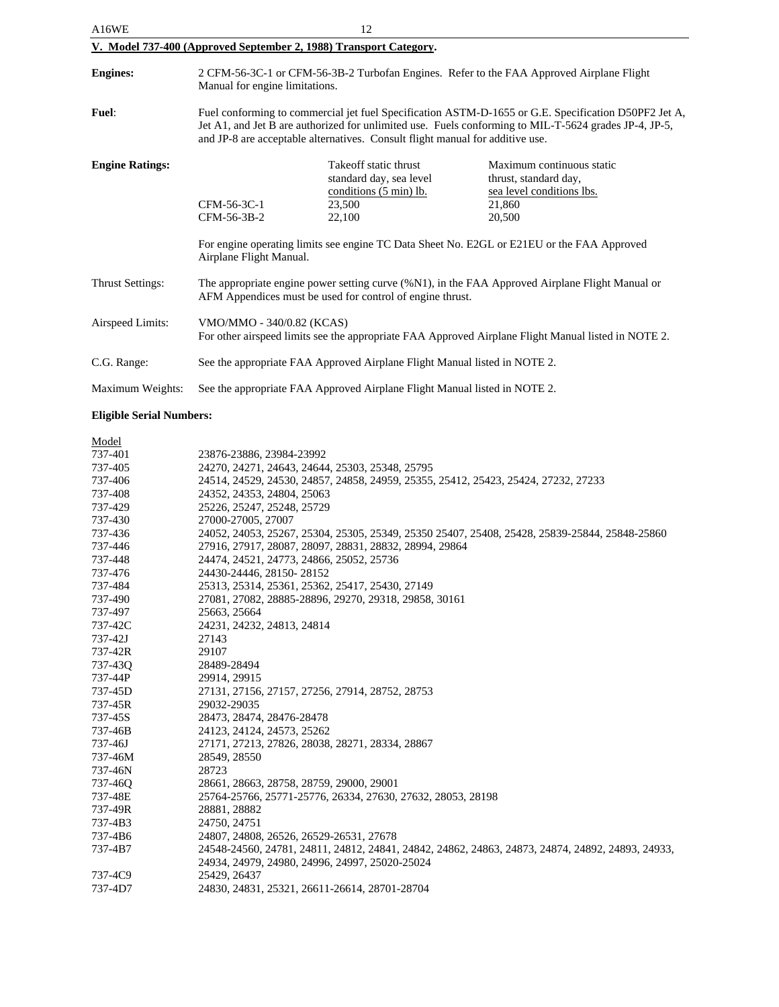| A16WE                                                             | 12                                                                                                                                                                                                                                                                                             |                                                                                                |                                                                                                     |  |
|-------------------------------------------------------------------|------------------------------------------------------------------------------------------------------------------------------------------------------------------------------------------------------------------------------------------------------------------------------------------------|------------------------------------------------------------------------------------------------|-----------------------------------------------------------------------------------------------------|--|
| V. Model 737-400 (Approved September 2, 1988) Transport Category. |                                                                                                                                                                                                                                                                                                |                                                                                                |                                                                                                     |  |
| <b>Engines:</b>                                                   | 2 CFM-56-3C-1 or CFM-56-3B-2 Turbofan Engines. Refer to the FAA Approved Airplane Flight<br>Manual for engine limitations.                                                                                                                                                                     |                                                                                                |                                                                                                     |  |
| <b>Fuel:</b>                                                      | Fuel conforming to commercial jet fuel Specification ASTM-D-1655 or G.E. Specification D50PF2 Jet A,<br>Jet A1, and Jet B are authorized for unlimited use. Fuels conforming to MIL-T-5624 grades JP-4, JP-5,<br>and JP-8 are acceptable alternatives. Consult flight manual for additive use. |                                                                                                |                                                                                                     |  |
| <b>Engine Ratings:</b>                                            | CFM-56-3C-1<br>CFM-56-3B-2                                                                                                                                                                                                                                                                     | Takeoff static thrust<br>standard day, sea level<br>conditions (5 min) lb.<br>23,500<br>22,100 | Maximum continuous static<br>thrust, standard day,<br>sea level conditions lbs.<br>21,860<br>20,500 |  |
|                                                                   | For engine operating limits see engine TC Data Sheet No. E2GL or E21EU or the FAA Approved<br>Airplane Flight Manual.                                                                                                                                                                          |                                                                                                |                                                                                                     |  |
| <b>Thrust Settings:</b>                                           | The appropriate engine power setting curve (%N1), in the FAA Approved Airplane Flight Manual or<br>AFM Appendices must be used for control of engine thrust.                                                                                                                                   |                                                                                                |                                                                                                     |  |
| Airspeed Limits:                                                  | VMO/MMO - 340/0.82 (KCAS)<br>For other airspeed limits see the appropriate FAA Approved Airplane Flight Manual listed in NOTE 2.                                                                                                                                                               |                                                                                                |                                                                                                     |  |
| C.G. Range:                                                       | See the appropriate FAA Approved Airplane Flight Manual listed in NOTE 2.                                                                                                                                                                                                                      |                                                                                                |                                                                                                     |  |
| Maximum Weights:                                                  | See the appropriate FAA Approved Airplane Flight Manual listed in NOTE 2.                                                                                                                                                                                                                      |                                                                                                |                                                                                                     |  |

# **Eligible Serial Numbers:**

| Model       |                                                                                                  |
|-------------|--------------------------------------------------------------------------------------------------|
| 737-401     | 23876-23886, 23984-23992                                                                         |
| 737-405     | 24270, 24271, 24643, 24644, 25303, 25348, 25795                                                  |
| 737-406     | 24514, 24529, 24530, 24857, 24858, 24959, 25355, 25412, 25423, 25424, 27232, 27233               |
| 737-408     | 24352, 24353, 24804, 25063                                                                       |
| 737-429     | 25226, 25247, 25248, 25729                                                                       |
| 737-430     | 27000-27005, 27007                                                                               |
| 737-436     | 24052, 24053, 25267, 25304, 25305, 25349, 25350 25407, 25408, 25428, 25839-25844, 25848-25860    |
| 737-446     | 27916, 27917, 28087, 28097, 28831, 28832, 28994, 29864                                           |
| 737-448     | 24474, 24521, 24773, 24866, 25052, 25736                                                         |
| 737-476     | 24430-24446, 28150-28152                                                                         |
| 737-484     | 25313, 25314, 25361, 25362, 25417, 25430, 27149                                                  |
| 737-490     | 27081, 27082, 28885-28896, 29270, 29318, 29858, 30161                                            |
| 737-497     | 25663, 25664                                                                                     |
| 737-42C     | 24231, 24232, 24813, 24814                                                                       |
| $737 - 42J$ | 27143                                                                                            |
| 737-42R     | 29107                                                                                            |
| 737-43Q     | 28489-28494                                                                                      |
| 737-44P     | 29914, 29915                                                                                     |
| 737-45D     | 27131, 27156, 27157, 27256, 27914, 28752, 28753                                                  |
| 737-45R     | 29032-29035                                                                                      |
| 737-45S     | 28473, 28474, 28476-28478                                                                        |
| 737-46B     | 24123, 24124, 24573, 25262                                                                       |
| 737-46J     | 27171, 27213, 27826, 28038, 28271, 28334, 28867                                                  |
| 737-46M     | 28549, 28550                                                                                     |
| 737-46N     | 28723                                                                                            |
| 737-460     | 28661, 28663, 28758, 28759, 29000, 29001                                                         |
| 737-48E     | 25764-25766, 25771-25776, 26334, 27630, 27632, 28053, 28198                                      |
| 737-49R     | 28881, 28882                                                                                     |
| 737-4B3     | 24750, 24751                                                                                     |
| 737-4B6     | 24807, 24808, 26526, 26529-26531, 27678                                                          |
| 737-4B7     | 24548-24560, 24781, 24811, 24812, 24841, 24842, 24862, 24863, 24873, 24874, 24892, 24893, 24933, |
|             | 24934, 24979, 24980, 24996, 24997, 25020-25024                                                   |
| 737-4C9     | 25429, 26437                                                                                     |
| 737-4D7     | 24830, 24831, 25321, 26611-26614, 28701-28704                                                    |
|             |                                                                                                  |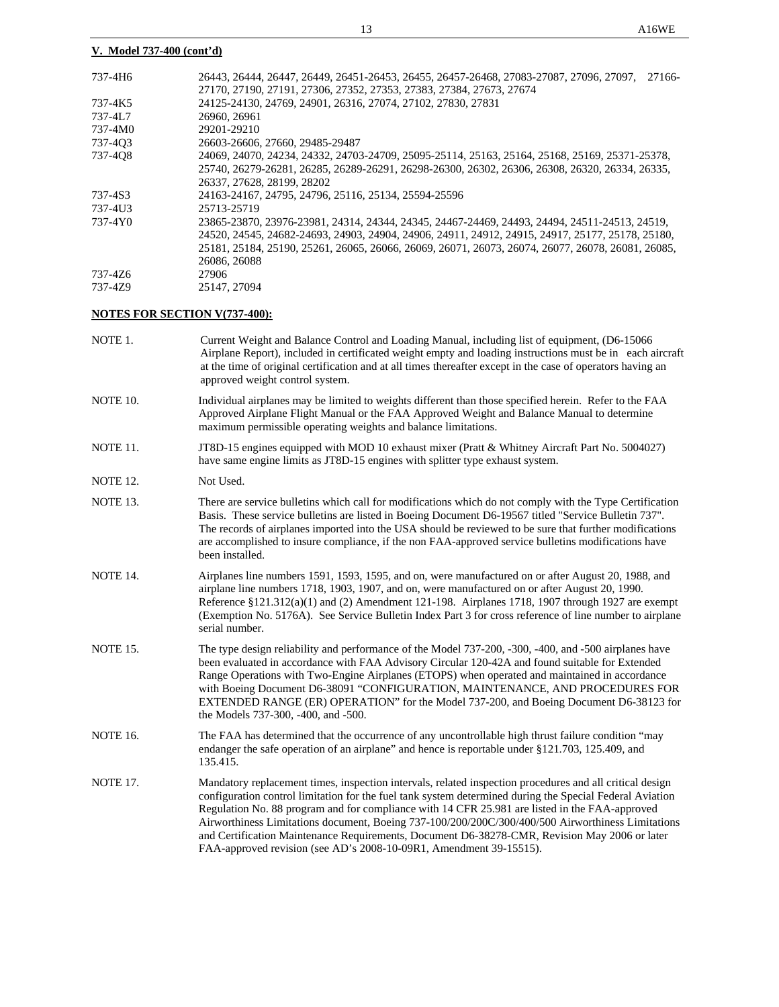### **V. Model 737-400 (cont'd)**

| 737-4H6 | 26443, 26444, 26447, 26449, 26451-26453, 26455, 26457-26468, 27083-27087, 27096, 27097, 27166-    |
|---------|---------------------------------------------------------------------------------------------------|
|         | 27170, 27190, 27191, 27306, 27352, 27353, 27383, 27384, 27673, 27674                              |
| 737-4K5 | 24125-24130, 24769, 24901, 26316, 27074, 27102, 27830, 27831                                      |
| 737-4L7 | 26960, 26961                                                                                      |
| 737-4M0 | 29201-29210                                                                                       |
| 737-403 | 26603-26606, 27660, 29485-29487                                                                   |
| 737-408 | 24069, 24070, 24234, 24332, 24703-24709, 25095-25114, 25163, 25164, 25168, 25169, 25371-25378,    |
|         | 25740, 26279-26281, 26285, 26289-26291, 26298-26300, 26302, 26306, 26308, 26320, 26334, 26335,    |
|         | 26337, 27628, 28199, 28202                                                                        |
| 737-4S3 | 24163-24167, 24795, 24796, 25116, 25134, 25594-25596                                              |
| 737-4U3 | 25713-25719                                                                                       |
| 737-4Y0 | 23865-23870, 23976-23981, 24314, 24344, 24345, 24467-24469, 24493, 24494, 24511-24513, 24519,     |
|         | 24520, 24545, 24682-24693, 24903, 24904, 24906, 24911, 24912, 24915, 24917, 25177, 25178, 25180,  |
|         | 25181, 25184, 25190, 25261, 26065, 26066, 26069, 26071, 26073, 26074, 26077, 26078, 26081, 26085, |
|         | 26086, 26088                                                                                      |
| 737-476 | 27906                                                                                             |
| 737-479 | 25147, 27094                                                                                      |
|         |                                                                                                   |

# **NOTES FOR SECTION V(737-400):**

| Current Weight and Balance Control and Loading Manual, including list of equipment, (D6-15066<br>Airplane Report), included in certificated weight empty and loading instructions must be in each aircraft<br>at the time of original certification and at all times thereafter except in the case of operators having an<br>approved weight control system.                                                                                                                                                                                                                                       |
|----------------------------------------------------------------------------------------------------------------------------------------------------------------------------------------------------------------------------------------------------------------------------------------------------------------------------------------------------------------------------------------------------------------------------------------------------------------------------------------------------------------------------------------------------------------------------------------------------|
| Individual airplanes may be limited to weights different than those specified herein. Refer to the FAA<br>Approved Airplane Flight Manual or the FAA Approved Weight and Balance Manual to determine<br>maximum permissible operating weights and balance limitations.                                                                                                                                                                                                                                                                                                                             |
| JT8D-15 engines equipped with MOD 10 exhaust mixer (Pratt & Whitney Aircraft Part No. 5004027)<br>have same engine limits as JT8D-15 engines with splitter type exhaust system.                                                                                                                                                                                                                                                                                                                                                                                                                    |
| Not Used.                                                                                                                                                                                                                                                                                                                                                                                                                                                                                                                                                                                          |
| There are service bulletins which call for modifications which do not comply with the Type Certification<br>Basis. These service bulletins are listed in Boeing Document D6-19567 titled "Service Bulletin 737".<br>The records of airplanes imported into the USA should be reviewed to be sure that further modifications<br>are accomplished to insure compliance, if the non FAA-approved service bulletins modifications have<br>been installed.                                                                                                                                              |
| Airplanes line numbers 1591, 1593, 1595, and on, were manufactured on or after August 20, 1988, and<br>airplane line numbers 1718, 1903, 1907, and on, were manufactured on or after August 20, 1990.<br>Reference $\S 121.312(a)(1)$ and (2) Amendment 121-198. Airplanes 1718, 1907 through 1927 are exempt<br>(Exemption No. 5176A). See Service Bulletin Index Part 3 for cross reference of line number to airplane<br>serial number.                                                                                                                                                         |
| The type design reliability and performance of the Model 737-200, -300, -400, and -500 airplanes have<br>been evaluated in accordance with FAA Advisory Circular 120-42A and found suitable for Extended<br>Range Operations with Two-Engine Airplanes (ETOPS) when operated and maintained in accordance<br>with Boeing Document D6-38091 "CONFIGURATION, MAINTENANCE, AND PROCEDURES FOR<br>EXTENDED RANGE (ER) OPERATION" for the Model 737-200, and Boeing Document D6-38123 for<br>the Models 737-300, -400, and -500.                                                                        |
| The FAA has determined that the occurrence of any uncontrollable high thrust failure condition "may<br>endanger the safe operation of an airplane" and hence is reportable under §121.703, 125.409, and<br>135.415.                                                                                                                                                                                                                                                                                                                                                                                |
| Mandatory replacement times, inspection intervals, related inspection procedures and all critical design<br>configuration control limitation for the fuel tank system determined during the Special Federal Aviation<br>Regulation No. 88 program and for compliance with 14 CFR 25.981 are listed in the FAA-approved<br>Airworthiness Limitations document, Boeing 737-100/200/200C/300/400/500 Airworthiness Limitations<br>and Certification Maintenance Requirements, Document D6-38278-CMR, Revision May 2006 or later<br>FAA-approved revision (see AD's 2008-10-09R1, Amendment 39-15515). |
|                                                                                                                                                                                                                                                                                                                                                                                                                                                                                                                                                                                                    |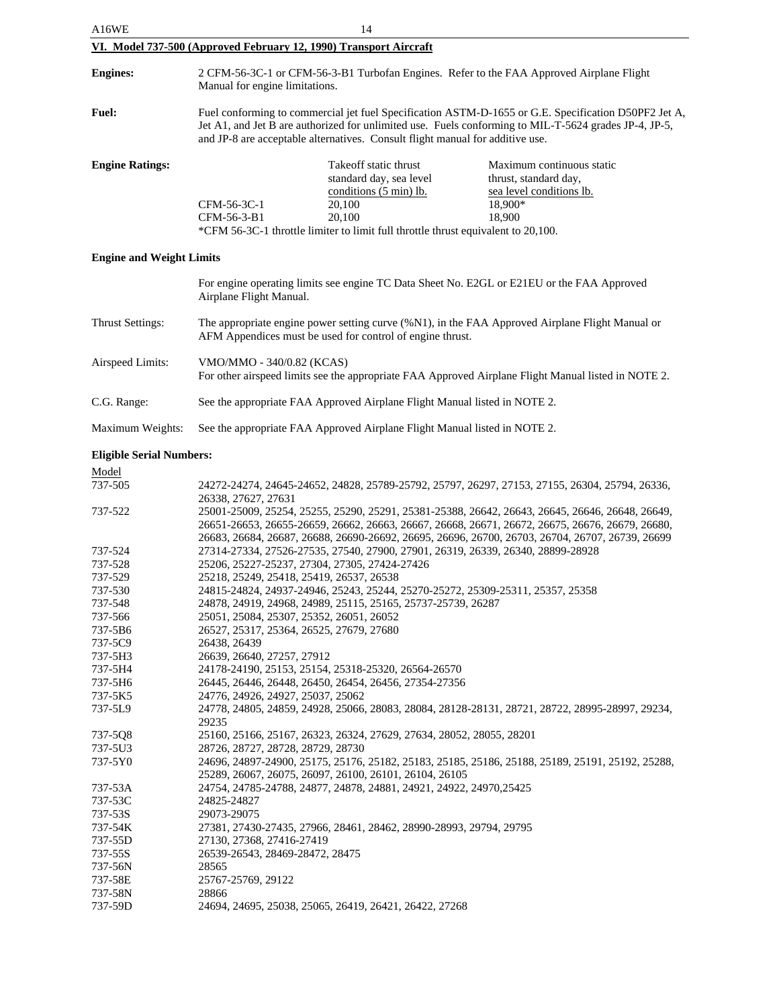| A16WE                           | 14                                                                                                                                                                                                                                                                                             |                                                                                                                                                                                      |                                                                                                     |
|---------------------------------|------------------------------------------------------------------------------------------------------------------------------------------------------------------------------------------------------------------------------------------------------------------------------------------------|--------------------------------------------------------------------------------------------------------------------------------------------------------------------------------------|-----------------------------------------------------------------------------------------------------|
|                                 |                                                                                                                                                                                                                                                                                                | VI. Model 737-500 (Approved February 12, 1990) Transport Aircraft                                                                                                                    |                                                                                                     |
| <b>Engines:</b>                 | 2 CFM-56-3C-1 or CFM-56-3-B1 Turbofan Engines. Refer to the FAA Approved Airplane Flight<br>Manual for engine limitations.                                                                                                                                                                     |                                                                                                                                                                                      |                                                                                                     |
| <b>Fuel:</b>                    | Fuel conforming to commercial jet fuel Specification ASTM-D-1655 or G.E. Specification D50PF2 Jet A,<br>Jet A1, and Jet B are authorized for unlimited use. Fuels conforming to MIL-T-5624 grades JP-4, JP-5,<br>and JP-8 are acceptable alternatives. Consult flight manual for additive use. |                                                                                                                                                                                      |                                                                                                     |
| <b>Engine Ratings:</b>          | CFM-56-3C-1<br>CFM-56-3-B1                                                                                                                                                                                                                                                                     | Take off static thrust<br>standard day, sea level<br>conditions (5 min) lb.<br>20,100<br>20,100<br>*CFM 56-3C-1 throttle limiter to limit full throttle thrust equivalent to 20,100. | Maximum continuous static<br>thrust, standard day,<br>sea level conditions lb.<br>18,900*<br>18,900 |
| <b>Engine and Weight Limits</b> |                                                                                                                                                                                                                                                                                                |                                                                                                                                                                                      |                                                                                                     |
|                                 | Airplane Flight Manual.                                                                                                                                                                                                                                                                        |                                                                                                                                                                                      | For engine operating limits see engine TC Data Sheet No. E2GL or E21EU or the FAA Approved          |

| Thrust Settings: | The appropriate engine power setting curve (%N1), in the FAA Approved Airplane Flight Manual or<br>AFM Appendices must be used for control of engine thrust. |
|------------------|--------------------------------------------------------------------------------------------------------------------------------------------------------------|
| Airspeed Limits: | VMO/MMO - 340/0.82 (KCAS)<br>For other airspeed limits see the appropriate FAA Approved Airplane Flight Manual listed in NOTE 2.                             |
| C.G. Range:      | See the appropriate FAA Approved Airplane Flight Manual listed in NOTE 2.                                                                                    |

Maximum Weights: See the appropriate FAA Approved Airplane Flight Manual listed in NOTE 2.

### **Eligible Serial Numbers:**

| Model   |                                                                                                                       |
|---------|-----------------------------------------------------------------------------------------------------------------------|
| 737-505 | 24272-24274, 24645-24652, 24828, 25789-25792, 25797, 26297, 27153, 27155, 26304, 25794, 26336,<br>26338, 27627, 27631 |
| 737-522 | 25001-25009, 25254, 25255, 25290, 25291, 25381-25388, 26642, 26643, 26645, 26646, 26648, 26649,                       |
|         | 26651-26653, 26655-26659, 26662, 26663, 26667, 26668, 26671, 26672, 26675, 26676, 26679, 26680,                       |
|         | 26683, 26684, 26687, 26688, 26690-26692, 26695, 26696, 26700, 26703, 26704, 26707, 26739, 26699                       |
| 737-524 | 27314-27334, 27526-27535, 27540, 27900, 27901, 26319, 26339, 26340, 28899-28928                                       |
| 737-528 | 25206, 25227-25237, 27304, 27305, 27424-27426                                                                         |
| 737-529 | 25218, 25249, 25418, 25419, 26537, 26538                                                                              |
| 737-530 | 24815-24824, 24937-24946, 25243, 25244, 25270-25272, 25309-25311, 25357, 25358                                        |
| 737-548 | 24878, 24919, 24968, 24989, 25115, 25165, 25737-25739, 26287                                                          |
| 737-566 | 25051, 25084, 25307, 25352, 26051, 26052                                                                              |
| 737-5B6 | 26527, 25317, 25364, 26525, 27679, 27680                                                                              |
| 737-5C9 | 26438, 26439                                                                                                          |
| 737-5H3 | 26639, 26640, 27257, 27912                                                                                            |
| 737-5H4 | 24178-24190, 25153, 25154, 25318-25320, 26564-26570                                                                   |
| 737-5H6 | 26445, 26446, 26448, 26450, 26454, 26456, 27354-27356                                                                 |
| 737-5K5 | 24776, 24926, 24927, 25037, 25062                                                                                     |
| 737-5L9 | 24778, 24805, 24859, 24928, 25066, 28083, 28084, 28128-28131, 28721, 28722, 28995-28997, 29234,                       |
|         | 29235                                                                                                                 |
| 737-5Q8 | 25160, 25166, 25167, 26323, 26324, 27629, 27634, 28052, 28055, 28201                                                  |
| 737-5U3 | 28726, 28727, 28728, 28729, 28730                                                                                     |
| 737-5Y0 | 24696, 24897-24900, 25175, 25176, 25182, 25183, 25185, 25186, 25188, 25189, 25191, 25192, 25288,                      |
|         | 25289, 26067, 26075, 26097, 26100, 26101, 26104, 26105                                                                |
| 737-53A | 24754, 24785-24788, 24877, 24878, 24881, 24921, 24922, 24970, 25425                                                   |
| 737-53C | 24825-24827                                                                                                           |
| 737-53S | 29073-29075                                                                                                           |
| 737-54K | 27381, 27430-27435, 27966, 28461, 28462, 28990-28993, 29794, 29795                                                    |
| 737-55D | 27130, 27368, 27416-27419                                                                                             |
| 737-55S | 26539-26543, 28469-28472, 28475                                                                                       |
| 737-56N | 28565                                                                                                                 |
| 737-58E | 25767-25769, 29122                                                                                                    |
| 737-58N | 28866                                                                                                                 |
| 737-59D | 24694, 24695, 25038, 25065, 26419, 26421, 26422, 27268                                                                |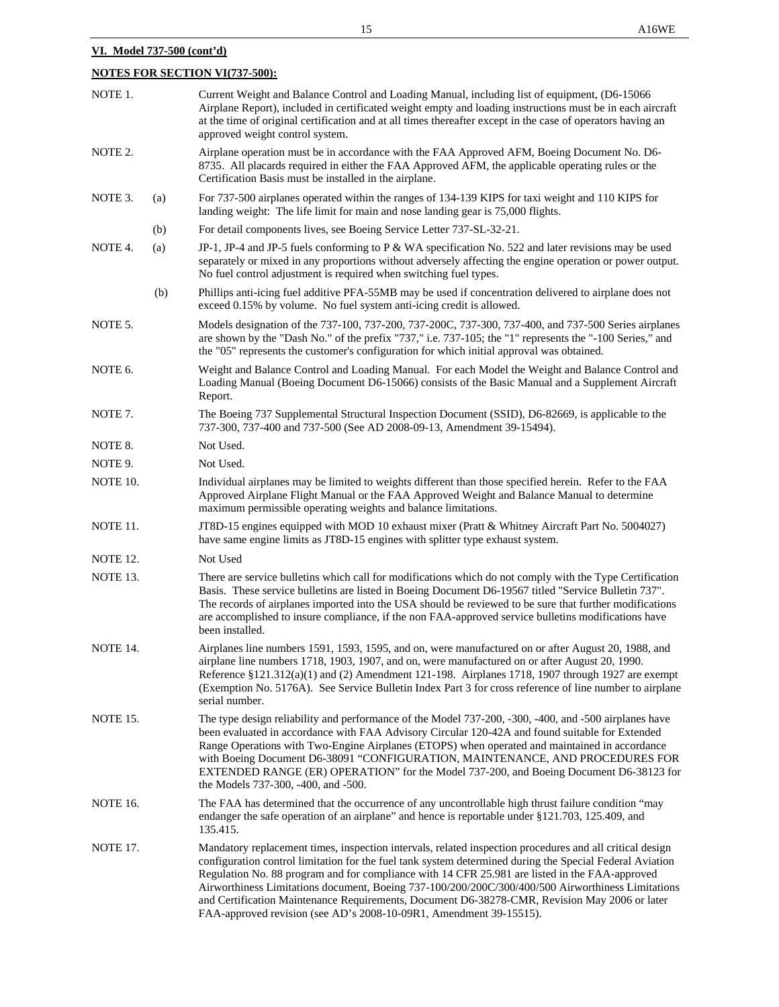# **NOTES FOR SECTION VI(737-500):**

| NOTE 1.         |     | Current Weight and Balance Control and Loading Manual, including list of equipment, (D6-15066<br>Airplane Report), included in certificated weight empty and loading instructions must be in each aircraft<br>at the time of original certification and at all times thereafter except in the case of operators having an<br>approved weight control system.                                                                                                                                                                                                                                       |
|-----------------|-----|----------------------------------------------------------------------------------------------------------------------------------------------------------------------------------------------------------------------------------------------------------------------------------------------------------------------------------------------------------------------------------------------------------------------------------------------------------------------------------------------------------------------------------------------------------------------------------------------------|
| NOTE 2.         |     | Airplane operation must be in accordance with the FAA Approved AFM, Boeing Document No. D6-<br>8735. All placards required in either the FAA Approved AFM, the applicable operating rules or the<br>Certification Basis must be installed in the airplane.                                                                                                                                                                                                                                                                                                                                         |
| NOTE 3.         | (a) | For 737-500 airplanes operated within the ranges of 134-139 KIPS for taxi weight and 110 KIPS for<br>landing weight: The life limit for main and nose landing gear is 75,000 flights.                                                                                                                                                                                                                                                                                                                                                                                                              |
|                 | (b) | For detail components lives, see Boeing Service Letter 737-SL-32-21.                                                                                                                                                                                                                                                                                                                                                                                                                                                                                                                               |
| NOTE 4.         | (a) | JP-1, JP-4 and JP-5 fuels conforming to P & WA specification No. 522 and later revisions may be used<br>separately or mixed in any proportions without adversely affecting the engine operation or power output.<br>No fuel control adjustment is required when switching fuel types.                                                                                                                                                                                                                                                                                                              |
|                 | (b) | Phillips anti-icing fuel additive PFA-55MB may be used if concentration delivered to airplane does not<br>exceed 0.15% by volume. No fuel system anti-icing credit is allowed.                                                                                                                                                                                                                                                                                                                                                                                                                     |
| NOTE 5.         |     | Models designation of the 737-100, 737-200, 737-200C, 737-300, 737-400, and 737-500 Series airplanes<br>are shown by the "Dash No." of the prefix "737," i.e. 737-105; the "1" represents the "-100 Series," and<br>the "05" represents the customer's configuration for which initial approval was obtained.                                                                                                                                                                                                                                                                                      |
| NOTE 6.         |     | Weight and Balance Control and Loading Manual. For each Model the Weight and Balance Control and<br>Loading Manual (Boeing Document D6-15066) consists of the Basic Manual and a Supplement Aircraft<br>Report.                                                                                                                                                                                                                                                                                                                                                                                    |
| NOTE 7.         |     | The Boeing 737 Supplemental Structural Inspection Document (SSID), D6-82669, is applicable to the<br>737-300, 737-400 and 737-500 (See AD 2008-09-13, Amendment 39-15494).                                                                                                                                                                                                                                                                                                                                                                                                                         |
| NOTE 8.         |     | Not Used.                                                                                                                                                                                                                                                                                                                                                                                                                                                                                                                                                                                          |
| NOTE 9.         |     | Not Used.                                                                                                                                                                                                                                                                                                                                                                                                                                                                                                                                                                                          |
| NOTE 10.        |     | Individual airplanes may be limited to weights different than those specified herein. Refer to the FAA<br>Approved Airplane Flight Manual or the FAA Approved Weight and Balance Manual to determine<br>maximum permissible operating weights and balance limitations.                                                                                                                                                                                                                                                                                                                             |
| NOTE 11.        |     | JT8D-15 engines equipped with MOD 10 exhaust mixer (Pratt & Whitney Aircraft Part No. 5004027)<br>have same engine limits as JT8D-15 engines with splitter type exhaust system.                                                                                                                                                                                                                                                                                                                                                                                                                    |
| <b>NOTE 12.</b> |     | Not Used                                                                                                                                                                                                                                                                                                                                                                                                                                                                                                                                                                                           |
| NOTE 13.        |     | There are service bulletins which call for modifications which do not comply with the Type Certification<br>Basis. These service bulletins are listed in Boeing Document D6-19567 titled "Service Bulletin 737".<br>The records of airplanes imported into the USA should be reviewed to be sure that further modifications<br>are accomplished to insure compliance, if the non FAA-approved service bulletins modifications have<br>been installed.                                                                                                                                              |
| NOTE 14.        |     | Airplanes line numbers 1591, 1593, 1595, and on, were manufactured on or after August 20, 1988, and<br>airplane line numbers 1718, 1903, 1907, and on, were manufactured on or after August 20, 1990.<br>Reference §121.312(a)(1) and (2) Amendment 121-198. Airplanes 1718, 1907 through 1927 are exempt<br>(Exemption No. 5176A). See Service Bulletin Index Part 3 for cross reference of line number to airplane<br>serial number.                                                                                                                                                             |
| <b>NOTE 15.</b> |     | The type design reliability and performance of the Model 737-200, -300, -400, and -500 airplanes have<br>been evaluated in accordance with FAA Advisory Circular 120-42A and found suitable for Extended<br>Range Operations with Two-Engine Airplanes (ETOPS) when operated and maintained in accordance<br>with Boeing Document D6-38091 "CONFIGURATION, MAINTENANCE, AND PROCEDURES FOR<br>EXTENDED RANGE (ER) OPERATION" for the Model 737-200, and Boeing Document D6-38123 for<br>the Models 737-300, -400, and -500.                                                                        |
| <b>NOTE 16.</b> |     | The FAA has determined that the occurrence of any uncontrollable high thrust failure condition "may<br>endanger the safe operation of an airplane" and hence is reportable under §121.703, 125.409, and<br>135.415.                                                                                                                                                                                                                                                                                                                                                                                |
| <b>NOTE 17.</b> |     | Mandatory replacement times, inspection intervals, related inspection procedures and all critical design<br>configuration control limitation for the fuel tank system determined during the Special Federal Aviation<br>Regulation No. 88 program and for compliance with 14 CFR 25.981 are listed in the FAA-approved<br>Airworthiness Limitations document, Boeing 737-100/200/200C/300/400/500 Airworthiness Limitations<br>and Certification Maintenance Requirements, Document D6-38278-CMR, Revision May 2006 or later<br>FAA-approved revision (see AD's 2008-10-09R1, Amendment 39-15515). |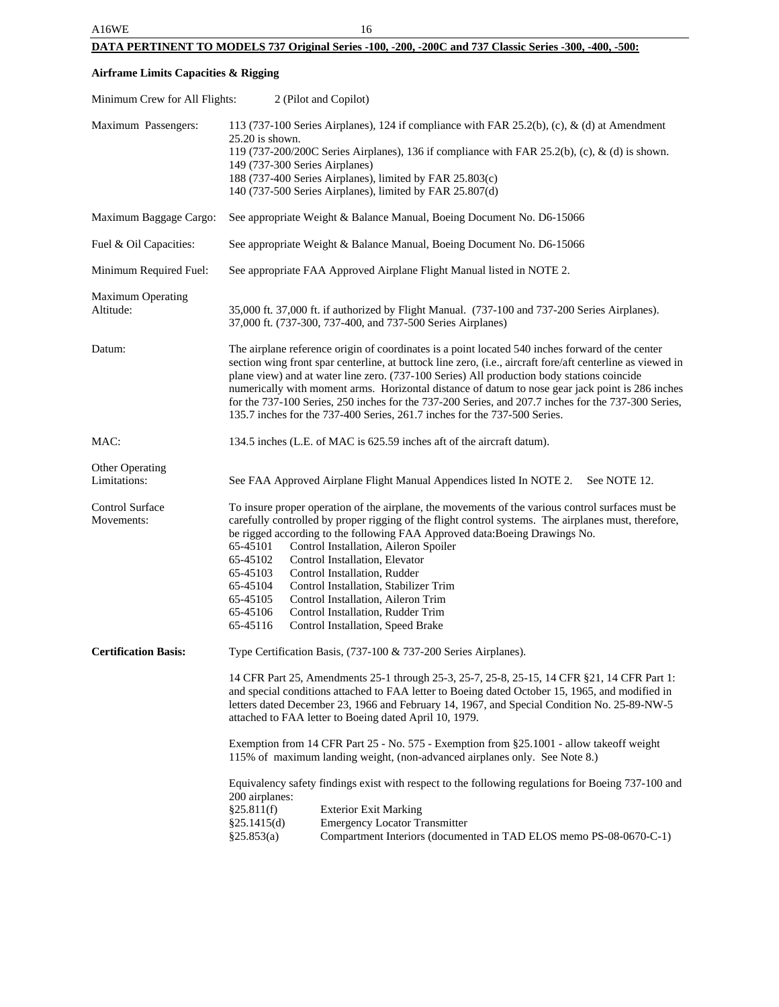# **DATA PERTINENT TO MODELS 737 Original Series -100, -200, -200C and 737 Classic Series -300, -400, -500:**

# **Airframe Limits Capacities & Rigging**

| Minimum Crew for All Flights:                                                                                                                            | 2 (Pilot and Copilot)                                                                                                                                                                                                                                                                                                                                                                                                                                                                                                                                                                                                                            |                                                                                                                                                                                                                                                                                                                                                                                                                                                                          |  |
|----------------------------------------------------------------------------------------------------------------------------------------------------------|--------------------------------------------------------------------------------------------------------------------------------------------------------------------------------------------------------------------------------------------------------------------------------------------------------------------------------------------------------------------------------------------------------------------------------------------------------------------------------------------------------------------------------------------------------------------------------------------------------------------------------------------------|--------------------------------------------------------------------------------------------------------------------------------------------------------------------------------------------------------------------------------------------------------------------------------------------------------------------------------------------------------------------------------------------------------------------------------------------------------------------------|--|
| Maximum Passengers:                                                                                                                                      | 113 (737-100 Series Airplanes), 124 if compliance with FAR 25.2(b), (c), & (d) at Amendment<br>$25.20$ is shown.<br>119 (737-200/200C Series Airplanes), 136 if compliance with FAR 25.2(b), (c), & (d) is shown.<br>149 (737-300 Series Airplanes)<br>188 (737-400 Series Airplanes), limited by FAR 25.803(c)<br>140 (737-500 Series Airplanes), limited by FAR 25.807(d)                                                                                                                                                                                                                                                                      |                                                                                                                                                                                                                                                                                                                                                                                                                                                                          |  |
| Maximum Baggage Cargo:                                                                                                                                   | See appropriate Weight & Balance Manual, Boeing Document No. D6-15066                                                                                                                                                                                                                                                                                                                                                                                                                                                                                                                                                                            |                                                                                                                                                                                                                                                                                                                                                                                                                                                                          |  |
| Fuel & Oil Capacities:                                                                                                                                   |                                                                                                                                                                                                                                                                                                                                                                                                                                                                                                                                                                                                                                                  | See appropriate Weight & Balance Manual, Boeing Document No. D6-15066                                                                                                                                                                                                                                                                                                                                                                                                    |  |
| Minimum Required Fuel:                                                                                                                                   | See appropriate FAA Approved Airplane Flight Manual listed in NOTE 2.                                                                                                                                                                                                                                                                                                                                                                                                                                                                                                                                                                            |                                                                                                                                                                                                                                                                                                                                                                                                                                                                          |  |
| <b>Maximum Operating</b><br>Altitude:                                                                                                                    | 35,000 ft. 37,000 ft. if authorized by Flight Manual. (737-100 and 737-200 Series Airplanes).<br>37,000 ft. (737-300, 737-400, and 737-500 Series Airplanes)                                                                                                                                                                                                                                                                                                                                                                                                                                                                                     |                                                                                                                                                                                                                                                                                                                                                                                                                                                                          |  |
| Datum:                                                                                                                                                   | The airplane reference origin of coordinates is a point located 540 inches forward of the center<br>section wing front spar centerline, at buttock line zero, (i.e., aircraft fore/aft centerline as viewed in<br>plane view) and at water line zero. (737-100 Series) All production body stations coincide<br>numerically with moment arms. Horizontal distance of datum to nose gear jack point is 286 inches<br>for the 737-100 Series, 250 inches for the 737-200 Series, and 207.7 inches for the 737-300 Series,<br>135.7 inches for the 737-400 Series, 261.7 inches for the 737-500 Series.                                             |                                                                                                                                                                                                                                                                                                                                                                                                                                                                          |  |
| MAC:                                                                                                                                                     | 134.5 inches (L.E. of MAC is 625.59 inches aft of the aircraft datum).                                                                                                                                                                                                                                                                                                                                                                                                                                                                                                                                                                           |                                                                                                                                                                                                                                                                                                                                                                                                                                                                          |  |
| Other Operating<br>Limitations:                                                                                                                          | See FAA Approved Airplane Flight Manual Appendices listed In NOTE 2.<br>See NOTE 12.                                                                                                                                                                                                                                                                                                                                                                                                                                                                                                                                                             |                                                                                                                                                                                                                                                                                                                                                                                                                                                                          |  |
| Control Surface<br>Movements:                                                                                                                            | To insure proper operation of the airplane, the movements of the various control surfaces must be<br>carefully controlled by proper rigging of the flight control systems. The airplanes must, therefore,<br>be rigged according to the following FAA Approved data: Boeing Drawings No.<br>Control Installation, Aileron Spoiler<br>65-45101<br>Control Installation, Elevator<br>65-45102<br>Control Installation, Rudder<br>65-45103<br>65-45104<br>Control Installation, Stabilizer Trim<br>Control Installation, Aileron Trim<br>65-45105<br>Control Installation, Rudder Trim<br>65-45106<br>65-45116<br>Control Installation, Speed Brake |                                                                                                                                                                                                                                                                                                                                                                                                                                                                          |  |
| <b>Certification Basis:</b><br>Type Certification Basis, (737-100 & 737-200 Series Airplanes).<br>attached to FAA letter to Boeing dated April 10, 1979. |                                                                                                                                                                                                                                                                                                                                                                                                                                                                                                                                                                                                                                                  | 14 CFR Part 25, Amendments 25-1 through 25-3, 25-7, 25-8, 25-15, 14 CFR § 21, 14 CFR Part 1:<br>and special conditions attached to FAA letter to Boeing dated October 15, 1965, and modified in<br>letters dated December 23, 1966 and February 14, 1967, and Special Condition No. 25-89-NW-5<br>Exemption from 14 CFR Part 25 - No. 575 - Exemption from §25.1001 - allow takeoff weight<br>115% of maximum landing weight, (non-advanced airplanes only. See Note 8.) |  |
|                                                                                                                                                          | 200 airplanes:<br>§25.811(f)<br><b>Exterior Exit Marking</b><br>§25.1415(d)<br><b>Emergency Locator Transmitter</b><br>§25.853(a)                                                                                                                                                                                                                                                                                                                                                                                                                                                                                                                | Equivalency safety findings exist with respect to the following regulations for Boeing 737-100 and<br>Compartment Interiors (documented in TAD ELOS memo PS-08-0670-C-1)                                                                                                                                                                                                                                                                                                 |  |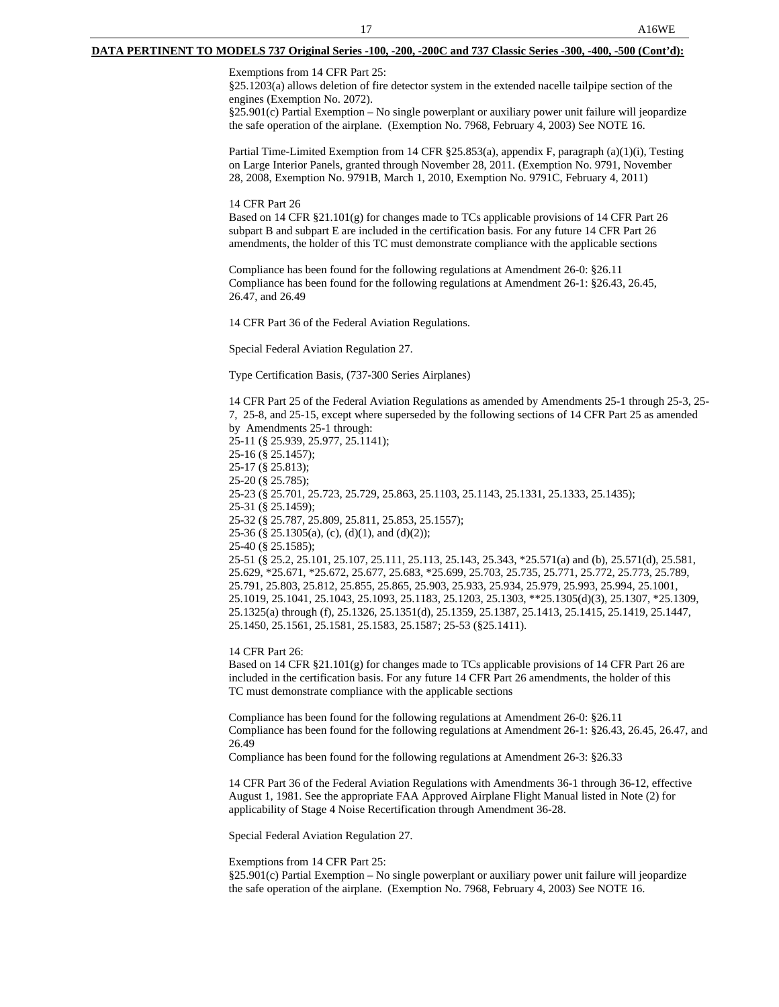Exemptions from 14 CFR Part 25:

§25.1203(a) allows deletion of fire detector system in the extended nacelle tailpipe section of the engines (Exemption No. 2072).

§25.901(c) Partial Exemption – No single powerplant or auxiliary power unit failure will jeopardize the safe operation of the airplane. (Exemption No. 7968, February 4, 2003) See NOTE 16.

Partial Time-Limited Exemption from 14 CFR §25.853(a), appendix F, paragraph (a)(1)(i), Testing on Large Interior Panels, granted through November 28, 2011. (Exemption No. 9791, November 28, 2008, Exemption No. 9791B, March 1, 2010, Exemption No. 9791C, February 4, 2011)

14 CFR Part 26

Based on 14 CFR §21.101(g) for changes made to TCs applicable provisions of 14 CFR Part 26 subpart B and subpart E are included in the certification basis. For any future 14 CFR Part 26 amendments, the holder of this TC must demonstrate compliance with the applicable sections

Compliance has been found for the following regulations at Amendment 26-0: §26.11 Compliance has been found for the following regulations at Amendment 26-1: §26.43, 26.45, 26.47, and 26.49

14 CFR Part 36 of the Federal Aviation Regulations.

Special Federal Aviation Regulation 27.

Type Certification Basis, (737-300 Series Airplanes)

14 CFR Part 25 of the Federal Aviation Regulations as amended by Amendments 25-1 through 25-3, 25- 7, 25-8, and 25-15, except where superseded by the following sections of 14 CFR Part 25 as amended by Amendments 25-1 through: 25-11 (§ 25.939, 25.977, 25.1141); 25-16 (§ 25.1457); 25-17 (§ 25.813); 25-20 (§ 25.785); 25-23 (§ 25.701, 25.723, 25.729, 25.863, 25.1103, 25.1143, 25.1331, 25.1333, 25.1435); 25-31 (§ 25.1459); 25-32 (§ 25.787, 25.809, 25.811, 25.853, 25.1557); 25-36 (§ 25.1305(a), (c), (d)(1), and (d)(2)); 25-40 (§ 25.1585); 25-51 (§ 25.2, 25.101, 25.107, 25.111, 25.113, 25.143, 25.343, \*25.571(a) and (b), 25.571(d), 25.581, 25.629, \*25.671, \*25.672, 25.677, 25.683, \*25.699, 25.703, 25.735, 25.771, 25.772, 25.773, 25.789, 25.791, 25.803, 25.812, 25.855, 25.865, 25.903, 25.933, 25.934, 25.979, 25.993, 25.994, 25.1001, 25.1019, 25.1041, 25.1043, 25.1093, 25.1183, 25.1203, 25.1303, \*\*25.1305(d)(3), 25.1307, \*25.1309, 25.1325(a) through (f), 25.1326, 25.1351(d), 25.1359, 25.1387, 25.1413, 25.1415, 25.1419, 25.1447,

25.1450, 25.1561, 25.1581, 25.1583, 25.1587; 25-53 (§25.1411).

14 CFR Part 26:

Based on 14 CFR §21.101(g) for changes made to TCs applicable provisions of 14 CFR Part 26 are included in the certification basis. For any future 14 CFR Part 26 amendments, the holder of this TC must demonstrate compliance with the applicable sections

Compliance has been found for the following regulations at Amendment 26-0: §26.11 Compliance has been found for the following regulations at Amendment 26-1: §26.43, 26.45, 26.47, and 26.49

Compliance has been found for the following regulations at Amendment 26-3: §26.33

14 CFR Part 36 of the Federal Aviation Regulations with Amendments 36-1 through 36-12, effective August 1, 1981. See the appropriate FAA Approved Airplane Flight Manual listed in Note (2) for applicability of Stage 4 Noise Recertification through Amendment 36-28.

Special Federal Aviation Regulation 27.

Exemptions from 14 CFR Part 25:

§25.901(c) Partial Exemption – No single powerplant or auxiliary power unit failure will jeopardize the safe operation of the airplane. (Exemption No. 7968, February 4, 2003) See NOTE 16.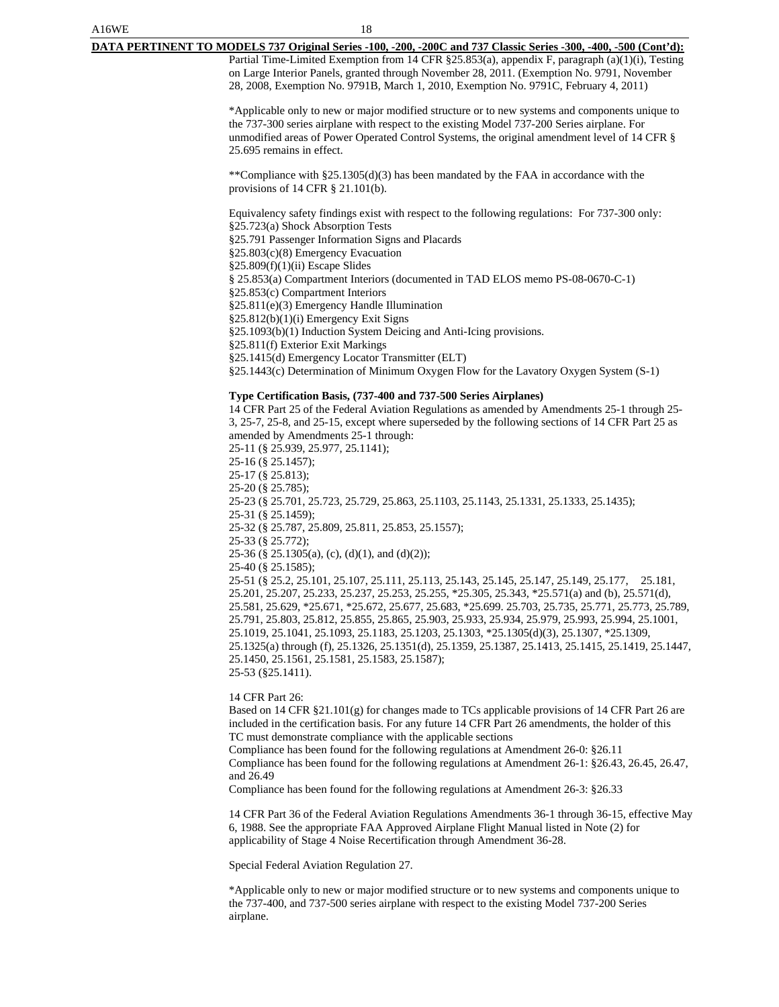# A16WE 18 **DATA PERTINENT TO MODELS 737 Original Series -100, -200, -200C and 737 Classic Series -300, -400, -500 (Cont'd):** Partial Time-Limited Exemption from 14 CFR §25.853(a), appendix F, paragraph (a)(1)(i), Testing on Large Interior Panels, granted through November 28, 2011. (Exemption No. 9791, November 28, 2008, Exemption No. 9791B, March 1, 2010, Exemption No. 9791C, February 4, 2011) \*Applicable only to new or major modified structure or to new systems and components unique to the 737-300 series airplane with respect to the existing Model 737-200 Series airplane. For unmodified areas of Power Operated Control Systems, the original amendment level of 14 CFR § 25.695 remains in effect.

\*\*Compliance with §25.1305(d)(3) has been mandated by the FAA in accordance with the provisions of 14 CFR § 21.101(b).

Equivalency safety findings exist with respect to the following regulations: For 737-300 only: §25.723(a) Shock Absorption Tests §25.791 Passenger Information Signs and Placards §25.803(c)(8) Emergency Evacuation §25.809(f)(1)(ii) Escape Slides § 25.853(a) Compartment Interiors (documented in TAD ELOS memo PS-08-0670-C-1) §25.853(c) Compartment Interiors §25.811(e)(3) Emergency Handle Illumination §25.812(b)(1)(i) Emergency Exit Signs §25.1093(b)(1) Induction System Deicing and Anti-Icing provisions. §25.811(f) Exterior Exit Markings §25.1415(d) Emergency Locator Transmitter (ELT)

§25.1443(c) Determination of Minimum Oxygen Flow for the Lavatory Oxygen System (S-1)

### **Type Certification Basis, (737-400 and 737-500 Series Airplanes)**

14 CFR Part 25 of the Federal Aviation Regulations as amended by Amendments 25-1 through 25- 3, 25-7, 25-8, and 25-15, except where superseded by the following sections of 14 CFR Part 25 as amended by Amendments 25-1 through: 25-11 (§ 25.939, 25.977, 25.1141); 25-16 (§ 25.1457); 25-17 (§ 25.813); 25-20 (§ 25.785); 25-23 (§ 25.701, 25.723, 25.729, 25.863, 25.1103, 25.1143, 25.1331, 25.1333, 25.1435); 25-31 (§ 25.1459); 25-32 (§ 25.787, 25.809, 25.811, 25.853, 25.1557); 25-33 (§ 25.772); 25-36 (§ 25.1305(a), (c), (d)(1), and (d)(2)); 25-40 (§ 25.1585); 25-51 (§ 25.2, 25.101, 25.107, 25.111, 25.113, 25.143, 25.145, 25.147, 25.149, 25.177, 25.181, 25.201, 25.207, 25.233, 25.237, 25.253, 25.255, \*25.305, 25.343, \*25.571(a) and (b), 25.571(d), 25.581, 25.629, \*25.671, \*25.672, 25.677, 25.683, \*25.699. 25.703, 25.735, 25.771, 25.773, 25.789, 25.791, 25.803, 25.812, 25.855, 25.865, 25.903, 25.933, 25.934, 25.979, 25.993, 25.994, 25.1001, 25.1019, 25.1041, 25.1093, 25.1183, 25.1203, 25.1303, \*25.1305(d)(3), 25.1307, \*25.1309, 25.1325(a) through (f), 25.1326, 25.1351(d), 25.1359, 25.1387, 25.1413, 25.1415, 25.1419, 25.1447, 25.1450, 25.1561, 25.1581, 25.1583, 25.1587); 25-53 (§25.1411).

14 CFR Part 26:

Based on 14 CFR §21.101(g) for changes made to TCs applicable provisions of 14 CFR Part 26 are included in the certification basis. For any future 14 CFR Part 26 amendments, the holder of this TC must demonstrate compliance with the applicable sections

Compliance has been found for the following regulations at Amendment 26-0: §26.11 Compliance has been found for the following regulations at Amendment 26-1: §26.43, 26.45, 26.47, and 26.49

Compliance has been found for the following regulations at Amendment 26-3: §26.33

14 CFR Part 36 of the Federal Aviation Regulations Amendments 36-1 through 36-15, effective May 6, 1988. See the appropriate FAA Approved Airplane Flight Manual listed in Note (2) for applicability of Stage 4 Noise Recertification through Amendment 36-28.

Special Federal Aviation Regulation 27.

\*Applicable only to new or major modified structure or to new systems and components unique to the 737-400, and 737-500 series airplane with respect to the existing Model 737-200 Series airplane.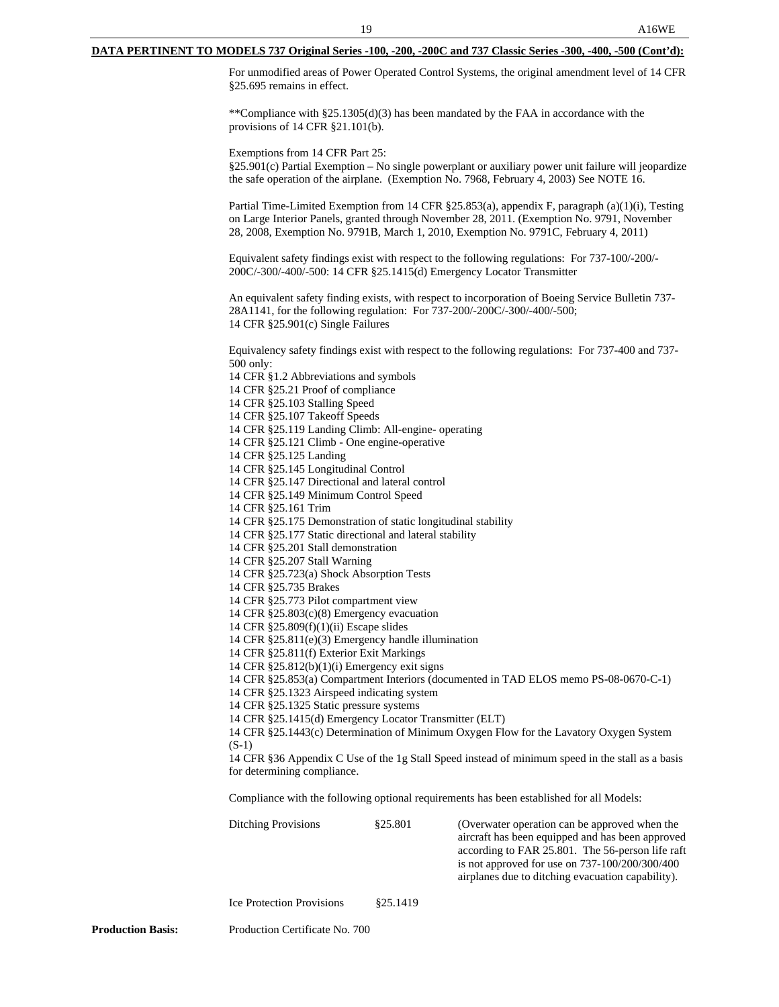### **DATA PERTINENT TO MODELS 737 Original Series -100, -200, -200C and 737 Classic Series -300, -400, -500 (Cont'd):**

For unmodified areas of Power Operated Control Systems, the original amendment level of 14 CFR §25.695 remains in effect.

\*\*Compliance with §25.1305(d)(3) has been mandated by the FAA in accordance with the provisions of 14 CFR §21.101(b).

Exemptions from 14 CFR Part 25: §25.901(c) Partial Exemption – No single powerplant or auxiliary power unit failure will jeopardize the safe operation of the airplane. (Exemption No. 7968, February 4, 2003) See NOTE 16.

Partial Time-Limited Exemption from 14 CFR §25.853(a), appendix F, paragraph (a)(1)(i), Testing on Large Interior Panels, granted through November 28, 2011. (Exemption No. 9791, November 28, 2008, Exemption No. 9791B, March 1, 2010, Exemption No. 9791C, February 4, 2011)

Equivalent safety findings exist with respect to the following regulations: For 737-100/-200/- 200C/-300/-400/-500: 14 CFR §25.1415(d) Emergency Locator Transmitter

An equivalent safety finding exists, with respect to incorporation of Boeing Service Bulletin 737- 28A1141, for the following regulation: For 737-200/-200C/-300/-400/-500; 14 CFR §25.901(c) Single Failures

Equivalency safety findings exist with respect to the following regulations: For 737-400 and 737- 500 only:

14 CFR §1.2 Abbreviations and symbols

14 CFR §25.21 Proof of compliance

14 CFR §25.103 Stalling Speed

14 CFR §25.107 Takeoff Speeds

14 CFR §25.119 Landing Climb: All-engine- operating

14 CFR §25.121 Climb - One engine-operative

14 CFR §25.125 Landing

14 CFR §25.145 Longitudinal Control

14 CFR §25.147 Directional and lateral control

14 CFR §25.149 Minimum Control Speed

14 CFR §25.161 Trim

14 CFR §25.175 Demonstration of static longitudinal stability

14 CFR §25.177 Static directional and lateral stability

14 CFR §25.201 Stall demonstration

14 CFR §25.207 Stall Warning

14 CFR §25.723(a) Shock Absorption Tests

14 CFR §25.735 Brakes

14 CFR §25.773 Pilot compartment view

14 CFR §25.803(c)(8) Emergency evacuation

14 CFR §25.809(f)(1)(ii) Escape slides

14 CFR §25.811(e)(3) Emergency handle illumination

14 CFR §25.811(f) Exterior Exit Markings

14 CFR §25.812(b)(1)(i) Emergency exit signs

14 CFR §25.853(a) Compartment Interiors (documented in TAD ELOS memo PS-08-0670-C-1)

14 CFR §25.1323 Airspeed indicating system

14 CFR §25.1325 Static pressure systems

14 CFR §25.1415(d) Emergency Locator Transmitter (ELT)

14 CFR §25.1443(c) Determination of Minimum Oxygen Flow for the Lavatory Oxygen System (S-1)

14 CFR §36 Appendix C Use of the 1g Stall Speed instead of minimum speed in the stall as a basis for determining compliance.

Compliance with the following optional requirements has been established for all Models:

Ditching Provisions  $§25.801$  (Overwater operation can be approved when the aircraft has been equipped and has been approved according to FAR 25.801. The 56-person life raft is not approved for use on 737-100/200/300/400 airplanes due to ditching evacuation capability).

Ice Protection Provisions §25.1419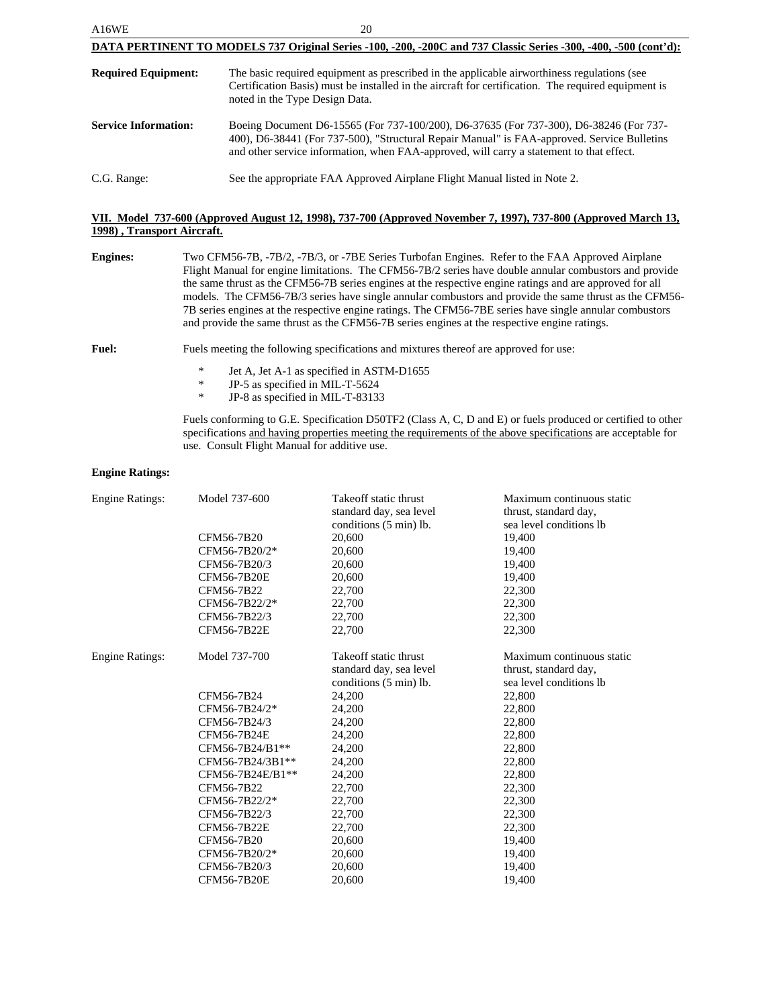| A16WE                       | 20                                                                                                                                                                                                                                                                                |
|-----------------------------|-----------------------------------------------------------------------------------------------------------------------------------------------------------------------------------------------------------------------------------------------------------------------------------|
|                             | DATA PERTINENT TO MODELS 737 Original Series -100, -200, -200C and 737 Classic Series -300, -400, -500 (cont'd):                                                                                                                                                                  |
| <b>Required Equipment:</b>  | The basic required equipment as prescribed in the applicable airworthiness regulations (see<br>Certification Basis) must be installed in the aircraft for certification. The required equipment is<br>noted in the Type Design Data.                                              |
| <b>Service Information:</b> | Boeing Document D6-15565 (For 737-100/200), D6-37635 (For 737-300), D6-38246 (For 737-<br>400), D6-38441 (For 737-500), "Structural Repair Manual" is FAA-approved. Service Bulletins<br>and other service information, when FAA-approved, will carry a statement to that effect. |
| C.G. Range:                 | See the appropriate FAA Approved Airplane Flight Manual listed in Note 2.                                                                                                                                                                                                         |

# **VII. Model 737-600 (Approved August 12, 1998), 737-700 (Approved November 7, 1997), 737-800 (Approved March 13, 1998) , Transport Aircraft.**

| <b>Engines:</b> | Two CFM56-7B, -7B/2, -7B/3, or -7BE Series Turbofan Engines. Refer to the FAA Approved Airplane          |
|-----------------|----------------------------------------------------------------------------------------------------------|
|                 | Flight Manual for engine limitations. The CFM56-7B/2 series have double annular combustors and provide   |
|                 | the same thrust as the CFM56-7B series engines at the respective engine ratings and are approved for all |
|                 | models. The CFM56-7B/3 series have single annular combustors and provide the same thrust as the CFM56-   |
|                 | 7B series engines at the respective engine ratings. The CFM56-7BE series have single annular combustors  |
|                 | and provide the same thrust as the CFM56-7B series engines at the respective engine ratings.             |
|                 |                                                                                                          |

- Fuel: Fuels meeting the following specifications and mixtures thereof are approved for use:
	- \* Jet A, Jet A-1 as specified in ASTM-D1655<br> $\text{P-S}$  as specified in MIL-T-5624
	- \* JP-5 as specified in MIL-T-5624<br> $\overline{P}$  JP-8 as specified in MIL-T-83133
	- JP-8 as specified in MIL-T-83133

Fuels conforming to G.E. Specification D50TF2 (Class A, C, D and E) or fuels produced or certified to other specifications and having properties meeting the requirements of the above specifications are acceptable for use. Consult Flight Manual for additive use.

### **Engine Ratings:**

| Engine Ratings:        | Model 737-600      | Take off static thrust<br>standard day, sea level<br>conditions (5 min) lb. | Maximum continuous static<br>thrust, standard day,<br>sea level conditions lb |
|------------------------|--------------------|-----------------------------------------------------------------------------|-------------------------------------------------------------------------------|
|                        | CFM56-7B20         | 20,600                                                                      | 19,400                                                                        |
|                        | CFM56-7B20/2*      | 20,600                                                                      | 19,400                                                                        |
|                        | CFM56-7B20/3       | 20,600                                                                      | 19,400                                                                        |
|                        | <b>CFM56-7B20E</b> | 20,600                                                                      | 19,400                                                                        |
|                        | CFM56-7B22         | 22,700                                                                      | 22,300                                                                        |
|                        | CFM56-7B22/2*      | 22,700                                                                      | 22,300                                                                        |
|                        | CFM56-7B22/3       | 22,700                                                                      | 22,300                                                                        |
|                        | CFM56-7B22E        | 22,700                                                                      | 22,300                                                                        |
| <b>Engine Ratings:</b> | Model 737-700      | Takeoff static thrust                                                       | Maximum continuous static                                                     |
|                        |                    | standard day, sea level                                                     | thrust, standard day,                                                         |
|                        |                    | conditions (5 min) lb.                                                      | sea level conditions lb                                                       |
|                        | CFM56-7B24         | 24,200                                                                      | 22,800                                                                        |
|                        | CFM56-7B24/2*      | 24,200                                                                      | 22,800                                                                        |
|                        | CFM56-7B24/3       | 24,200                                                                      | 22,800                                                                        |
|                        | CFM56-7B24E        | 24,200                                                                      | 22,800                                                                        |
|                        | CFM56-7B24/B1**    | 24,200                                                                      | 22,800                                                                        |
|                        | CFM56-7B24/3B1**   | 24,200                                                                      | 22,800                                                                        |
|                        | CFM56-7B24E/B1**   | 24,200                                                                      | 22,800                                                                        |
|                        | CFM56-7B22         | 22,700                                                                      | 22,300                                                                        |
|                        | CFM56-7B22/2*      | 22,700                                                                      | 22,300                                                                        |
|                        | CFM56-7B22/3       | 22,700                                                                      | 22,300                                                                        |
|                        | CFM56-7B22E        | 22,700                                                                      | 22,300                                                                        |
|                        | CFM56-7B20         | 20,600                                                                      | 19,400                                                                        |
|                        | CFM56-7B20/2*      | 20,600                                                                      | 19,400                                                                        |
|                        | CFM56-7B20/3       | 20,600                                                                      | 19,400                                                                        |
|                        | <b>CFM56-7B20E</b> | 20,600                                                                      | 19,400                                                                        |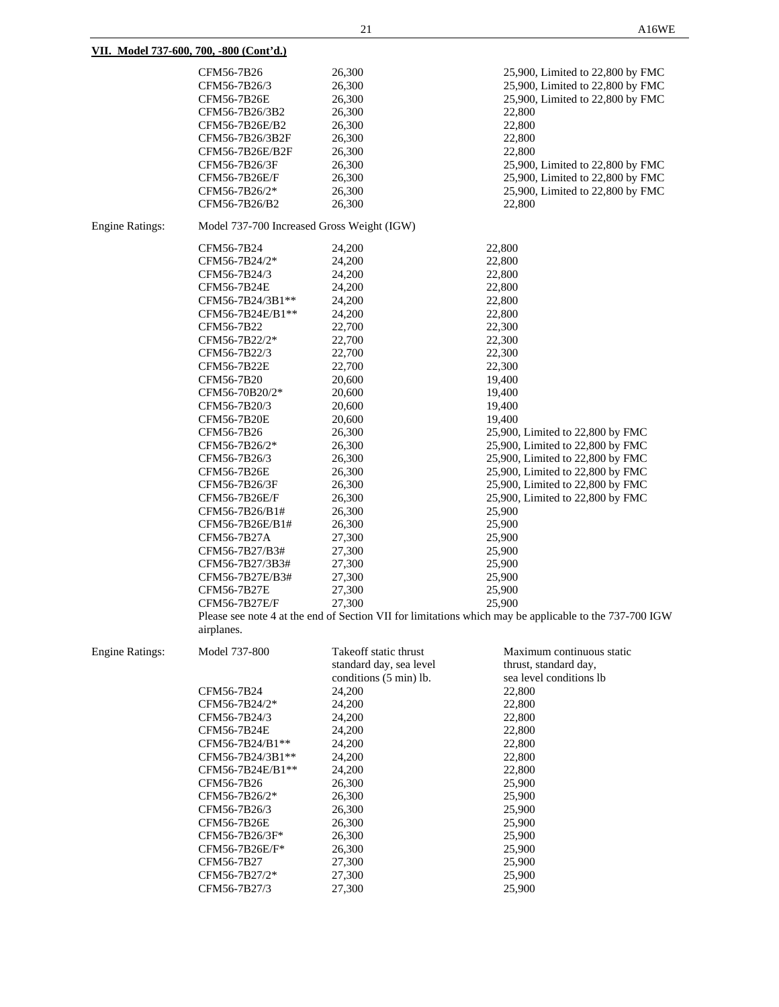|                        | CFM56-7B26<br>CFM56-7B26/3<br>CFM56-7B26E<br>CFM56-7B26/3B2<br>CFM56-7B26E/B2<br>CFM56-7B26/3B2F<br>CFM56-7B26E/B2F<br>CFM56-7B26/3F<br>CFM56-7B26E/F<br>CFM56-7B26/2*<br>CFM56-7B26/B2                                                                                                                                                                                                                                                                                                   | 26,300<br>26,300<br>26,300<br>26,300<br>26,300<br>26,300<br>26,300<br>26,300<br>26,300<br>26,300<br>26,300                                                                                                                                                                           | 25,900, Limited to 22,800 by FMC<br>25,900, Limited to 22,800 by FMC<br>25,900, Limited to 22,800 by FMC<br>22,800<br>22,800<br>22,800<br>22,800<br>25,900, Limited to 22,800 by FMC<br>25,900, Limited to 22,800 by FMC<br>25,900, Limited to 22,800 by FMC<br>22,800                                                                                                                                                                                                                                                                                     |
|------------------------|-------------------------------------------------------------------------------------------------------------------------------------------------------------------------------------------------------------------------------------------------------------------------------------------------------------------------------------------------------------------------------------------------------------------------------------------------------------------------------------------|--------------------------------------------------------------------------------------------------------------------------------------------------------------------------------------------------------------------------------------------------------------------------------------|------------------------------------------------------------------------------------------------------------------------------------------------------------------------------------------------------------------------------------------------------------------------------------------------------------------------------------------------------------------------------------------------------------------------------------------------------------------------------------------------------------------------------------------------------------|
| <b>Engine Ratings:</b> | Model 737-700 Increased Gross Weight (IGW)                                                                                                                                                                                                                                                                                                                                                                                                                                                |                                                                                                                                                                                                                                                                                      |                                                                                                                                                                                                                                                                                                                                                                                                                                                                                                                                                            |
|                        | CFM56-7B24<br>CFM56-7B24/2*<br>CFM56-7B24/3<br>CFM56-7B24E<br>CFM56-7B24/3B1**<br>CFM56-7B24E/B1**<br>CFM56-7B22<br>CFM56-7B22/2*<br>CFM56-7B22/3<br>CFM56-7B22E<br>CFM56-7B20<br>CFM56-70B20/2*<br>CFM56-7B20/3<br>CFM56-7B20E<br>CFM56-7B26<br>CFM56-7B26/2*<br>CFM56-7B26/3<br>CFM56-7B26E<br>CFM56-7B26/3F<br>CFM56-7B26E/F<br>CFM56-7B26/B1#<br>CFM56-7B26E/B1#<br>CFM56-7B27A<br>CFM56-7B27/B3#<br>CFM56-7B27/3B3#<br>CFM56-7B27E/B3#<br>CFM56-7B27E<br>CFM56-7B27E/F<br>airplanes. | 24,200<br>24,200<br>24,200<br>24,200<br>24,200<br>24,200<br>22,700<br>22,700<br>22,700<br>22,700<br>20,600<br>20,600<br>20,600<br>20,600<br>26,300<br>26,300<br>26,300<br>26,300<br>26,300<br>26,300<br>26,300<br>26,300<br>27,300<br>27,300<br>27,300<br>27,300<br>27,300<br>27,300 | 22,800<br>22,800<br>22,800<br>22,800<br>22,800<br>22,800<br>22,300<br>22,300<br>22,300<br>22,300<br>19,400<br>19,400<br>19,400<br>19,400<br>25,900, Limited to 22,800 by FMC<br>25,900, Limited to 22,800 by FMC<br>25,900, Limited to 22,800 by FMC<br>25,900, Limited to 22,800 by FMC<br>25,900, Limited to 22,800 by FMC<br>25,900, Limited to 22,800 by FMC<br>25,900<br>25,900<br>25,900<br>25,900<br>25,900<br>25,900<br>25,900<br>25,900<br>Please see note 4 at the end of Section VII for limitations which may be applicable to the 737-700 IGW |
| <b>Engine Ratings:</b> | Model 737-800<br>CFM56-7B24                                                                                                                                                                                                                                                                                                                                                                                                                                                               | Takeoff static thrust<br>standard day, sea level<br>conditions (5 min) lb.<br>24,200                                                                                                                                                                                                 | Maximum continuous static<br>thrust, standard day,<br>sea level conditions lb<br>22,800                                                                                                                                                                                                                                                                                                                                                                                                                                                                    |
|                        | CFM56-7B24/2*                                                                                                                                                                                                                                                                                                                                                                                                                                                                             | 24,200                                                                                                                                                                                                                                                                               | 22,800                                                                                                                                                                                                                                                                                                                                                                                                                                                                                                                                                     |
|                        | CFM56-7B24/3                                                                                                                                                                                                                                                                                                                                                                                                                                                                              | 24,200                                                                                                                                                                                                                                                                               | 22,800                                                                                                                                                                                                                                                                                                                                                                                                                                                                                                                                                     |
|                        | CFM56-7B24E                                                                                                                                                                                                                                                                                                                                                                                                                                                                               | 24,200                                                                                                                                                                                                                                                                               | 22,800                                                                                                                                                                                                                                                                                                                                                                                                                                                                                                                                                     |
|                        | CFM56-7B24/B1**                                                                                                                                                                                                                                                                                                                                                                                                                                                                           | 24,200                                                                                                                                                                                                                                                                               | 22,800                                                                                                                                                                                                                                                                                                                                                                                                                                                                                                                                                     |
|                        | CFM56-7B24/3B1**<br>CFM56-7B24E/B1**                                                                                                                                                                                                                                                                                                                                                                                                                                                      | 24,200                                                                                                                                                                                                                                                                               | 22,800<br>22,800                                                                                                                                                                                                                                                                                                                                                                                                                                                                                                                                           |
|                        | CFM56-7B26                                                                                                                                                                                                                                                                                                                                                                                                                                                                                | 24,200<br>26,300                                                                                                                                                                                                                                                                     | 25,900                                                                                                                                                                                                                                                                                                                                                                                                                                                                                                                                                     |
|                        | CFM56-7B26/2*                                                                                                                                                                                                                                                                                                                                                                                                                                                                             | 26,300                                                                                                                                                                                                                                                                               | 25,900                                                                                                                                                                                                                                                                                                                                                                                                                                                                                                                                                     |
|                        | CFM56-7B26/3                                                                                                                                                                                                                                                                                                                                                                                                                                                                              | 26,300                                                                                                                                                                                                                                                                               | 25,900                                                                                                                                                                                                                                                                                                                                                                                                                                                                                                                                                     |
|                        | CFM56-7B26E                                                                                                                                                                                                                                                                                                                                                                                                                                                                               | 26,300                                                                                                                                                                                                                                                                               | 25,900                                                                                                                                                                                                                                                                                                                                                                                                                                                                                                                                                     |
|                        | CFM56-7B26/3F*                                                                                                                                                                                                                                                                                                                                                                                                                                                                            | 26,300                                                                                                                                                                                                                                                                               | 25,900                                                                                                                                                                                                                                                                                                                                                                                                                                                                                                                                                     |
|                        | CFM56-7B26E/F*                                                                                                                                                                                                                                                                                                                                                                                                                                                                            | 26,300                                                                                                                                                                                                                                                                               | 25,900                                                                                                                                                                                                                                                                                                                                                                                                                                                                                                                                                     |
|                        | CFM56-7B27                                                                                                                                                                                                                                                                                                                                                                                                                                                                                | 27,300                                                                                                                                                                                                                                                                               | 25,900                                                                                                                                                                                                                                                                                                                                                                                                                                                                                                                                                     |
|                        | CFM56-7B27/2*                                                                                                                                                                                                                                                                                                                                                                                                                                                                             | 27,300                                                                                                                                                                                                                                                                               | 25,900                                                                                                                                                                                                                                                                                                                                                                                                                                                                                                                                                     |
|                        | CFM56-7B27/3                                                                                                                                                                                                                                                                                                                                                                                                                                                                              | 27,300                                                                                                                                                                                                                                                                               | 25,900                                                                                                                                                                                                                                                                                                                                                                                                                                                                                                                                                     |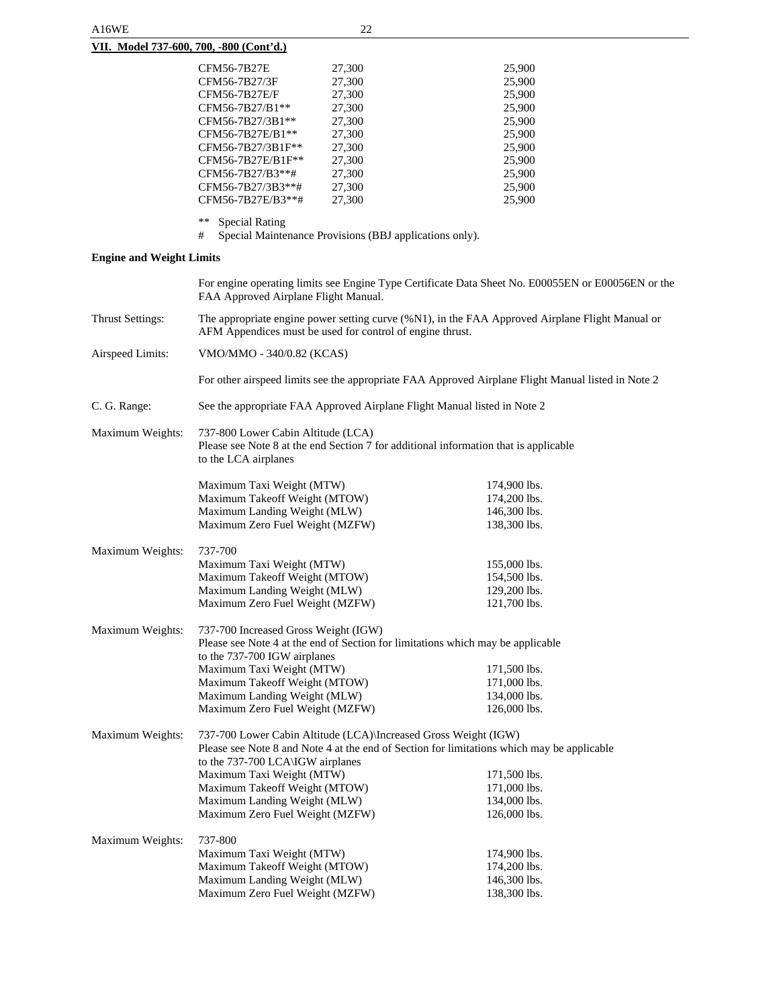| $\frac{1}{2}$ . For $\frac{1}{2}$ . For $\frac{1}{2}$ , $\frac{1}{2}$ , $\frac{1}{2}$ , $\frac{1}{2}$ , $\frac{1}{2}$ , $\frac{1}{2}$ , $\frac{1}{2}$ , $\frac{1}{2}$ , $\frac{1}{2}$ , $\frac{1}{2}$ , $\frac{1}{2}$ , $\frac{1}{2}$ , $\frac{1}{2}$ , $\frac{1}{2}$ , $\frac{1}{2}$ , $\frac{1}{2}$ |                                                         |        |
|-------------------------------------------------------------------------------------------------------------------------------------------------------------------------------------------------------------------------------------------------------------------------------------------------------|---------------------------------------------------------|--------|
| CFM56-7B27E                                                                                                                                                                                                                                                                                           | 27,300                                                  | 25,900 |
| CFM56-7B27/3F                                                                                                                                                                                                                                                                                         | 27,300                                                  | 25,900 |
| CFM56-7B27E/F                                                                                                                                                                                                                                                                                         | 27,300                                                  | 25,900 |
| CFM56-7B27/B1**                                                                                                                                                                                                                                                                                       | 27,300                                                  | 25,900 |
| CFM56-7B27/3B1**                                                                                                                                                                                                                                                                                      | 27,300                                                  | 25,900 |
| CFM56-7B27E/B1**                                                                                                                                                                                                                                                                                      | 27,300                                                  | 25,900 |
| CFM56-7B27/3B1F**                                                                                                                                                                                                                                                                                     | 27,300                                                  | 25,900 |
| CFM56-7B27E/B1F**                                                                                                                                                                                                                                                                                     | 27,300                                                  | 25,900 |
| CFM56-7B27/B3**#                                                                                                                                                                                                                                                                                      | 27,300                                                  | 25,900 |
| CFM56-7B27/3B3**#                                                                                                                                                                                                                                                                                     | 27,300                                                  | 25,900 |
| CFM56-7B27E/B3**#                                                                                                                                                                                                                                                                                     | 27,300                                                  | 25,900 |
| **<br><b>Special Rating</b>                                                                                                                                                                                                                                                                           |                                                         |        |
| #                                                                                                                                                                                                                                                                                                     | Special Maintenance Provisions (BBJ applications only). |        |
| <b>Engine and Weight Limits</b>                                                                                                                                                                                                                                                                       |                                                         |        |

|                         | FAA Approved Airplane Flight Manual.                                                                                                                         | For engine operating limits see Engine Type Certificate Data Sheet No. E00055EN or E00056EN or the |  |  |
|-------------------------|--------------------------------------------------------------------------------------------------------------------------------------------------------------|----------------------------------------------------------------------------------------------------|--|--|
| <b>Thrust Settings:</b> | The appropriate engine power setting curve (%N1), in the FAA Approved Airplane Flight Manual or<br>AFM Appendices must be used for control of engine thrust. |                                                                                                    |  |  |
| Airspeed Limits:        | VMO/MMO - 340/0.82 (KCAS)                                                                                                                                    |                                                                                                    |  |  |
|                         |                                                                                                                                                              | For other airspeed limits see the appropriate FAA Approved Airplane Flight Manual listed in Note 2 |  |  |
| C. G. Range:            | See the appropriate FAA Approved Airplane Flight Manual listed in Note 2                                                                                     |                                                                                                    |  |  |
| Maximum Weights:        | 737-800 Lower Cabin Altitude (LCA)<br>Please see Note 8 at the end Section 7 for additional information that is applicable<br>to the LCA airplanes           |                                                                                                    |  |  |
|                         | Maximum Taxi Weight (MTW)                                                                                                                                    | 174,900 lbs.                                                                                       |  |  |
|                         | Maximum Takeoff Weight (MTOW)                                                                                                                                | 174,200 lbs.                                                                                       |  |  |
|                         | Maximum Landing Weight (MLW)                                                                                                                                 | 146,300 lbs.                                                                                       |  |  |
|                         | Maximum Zero Fuel Weight (MZFW)                                                                                                                              | 138,300 lbs.                                                                                       |  |  |
| Maximum Weights:        | 737-700                                                                                                                                                      |                                                                                                    |  |  |
|                         | Maximum Taxi Weight (MTW)                                                                                                                                    | 155,000 lbs.                                                                                       |  |  |
|                         | Maximum Takeoff Weight (MTOW)                                                                                                                                | 154,500 lbs.                                                                                       |  |  |
|                         | Maximum Landing Weight (MLW)                                                                                                                                 | 129,200 lbs.                                                                                       |  |  |
|                         | Maximum Zero Fuel Weight (MZFW)                                                                                                                              | 121,700 lbs.                                                                                       |  |  |
| Maximum Weights:        | 737-700 Increased Gross Weight (IGW)                                                                                                                         |                                                                                                    |  |  |
|                         | Please see Note 4 at the end of Section for limitations which may be applicable<br>to the 737-700 IGW airplanes                                              |                                                                                                    |  |  |
|                         | Maximum Taxi Weight (MTW)                                                                                                                                    | 171,500 lbs.                                                                                       |  |  |
|                         | Maximum Takeoff Weight (MTOW)                                                                                                                                | 171,000 lbs.                                                                                       |  |  |
|                         | Maximum Landing Weight (MLW)                                                                                                                                 | 134,000 lbs.                                                                                       |  |  |
|                         | Maximum Zero Fuel Weight (MZFW)                                                                                                                              | 126,000 lbs.                                                                                       |  |  |
| Maximum Weights:        | 737-700 Lower Cabin Altitude (LCA) Increased Gross Weight (IGW)                                                                                              |                                                                                                    |  |  |
|                         | Please see Note 8 and Note 4 at the end of Section for limitations which may be applicable<br>to the 737-700 LCA\IGW airplanes                               |                                                                                                    |  |  |
|                         | Maximum Taxi Weight (MTW)                                                                                                                                    | 171,500 lbs.                                                                                       |  |  |
|                         | Maximum Takeoff Weight (MTOW)                                                                                                                                | 171,000 lbs.                                                                                       |  |  |
|                         | Maximum Landing Weight (MLW)                                                                                                                                 | 134,000 lbs.                                                                                       |  |  |
|                         | Maximum Zero Fuel Weight (MZFW)                                                                                                                              | $126,000$ lbs.                                                                                     |  |  |
| Maximum Weights:        | 737-800                                                                                                                                                      |                                                                                                    |  |  |
|                         | Maximum Taxi Weight (MTW)                                                                                                                                    | 174,900 lbs.                                                                                       |  |  |
|                         | Maximum Takeoff Weight (MTOW)                                                                                                                                | 174,200 lbs.                                                                                       |  |  |
|                         | Maximum Landing Weight (MLW)                                                                                                                                 | 146,300 lbs.                                                                                       |  |  |
|                         | Maximum Zero Fuel Weight (MZFW)                                                                                                                              | 138,300 lbs.                                                                                       |  |  |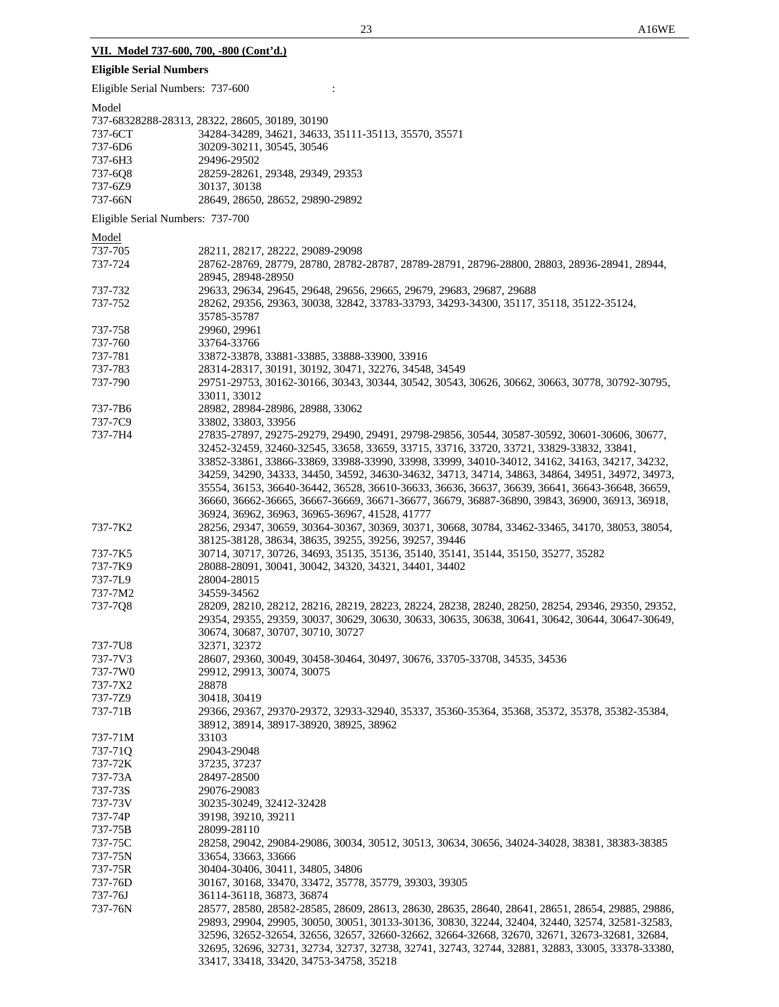# **Eligible Serial Numbers**

| Eligible Serial Numbers: 737-600 |                                                                                                   |
|----------------------------------|---------------------------------------------------------------------------------------------------|
| Model                            |                                                                                                   |
|                                  | 737-68328288-28313, 28322, 28605, 30189, 30190                                                    |
| 737-6CT                          | 34284-34289, 34621, 34633, 35111-35113, 35570, 35571                                              |
| 737-6D6                          | 30209-30211, 30545, 30546                                                                         |
| 737-6H3                          | 29496-29502                                                                                       |
| 737-6Q8                          | 28259-28261, 29348, 29349, 29353                                                                  |
| 737-6Z9                          | 30137, 30138                                                                                      |
| 737-66N                          | 28649, 28650, 28652, 29890-29892                                                                  |
|                                  |                                                                                                   |
| Eligible Serial Numbers: 737-700 |                                                                                                   |
| Model                            |                                                                                                   |
| 737-705                          | 28211, 28217, 28222, 29089-29098                                                                  |
| 737-724                          | 28762-28769, 28779, 28780, 28782-28787, 28789-28791, 28796-28800, 28803, 28936-28941, 28944,      |
|                                  | 28945, 28948-28950                                                                                |
| 737-732                          | 29633, 29634, 29645, 29648, 29656, 29665, 29679, 29683, 29687, 29688                              |
| 737-752                          | 28262, 29356, 29363, 30038, 32842, 33783-33793, 34293-34300, 35117, 35118, 35122-35124,           |
|                                  | 35785-35787                                                                                       |
| 737-758                          | 29960, 29961                                                                                      |
| 737-760                          | 33764-33766                                                                                       |
| 737-781                          | 33872-33878, 33881-33885, 33888-33900, 33916                                                      |
| 737-783                          | 28314-28317, 30191, 30192, 30471, 32276, 34548, 34549                                             |
| 737-790                          | 29751-29753, 30162-30166, 30343, 30344, 30542, 30543, 30626, 30662, 30663, 30778, 30792-30795,    |
|                                  | 33011, 33012                                                                                      |
| 737-7B6                          | 28982, 28984-28986, 28988, 33062                                                                  |
| 737-7C9                          | 33802, 33803, 33956                                                                               |
| 737-7H4                          | 27835-27897, 29275-29279, 29490, 29491, 29798-29856, 30544, 30587-30592, 30601-30606, 30677,      |
|                                  | 32452-32459, 32460-32545, 33658, 33659, 33715, 33716, 33720, 33721, 33829-33832, 33841,           |
|                                  | 33852-33861, 33866-33869, 33988-33990, 33998, 33999, 34010-34012, 34162, 34163, 34217, 34232,     |
|                                  | 34259, 34290, 34333, 34450, 34592, 34630-34632, 34713, 34714, 34863, 34864, 34951, 34972, 34973,  |
|                                  | 35554, 36153, 36640-36442, 36528, 36610-36633, 36636, 36637, 36639, 36641, 36643-36648, 36659,    |
|                                  | 36660, 36662-36665, 36667-36669, 36671-36677, 36679, 36887-36890, 39843, 36900, 36913, 36918,     |
|                                  | 36924, 36962, 36963, 36965-36967, 41528, 41777                                                    |
| 737-7K2                          | 28256, 29347, 30659, 30364-30367, 30369, 30371, 30668, 30784, 33462-33465, 34170, 38053, 38054,   |
|                                  | 38125-38128, 38634, 38635, 39255, 39256, 39257, 39446                                             |
| 737-7K5                          | 30714, 30717, 30726, 34693, 35135, 35136, 35140, 35141, 35144, 35150, 35277, 35282                |
| 737-7K9                          | 28088-28091, 30041, 30042, 34320, 34321, 34401, 34402                                             |
| 737-7L9                          | 28004-28015                                                                                       |
| 737-7M2                          | 34559-34562                                                                                       |
| 737-7Q8                          | 28209, 28210, 28212, 28216, 28219, 28223, 28224, 28238, 28240, 28250, 28254, 29346, 29350, 29352, |
|                                  | 29354, 29355, 29359, 30037, 30629, 30630, 30633, 30635, 30638, 30641, 30642, 30644, 30647-30649,  |
|                                  | 30674, 30687, 30707, 30710, 30727                                                                 |
| 737-7U8                          | 32371, 32372                                                                                      |
| 737-7V3                          | 28607, 29360, 30049, 30458-30464, 30497, 30676, 33705-33708, 34535, 34536                         |
| 737-7W0                          | 29912, 29913, 30074, 30075                                                                        |
| 737-7X2                          | 28878                                                                                             |
| 737-7Z9                          | 30418, 30419                                                                                      |
| 737-71B                          | 29366, 29367, 29370-29372, 32933-32940, 35337, 35360-35364, 35368, 35372, 35378, 35382-35384,     |
|                                  | 38912, 38914, 38917-38920, 38925, 38962                                                           |
| 737-71M                          | 33103                                                                                             |
| 737-71Q                          | 29043-29048                                                                                       |
| 737-72K                          | 37235, 37237                                                                                      |
| 737-73A                          | 28497-28500                                                                                       |
| 737-73S                          | 29076-29083                                                                                       |
| 737-73V                          | 30235-30249, 32412-32428                                                                          |
| 737-74P                          | 39198, 39210, 39211                                                                               |
| 737-75B                          | 28099-28110                                                                                       |
| 737-75C                          | 28258, 29042, 29084-29086, 30034, 30512, 30513, 30634, 30656, 34024-34028, 38381, 38383-38385     |
| 737-75N                          | 33654, 33663, 33666                                                                               |
| 737-75R                          | 30404-30406, 30411, 34805, 34806                                                                  |
| 737-76D                          | 30167, 30168, 33470, 33472, 35778, 35779, 39303, 39305                                            |
| 737-76J                          | 36114-36118, 36873, 36874                                                                         |
| 737-76N                          | 28577, 28580, 28582-28585, 28609, 28613, 28630, 28635, 28640, 28641, 28651, 28654, 29885, 29886,  |
|                                  | 29893, 29904, 29905, 30050, 30051, 30133-30136, 30830, 32244, 32404, 32440, 32574, 32581-32583,   |
|                                  | 32596, 32652-32654, 32656, 32657, 32660-32662, 32664-32668, 32670, 32671, 32673-32681, 32684,     |
|                                  | 32695, 32696, 32731, 32734, 32737, 32738, 32741, 32743, 32744, 32881, 32883, 33005, 33378-33380,  |
|                                  | 33417, 33418, 33420, 34753-34758, 35218                                                           |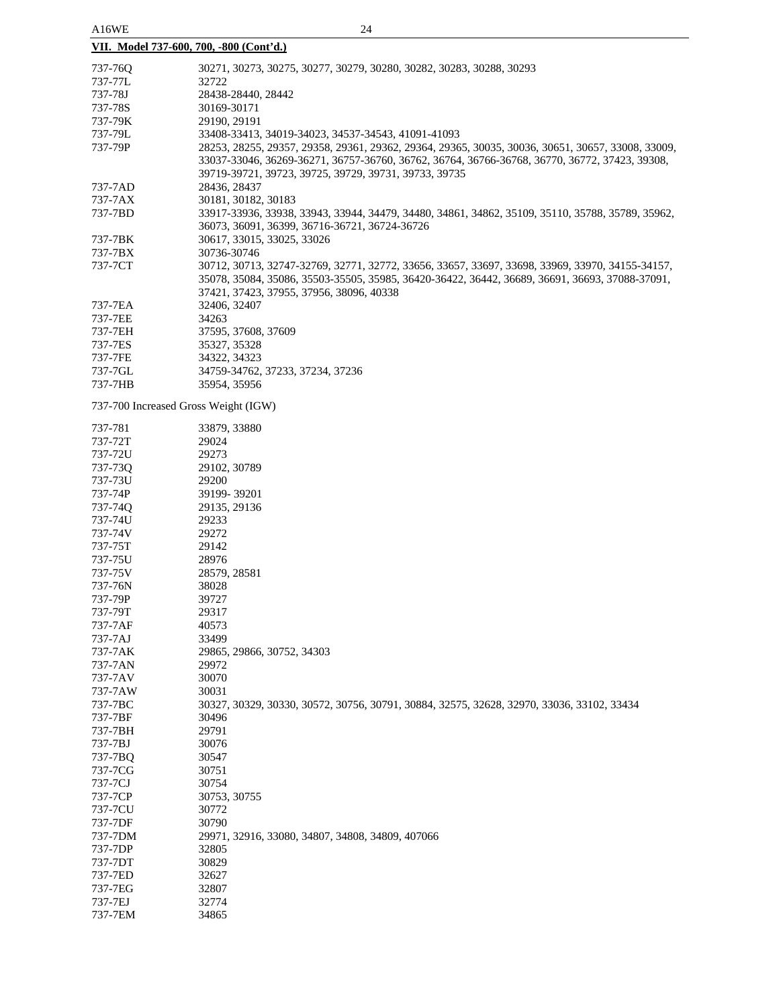| <b>AIU WE</b><br>∠⊣<br>VII. Model 737-600, 700, -800 (Cont'd.) |                                                                                                                                                        |  |  |
|----------------------------------------------------------------|--------------------------------------------------------------------------------------------------------------------------------------------------------|--|--|
|                                                                |                                                                                                                                                        |  |  |
| 737-760                                                        | 30271, 30273, 30275, 30277, 30279, 30280, 30282, 30283, 30288, 30293                                                                                   |  |  |
| 737-77L                                                        | 32722                                                                                                                                                  |  |  |
| 737-78J                                                        | 28438-28440, 28442                                                                                                                                     |  |  |
| 737-78S                                                        | 30169-30171                                                                                                                                            |  |  |
| 737-79K                                                        | 29190, 29191                                                                                                                                           |  |  |
| 737-79L                                                        | 33408-33413, 34019-34023, 34537-34543, 41091-41093                                                                                                     |  |  |
| 737-79P                                                        | 28253, 28255, 29357, 29358, 29361, 29362, 29364, 29365, 30035, 30036, 30651, 30657, 33008, 33009,                                                      |  |  |
|                                                                | 33037-33046, 36269-36271, 36757-36760, 36762, 36764, 36766-36768, 36770, 36772, 37423, 39308,<br>39719-39721, 39723, 39725, 39729, 39731, 39733, 39735 |  |  |
| 737-7AD                                                        | 28436, 28437                                                                                                                                           |  |  |
| 737-7AX                                                        | 30181, 30182, 30183                                                                                                                                    |  |  |
| 737-7BD                                                        | 33917-33936, 33938, 33943, 33944, 34479, 34480, 34861, 34862, 35109, 35110, 35788, 35789, 35962,<br>36073, 36091, 36399, 36716-36721, 36724-36726      |  |  |
| 737-7BK                                                        | 30617, 33015, 33025, 33026                                                                                                                             |  |  |
| 737-7BX                                                        | 30736-30746                                                                                                                                            |  |  |
| 737-7CT                                                        | 30712, 30713, 32747-32769, 32771, 32772, 33656, 33657, 33697, 33698, 33969, 33970, 34155-34157,                                                        |  |  |
|                                                                | 35078, 35084, 35086, 35503-35505, 35985, 36420-36422, 36442, 36689, 36691, 36693, 37088-37091,<br>37421, 37423, 37955, 37956, 38096, 40338             |  |  |
| 737-7EA                                                        | 32406, 32407                                                                                                                                           |  |  |
| 737-7EE                                                        | 34263                                                                                                                                                  |  |  |
| 737-7EH                                                        | 37595, 37608, 37609                                                                                                                                    |  |  |
| 737-7ES                                                        | 35327, 35328                                                                                                                                           |  |  |
| 737-7FE                                                        | 34322, 34323                                                                                                                                           |  |  |
| 737-7GL                                                        | 34759-34762, 37233, 37234, 37236                                                                                                                       |  |  |
| 737-7HB                                                        | 35954, 35956                                                                                                                                           |  |  |
| 737-700 Increased Gross Weight (IGW)                           |                                                                                                                                                        |  |  |
| 737-781                                                        | 33879, 33880                                                                                                                                           |  |  |
| 737-72T                                                        | 29024                                                                                                                                                  |  |  |
| 737-72U                                                        | 29273                                                                                                                                                  |  |  |
| 737-73Q                                                        | 29102, 30789                                                                                                                                           |  |  |
| 737-73U                                                        | 29200                                                                                                                                                  |  |  |
| 737-74P                                                        | 39199-39201                                                                                                                                            |  |  |
| 737-74Q                                                        | 29135, 29136                                                                                                                                           |  |  |
| 737-74U                                                        | 29233                                                                                                                                                  |  |  |
| 737-74V                                                        | 29272                                                                                                                                                  |  |  |
| 737-75T                                                        | 29142                                                                                                                                                  |  |  |
| 737-75U                                                        | 28976                                                                                                                                                  |  |  |
| 737-75V                                                        | 28579, 28581                                                                                                                                           |  |  |
| 737-76N                                                        | 38028                                                                                                                                                  |  |  |
| 737-79P                                                        | 39727                                                                                                                                                  |  |  |
| 737-79T                                                        | 29317                                                                                                                                                  |  |  |
| 737-7AF                                                        | 40573                                                                                                                                                  |  |  |
| 737-7AJ                                                        | 33499                                                                                                                                                  |  |  |
| 737-7AK                                                        | 29865, 29866, 30752, 34303                                                                                                                             |  |  |
| 737-7AN                                                        | 29972                                                                                                                                                  |  |  |
| 737-7AV                                                        | 30070                                                                                                                                                  |  |  |
| 737-7AW                                                        | 30031                                                                                                                                                  |  |  |
| 737-7BC                                                        | 30327, 30329, 30330, 30572, 30756, 30791, 30884, 32575, 32628, 32970, 33036, 33102, 33434                                                              |  |  |
| 737-7BF                                                        | 30496                                                                                                                                                  |  |  |
| 737-7BH                                                        | 29791                                                                                                                                                  |  |  |
| 737-7BJ                                                        | 30076                                                                                                                                                  |  |  |
| 737-7BQ                                                        | 30547                                                                                                                                                  |  |  |
| 737-7CG                                                        | 30751                                                                                                                                                  |  |  |
| 737-7CJ                                                        | 30754                                                                                                                                                  |  |  |
| 737-7CP                                                        | 30753, 30755                                                                                                                                           |  |  |
| 737-7CU                                                        | 30772                                                                                                                                                  |  |  |
| 737-7DF                                                        | 30790                                                                                                                                                  |  |  |
| 737-7DM                                                        | 29971, 32916, 33080, 34807, 34808, 34809, 407066                                                                                                       |  |  |
| 737-7DP                                                        | 32805                                                                                                                                                  |  |  |
| 737-7DT                                                        | 30829                                                                                                                                                  |  |  |
| 737-7ED                                                        | 32627                                                                                                                                                  |  |  |
| 737-7EG                                                        | 32807                                                                                                                                                  |  |  |
| 737-7EJ                                                        | 32774                                                                                                                                                  |  |  |
| 737-7EM                                                        | 34865                                                                                                                                                  |  |  |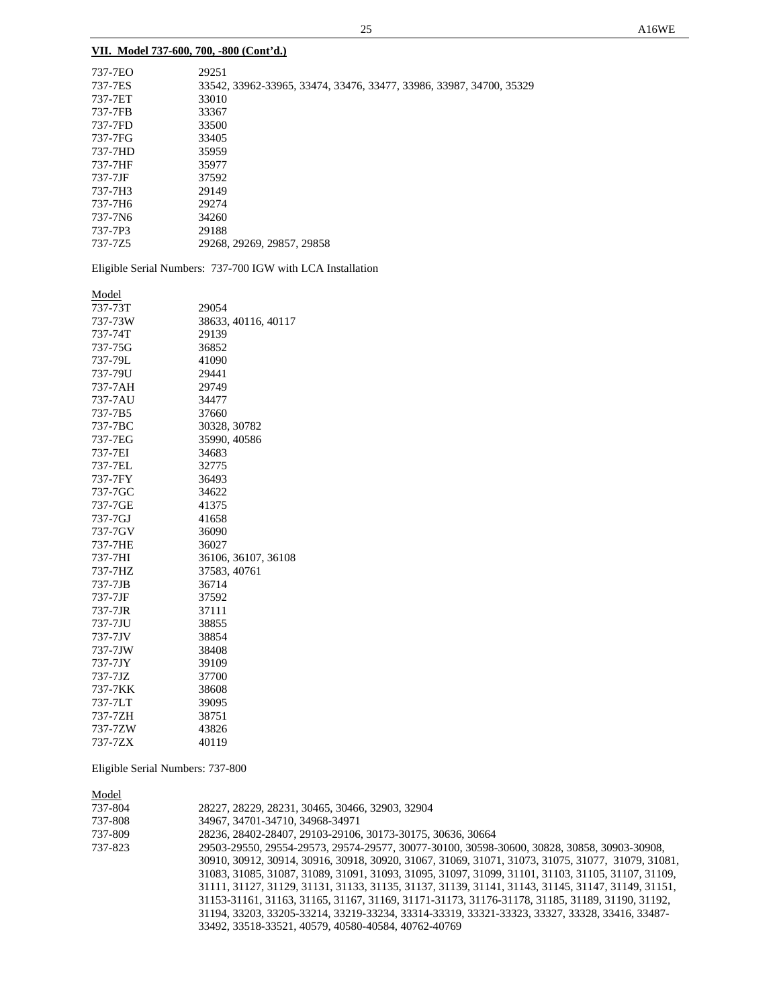|  |  |  |  | VII. Model 737-600, 700, -800 (Cont'd.) |  |
|--|--|--|--|-----------------------------------------|--|
|--|--|--|--|-----------------------------------------|--|

| 737-7EO | 29251                                                               |
|---------|---------------------------------------------------------------------|
| 737-7ES | 33542, 33962-33965, 33474, 33476, 33477, 33986, 33987, 34700, 35329 |
| 737-7ET | 33010                                                               |
| 737-7FB | 33367                                                               |
| 737-7FD | 33500                                                               |
| 737-7FG | 33405                                                               |
| 737-7HD | 35959                                                               |
| 737-7HF | 35977                                                               |
| 737-7JF | 37592                                                               |
| 737-7H3 | 29149                                                               |
| 737-7H6 | 29274                                                               |
| 737-7N6 | 34260                                                               |
| 737-7P3 | 29188                                                               |
| 737-775 | 29268, 29269, 29857, 29858                                          |
|         |                                                                     |

Eligible Serial Numbers: 737-700 IGW with LCA Installation

| Model   |                     |
|---------|---------------------|
| 737-73T | 29054               |
| 737-73W | 38633, 40116, 40117 |
| 737-74T | 29139               |
| 737-75G | 36852               |
| 737-79L | 41090               |
| 737-79U | 29441               |
| 737-7AH | 29749               |
| 737-7AU | 34477               |
| 737-7B5 | 37660               |
| 737-7BC | 30328, 30782        |
| 737-7EG | 35990, 40586        |
| 737-7EI | 34683               |
| 737-7EL | 32775               |
| 737-7FY | 36493               |
| 737-7GC | 34622               |
| 737-7GE | 41375               |
| 737-7GJ | 41658               |
| 737-7GV | 36090               |
| 737-7HE | 36027               |
| 737-7HI | 36106, 36107, 36108 |
| 737-7HZ | 37583, 40761        |
| 737-7JB | 36714               |
| 737-7JF | 37592               |
| 737-7JR | 37111               |
| 737-7JU | 38855               |
| 737-7JV | 38854               |
| 737-7JW | 38408               |
| 737-7JY | 39109               |
| 737-7JZ | 37700               |
| 737-7KK | 38608               |
| 737-7LT | 39095               |
| 737-7ZH | 38751               |
| 737-7ZW | 43826               |
| 737-7ZX | 40119               |

Eligible Serial Numbers: 737-800

Model

| 737-804 | 28227, 28229, 28231, 30465, 30466, 32903, 32904                                                   |
|---------|---------------------------------------------------------------------------------------------------|
| 737-808 | 34967, 34701-34710, 34968-34971                                                                   |
| 737-809 | 28236, 28402-28407, 29103-29106, 30173-30175, 30636, 30664                                        |
| 737-823 | 29503-29550, 29554-29573, 29574-29577, 30077-30100, 30598-30600, 30828, 30858, 30903-30908,       |
|         | 30910, 30912, 30914, 30916, 30918, 30920, 31067, 31069, 31071, 31073, 31075, 31077, 31079, 31081, |
|         | 31083, 31085, 31087, 31089, 31091, 31093, 31095, 31097, 31099, 31101, 31103, 31105, 31107, 31109, |
|         | 31111, 31127, 31129, 31131, 31133, 31135, 31137, 31139, 31141, 31143, 31145, 31147, 31149, 31151, |
|         | 31153-31161, 31163, 31165, 31167, 31169, 31171-31173, 31176-31178, 31185, 31189, 31190, 31192,    |
|         | 31194, 33203, 33205-33214, 33219-33234, 33314-33319, 33321-33323, 33327, 33328, 33416, 33487-     |
|         | 33492, 33518-33521, 40579, 40580-40584, 40762-40769                                               |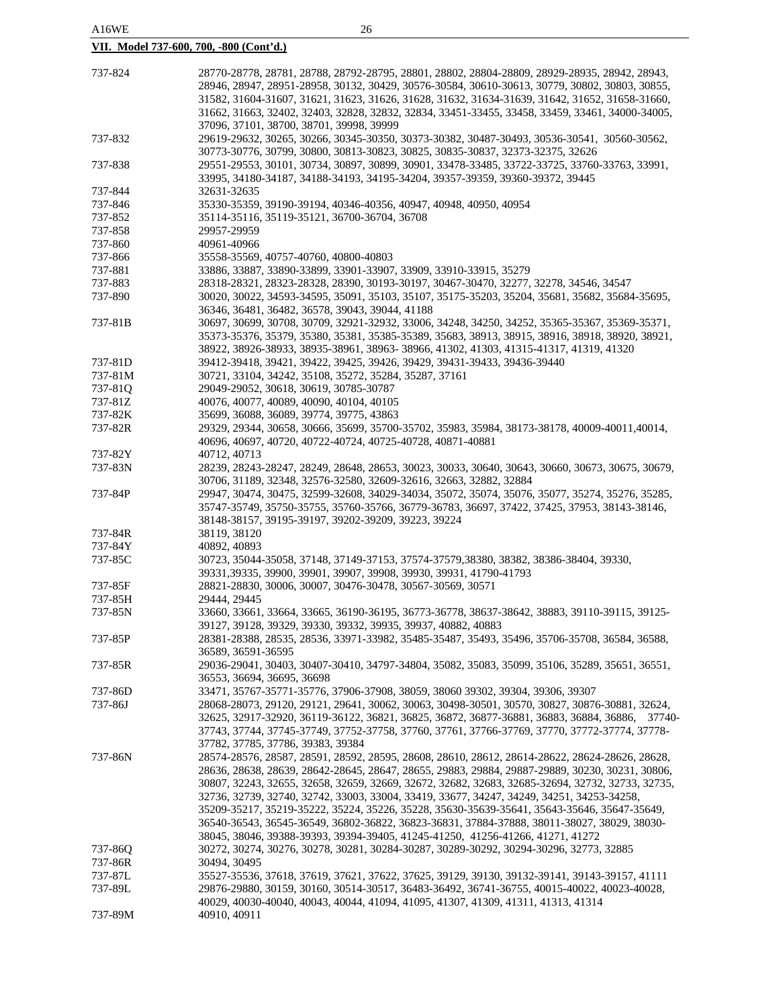| 737-824 | 28770-28778, 28781, 28788, 28792-28795, 28801, 28802, 28804-28809, 28929-28935, 28942, 28943,    |
|---------|--------------------------------------------------------------------------------------------------|
|         | 28946, 28947, 28951-28958, 30132, 30429, 30576-30584, 30610-30613, 30779, 30802, 30803, 30855,   |
|         |                                                                                                  |
|         | 31582, 31604-31607, 31621, 31623, 31626, 31628, 31632, 31634-31639, 31642, 31652, 31658-31660,   |
|         | 31662, 31663, 32402, 32403, 32828, 32832, 32834, 33451-33455, 33458, 33459, 33461, 34000-34005,  |
|         | 37096, 37101, 38700, 38701, 39998, 39999                                                         |
| 737-832 | 29619-29632, 30265, 30266, 30345-30350, 30373-30382, 30487-30493, 30536-30541, 30560-30562,      |
|         | 30773-30776, 30799, 30800, 30813-30823, 30825, 30835-30837, 32373-32375, 32626                   |
|         |                                                                                                  |
| 737-838 | 29551-29553, 30101, 30734, 30897, 30899, 30901, 33478-33485, 33722-33725, 33760-33763, 33991,    |
|         | 33995, 34180-34187, 34188-34193, 34195-34204, 39357-39359, 39360-39372, 39445                    |
| 737-844 | 32631-32635                                                                                      |
| 737-846 | 35330-35359, 39190-39194, 40346-40356, 40947, 40948, 40950, 40954                                |
|         |                                                                                                  |
| 737-852 | 35114-35116, 35119-35121, 36700-36704, 36708                                                     |
| 737-858 | 29957-29959                                                                                      |
| 737-860 | 40961-40966                                                                                      |
| 737-866 | 35558-35569, 40757-40760, 40800-40803                                                            |
|         |                                                                                                  |
| 737-881 | 33886, 33887, 33890-33899, 33901-33907, 33909, 33910-33915, 35279                                |
| 737-883 | 28318-28321, 28323-28328, 28390, 30193-30197, 30467-30470, 32277, 32278, 34546, 34547            |
| 737-890 | 30020, 30022, 34593-34595, 35091, 35103, 35107, 35175-35203, 35204, 35681, 35682, 35684-35695,   |
|         | 36346, 36481, 36482, 36578, 39043, 39044, 41188                                                  |
|         |                                                                                                  |
| 737-81B | 30697, 30699, 30708, 30709, 32921-32932, 33006, 34248, 34250, 34252, 35365-35367, 35369-35371,   |
|         | 35373-35376, 35379, 35380, 35381, 35385-35389, 35683, 38913, 38915, 38916, 38918, 38920, 38921,  |
|         | 38922, 38926-38933, 38935-38961, 38963- 38966, 41302, 41303, 41315-41317, 41319, 41320           |
| 737-81D | 39412-39418, 39421, 39422, 39425, 39426, 39429, 39431-39433, 39436-39440                         |
|         |                                                                                                  |
| 737-81M | 30721, 33104, 34242, 35108, 35272, 35284, 35287, 37161                                           |
| 737-81Q | 29049-29052, 30618, 30619, 30785-30787                                                           |
| 737-81Z | 40076, 40077, 40089, 40090, 40104, 40105                                                         |
| 737-82K | 35699, 36088, 36089, 39774, 39775, 43863                                                         |
| 737-82R |                                                                                                  |
|         | 29329, 29344, 30658, 30666, 35699, 35700-35702, 35983, 35984, 38173-38178, 40009-40011, 40014,   |
|         | 40696, 40697, 40720, 40722-40724, 40725-40728, 40871-40881                                       |
| 737-82Y | 40712, 40713                                                                                     |
| 737-83N | 28239, 28243-28247, 28249, 28648, 28653, 30023, 30033, 30640, 30643, 30660, 30673, 30675, 30679, |
|         | 30706, 31189, 32348, 32576-32580, 32609-32616, 32663, 32882, 32884                               |
|         |                                                                                                  |
| 737-84P | 29947, 30474, 30475, 32599-32608, 34029-34034, 35072, 35074, 35076, 35077, 35274, 35276, 35285,  |
|         | 35747-35749, 35750-35755, 35760-35766, 36779-36783, 36697, 37422, 37425, 37953, 38143-38146,     |
|         | 38148-38157, 39195-39197, 39202-39209, 39223, 39224                                              |
| 737-84R | 38119, 38120                                                                                     |
| 737-84Y | 40892, 40893                                                                                     |
|         |                                                                                                  |
| 737-85C | 30723, 35044-35058, 37148, 37149-37153, 37574-37579, 38380, 38382, 38386-38404, 39330,           |
|         | 39331, 39335, 39900, 39901, 39907, 39908, 39930, 39931, 41790-41793                              |
| 737-85F | 28821-28830, 30006, 30007, 30476-30478, 30567-30569, 30571                                       |
| 737-85H | 29444, 29445                                                                                     |
|         |                                                                                                  |
| 737-85N | 33660, 33661, 33664, 33665, 36190-36195, 36773-36778, 38637-38642, 38883, 39110-39115, 39125-    |
|         | 39127, 39128, 39329, 39330, 39332, 39935, 39937, 40882, 40883                                    |
| 737-85P | 28381-28388, 28535, 28536, 33971-33982, 35485-35487, 35493, 35496, 35706-35708, 36584, 36588,    |
|         | 36589, 36591-36595                                                                               |
|         | 29036-29041, 30403, 30407-30410, 34797-34804, 35082, 35083, 35099, 35106, 35289, 35651, 36551,   |
| 737-85R |                                                                                                  |
|         | 36553, 36694, 36695, 36698                                                                       |
| 737-86D | 33471, 35767-35771-35776, 37906-37908, 38059, 38060 39302, 39304, 39306, 39307                   |
| 737-86J | 28068-28073, 29120, 29121, 29641, 30062, 30063, 30498-30501, 30570, 30827, 30876-30881, 32624,   |
|         | 32625, 32917-32920, 36119-36122, 36821, 36825, 36872, 36877-36881, 36883, 36884, 36886, 37740-   |
|         |                                                                                                  |
|         | 37743, 37744, 37745-37749, 37752-37758, 37760, 37761, 37766-37769, 37770, 37772-37774, 37778-    |
|         | 37782, 37785, 37786, 39383, 39384                                                                |
| 737-86N | 28574-28576, 28587, 28591, 28592, 28595, 28608, 28610, 28612, 28614-28622, 28624-28626, 28628,   |
|         | 28636, 28638, 28639, 28642-28645, 28647, 28655, 29883, 29884, 29887-29889, 30230, 30231, 30806,  |
|         | 30807, 32243, 32655, 32658, 32659, 32669, 32672, 32682, 32683, 32685-32694, 32732, 32733, 32735, |
|         |                                                                                                  |
|         | 32736, 32739, 32740, 32742, 33003, 33004, 33419, 33677, 34247, 34249, 34251, 34253-34258,        |
|         | 35209-35217, 35219-35222, 35224, 35226, 35228, 35630-35639-35641, 35643-35646, 35647-35649,      |
|         | 36540-36543, 36545-36549, 36802-36822, 36823-36831, 37884-37888, 38011-38027, 38029, 38030-      |
|         | 38045, 38046, 39388-39393, 39394-39405, 41245-41250, 41256-41266, 41271, 41272                   |
|         |                                                                                                  |
| 737-86Q | 30272, 30274, 30276, 30278, 30281, 30284-30287, 30289-30292, 30294-30296, 32773, 32885           |
| 737-86R | 30494, 30495                                                                                     |
| 737-87L | 35527-35536, 37618, 37619, 37621, 37622, 37625, 39129, 39130, 39132-39141, 39143-39157, 41111    |
| 737-89L | 29876-29880, 30159, 30160, 30514-30517, 36483-36492, 36741-36755, 40015-40022, 40023-40028,      |
|         |                                                                                                  |
|         | 40029, 40030-40040, 40043, 40044, 41094, 41095, 41307, 41309, 41311, 41313, 41314                |
| 737-89M | 40910, 40911                                                                                     |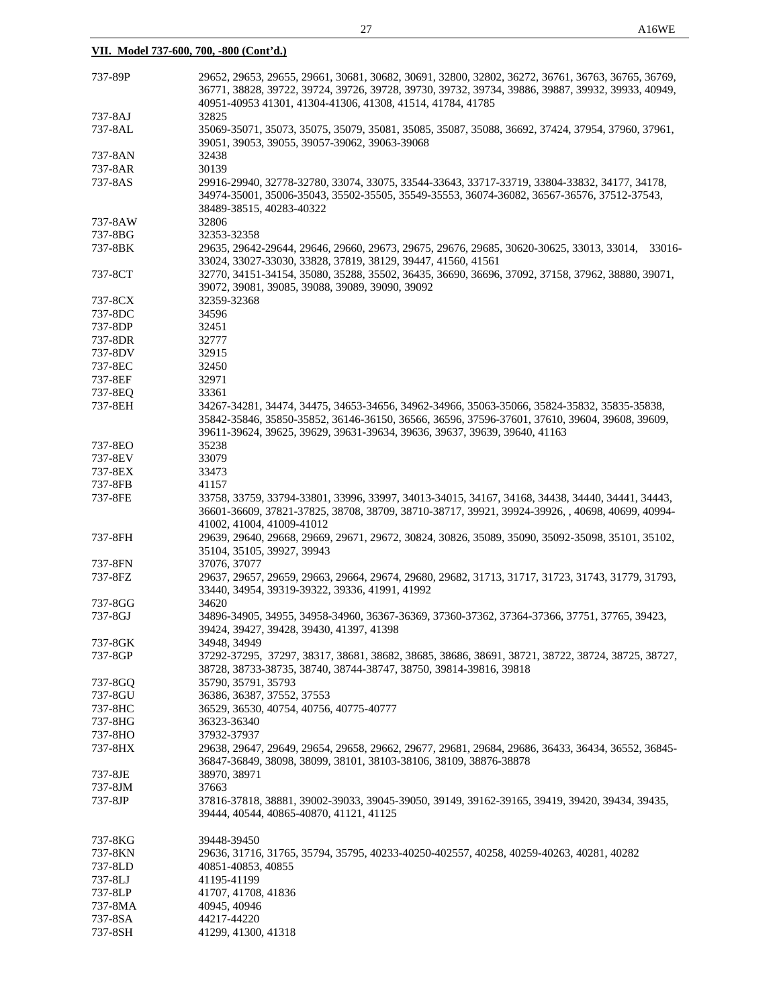| 737-89P | 29652, 29653, 29655, 29661, 30681, 30682, 30691, 32800, 32802, 36272, 36761, 36763, 36765, 36769,<br>36771, 38828, 39722, 39724, 39726, 39728, 39730, 39732, 39734, 39886, 39887, 39932, 39933, 40949,<br>40951-40953 41301, 41304-41306, 41308, 41514, 41784, 41785 |
|---------|----------------------------------------------------------------------------------------------------------------------------------------------------------------------------------------------------------------------------------------------------------------------|
|         |                                                                                                                                                                                                                                                                      |
| 737-8AJ | 32825                                                                                                                                                                                                                                                                |
| 737-8AL | 35069-35071, 35073, 35075, 35079, 35081, 35085, 35087, 35088, 36692, 37424, 37954, 37960, 37961,<br>39051, 39053, 39055, 39057-39062, 39063-39068                                                                                                                    |
| 737-8AN | 32438                                                                                                                                                                                                                                                                |
|         |                                                                                                                                                                                                                                                                      |
| 737-8AR | 30139                                                                                                                                                                                                                                                                |
| 737-8AS | 29916-29940, 32778-32780, 33074, 33075, 33544-33643, 33717-33719, 33804-33832, 34177, 34178,<br>34974-35001, 35006-35043, 35502-35505, 35549-35553, 36074-36082, 36567-36576, 37512-37543,                                                                           |
|         | 38489-38515, 40283-40322                                                                                                                                                                                                                                             |
| 737-8AW | 32806                                                                                                                                                                                                                                                                |
|         |                                                                                                                                                                                                                                                                      |
| 737-8BG | 32353-32358                                                                                                                                                                                                                                                          |
| 737-8BK | 29635, 29642-29644, 29646, 29660, 29673, 29675, 29676, 29685, 30620-30625, 33013, 33014,<br>33016-<br>33024, 33027-33030, 33828, 37819, 38129, 39447, 41560, 41561                                                                                                   |
| 737-8CT | 32770, 34151-34154, 35080, 35288, 35502, 36435, 36690, 36696, 37092, 37158, 37962, 38880, 39071,<br>39072, 39081, 39085, 39088, 39089, 39090, 39092                                                                                                                  |
|         | 32359-32368                                                                                                                                                                                                                                                          |
| 737-8CX |                                                                                                                                                                                                                                                                      |
| 737-8DC | 34596                                                                                                                                                                                                                                                                |
| 737-8DP | 32451                                                                                                                                                                                                                                                                |
| 737-8DR | 32777                                                                                                                                                                                                                                                                |
| 737-8DV | 32915                                                                                                                                                                                                                                                                |
|         |                                                                                                                                                                                                                                                                      |
| 737-8EC | 32450                                                                                                                                                                                                                                                                |
| 737-8EF | 32971                                                                                                                                                                                                                                                                |
| 737-8EQ | 33361                                                                                                                                                                                                                                                                |
| 737-8EH | 34267-34281, 34474, 34475, 34653-34656, 34962-34966, 35063-35066, 35824-35832, 35835-35838,                                                                                                                                                                          |
|         |                                                                                                                                                                                                                                                                      |
|         | 35842-35846, 35850-35852, 36146-36150, 36566, 36596, 37596-37601, 37610, 39604, 39608, 39609,                                                                                                                                                                        |
|         | 39611-39624, 39625, 39629, 39631-39634, 39636, 39637, 39639, 39640, 41163                                                                                                                                                                                            |
| 737-8EO | 35238                                                                                                                                                                                                                                                                |
| 737-8EV | 33079                                                                                                                                                                                                                                                                |
|         |                                                                                                                                                                                                                                                                      |
| 737-8EX | 33473                                                                                                                                                                                                                                                                |
| 737-8FB | 41157                                                                                                                                                                                                                                                                |
| 737-8FE | 33758, 33759, 33794-33801, 33996, 33997, 34013-34015, 34167, 34168, 34438, 34440, 34441, 34443,<br>36601-36609, 37821-37825, 38708, 38709, 38710-38717, 39921, 39924-39926, , 40698, 40699, 40994-<br>41002, 41004, 41009-41012                                      |
|         |                                                                                                                                                                                                                                                                      |
| 737-8FH | 29639, 29640, 29668, 29669, 29671, 29672, 30824, 30826, 35089, 35090, 35092-35098, 35101, 35102,                                                                                                                                                                     |
|         | 35104, 35105, 39927, 39943                                                                                                                                                                                                                                           |
| 737-8FN | 37076, 37077                                                                                                                                                                                                                                                         |
| 737-8FZ | 29637, 29657, 29659, 29663, 29664, 29674, 29680, 29682, 31713, 31717, 31723, 31743, 31779, 31793,                                                                                                                                                                    |
|         | 33440, 34954, 39319-39322, 39336, 41991, 41992                                                                                                                                                                                                                       |
|         |                                                                                                                                                                                                                                                                      |
| 737-8GG | 34620                                                                                                                                                                                                                                                                |
| 737-8GJ | 34896-34905, 34955, 34958-34960, 36367-36369, 37360-37362, 37364-37366, 37751, 37765, 39423,                                                                                                                                                                         |
|         | 39424, 39427, 39428, 39430, 41397, 41398                                                                                                                                                                                                                             |
| 737-8GK | 34948, 34949                                                                                                                                                                                                                                                         |
| 737-8GP | 37292-37295, 37297, 38317, 38681, 38682, 38685, 38686, 38691, 38721, 38722, 38724, 38725, 38727,                                                                                                                                                                     |
|         |                                                                                                                                                                                                                                                                      |
|         | 38728, 38733-38735, 38740, 38744-38747, 38750, 39814-39816, 39818                                                                                                                                                                                                    |
| 737-8GO | 35790, 35791, 35793                                                                                                                                                                                                                                                  |
| 737-8GU | 36386, 36387, 37552, 37553                                                                                                                                                                                                                                           |
| 737-8HC | 36529, 36530, 40754, 40756, 40775-40777                                                                                                                                                                                                                              |
|         |                                                                                                                                                                                                                                                                      |
| 737-8HG | 36323-36340                                                                                                                                                                                                                                                          |
| 737-8HO | 37932-37937                                                                                                                                                                                                                                                          |
| 737-8HX | 29638, 29647, 29649, 29654, 29658, 29662, 29677, 29681, 29684, 29686, 36433, 36434, 36552, 36845-                                                                                                                                                                    |
|         | 36847-36849, 38098, 38099, 38101, 38103-38106, 38109, 38876-38878                                                                                                                                                                                                    |
| 737-8JE | 38970, 38971                                                                                                                                                                                                                                                         |
|         |                                                                                                                                                                                                                                                                      |
| 737-8JM | 37663                                                                                                                                                                                                                                                                |
| 737-8JP | 37816-37818, 38881, 39002-39033, 39045-39050, 39149, 39162-39165, 39419, 39420, 39434, 39435,                                                                                                                                                                        |
|         | 39444, 40544, 40865-40870, 41121, 41125                                                                                                                                                                                                                              |
| 737-8KG | 39448-39450                                                                                                                                                                                                                                                          |
| 737-8KN | 29636, 31716, 31765, 35794, 35795, 40233-40250-402557, 40258, 40259-40263, 40281, 40282                                                                                                                                                                              |
| 737-8LD | 40851-40853, 40855                                                                                                                                                                                                                                                   |
|         |                                                                                                                                                                                                                                                                      |
| 737-8LJ | 41195-41199                                                                                                                                                                                                                                                          |
| 737-8LP | 41707, 41708, 41836                                                                                                                                                                                                                                                  |
| 737-8MA | 40945, 40946                                                                                                                                                                                                                                                         |
| 737-8SA | 44217-44220                                                                                                                                                                                                                                                          |
|         |                                                                                                                                                                                                                                                                      |

737-8SH 41299, 41300, 41318

**VII. Model 737-600, 700, -800 (Cont'd.)**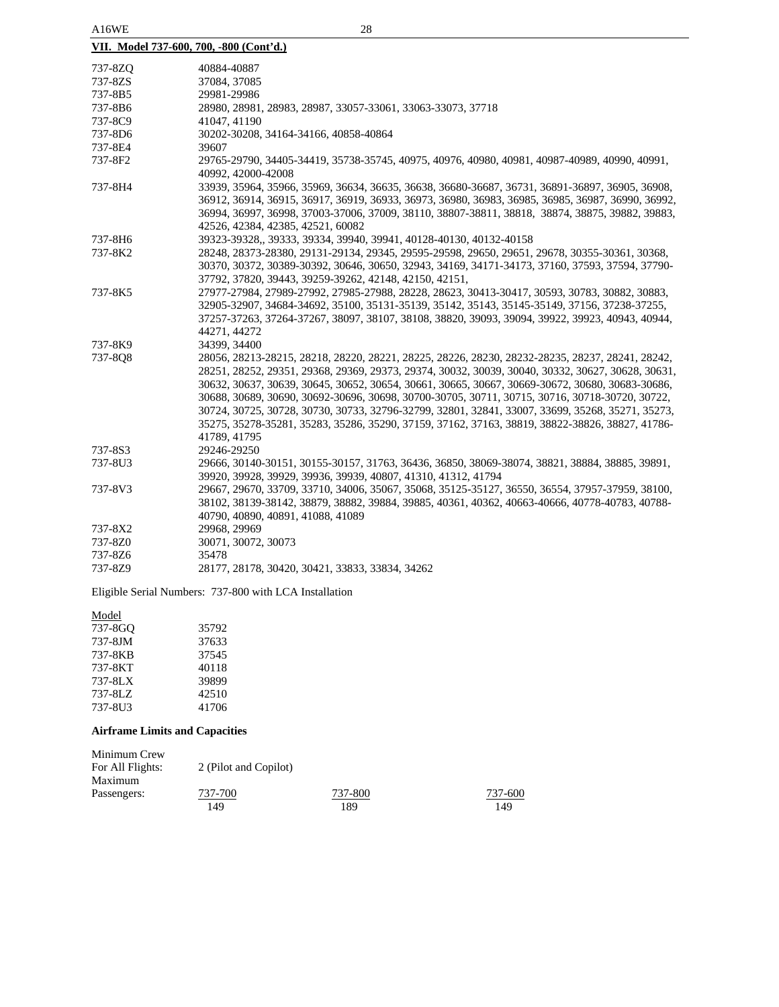| A16WE                                   | 28                                                                                                                  |  |  |
|-----------------------------------------|---------------------------------------------------------------------------------------------------------------------|--|--|
| VII. Model 737-600, 700, -800 (Cont'd.) |                                                                                                                     |  |  |
| 737-8ZQ                                 | 40884-40887                                                                                                         |  |  |
| 737-8ZS                                 | 37084, 37085                                                                                                        |  |  |
| 737-8B5                                 | 29981-29986                                                                                                         |  |  |
| 737-8B6                                 | 28980, 28981, 28983, 28987, 33057-33061, 33063-33073, 37718                                                         |  |  |
| 737-8C9                                 | 41047, 41190                                                                                                        |  |  |
| 737-8D6                                 | 30202-30208, 34164-34166, 40858-40864                                                                               |  |  |
| 737-8E4                                 | 39607                                                                                                               |  |  |
| 737-8F2                                 | 29765-29790, 34405-34419, 35738-35745, 40975, 40976, 40980, 40981, 40987-40989, 40990, 40991,<br>40992, 42000-42008 |  |  |
| 737-8H4                                 | 33939, 35964, 35966, 35969, 36634, 36635, 36638, 36680-36687, 36731, 36891-36897, 36905, 36908,                     |  |  |
|                                         | 36912, 36914, 36915, 36917, 36919, 36933, 36973, 36980, 36983, 36985, 36985, 36987, 36990, 36992,                   |  |  |
|                                         | 36994, 36997, 36998, 37003-37006, 37009, 38110, 38807-38811, 38818, 38874, 38875, 39882, 39883,                     |  |  |
|                                         | 42526, 42384, 42385, 42521, 60082                                                                                   |  |  |
| 737-8H6                                 | 39323-39328, 39333, 39334, 39940, 39941, 40128-40130, 40132-40158                                                   |  |  |
| 737-8K2                                 | 28248, 28373-28380, 29131-29134, 29345, 29595-29598, 29650, 29651, 29678, 30355-30361, 30368,                       |  |  |
|                                         | 30370, 30372, 30389-30392, 30646, 30650, 32943, 34169, 34171-34173, 37160, 37593, 37594, 37790-                     |  |  |
|                                         | 37792, 37820, 39443, 39259-39262, 42148, 42150, 42151,                                                              |  |  |
| 737-8K5                                 | 27977-27984, 27989-27992, 27985-27988, 28228, 28623, 30413-30417, 30593, 30783, 30882, 30883,                       |  |  |
|                                         | 32905-32907, 34684-34692, 35100, 35131-35139, 35142, 35143, 35145-35149, 37156, 37238-37255,                        |  |  |
|                                         | 37257-37263, 37264-37267, 38097, 38107, 38108, 38820, 39093, 39094, 39922, 39923, 40943, 40944,                     |  |  |
|                                         | 44271, 44272                                                                                                        |  |  |
| 737-8K9                                 | 34399, 34400                                                                                                        |  |  |
| 737-8Q8                                 | 28056, 28213-28215, 28218, 28220, 28221, 28225, 28226, 28230, 28232-28235, 28237, 28241, 28242,                     |  |  |
|                                         | 28251, 28252, 29351, 29368, 29369, 29373, 29374, 30032, 30039, 30040, 30332, 30627, 30628, 30631,                   |  |  |
|                                         | 30632, 30637, 30639, 30645, 30652, 30654, 30661, 30665, 30667, 30669-30672, 30680, 30683-30686,                     |  |  |
|                                         | 30688, 30689, 30690, 30692-30696, 30698, 30700-30705, 30711, 30715, 30716, 30718-30720, 30722,                      |  |  |
|                                         | 30724, 30725, 30728, 30730, 30733, 32796-32799, 32801, 32841, 33007, 33699, 35268, 35271, 35273,                    |  |  |
|                                         | 35275, 35278-35281, 35283, 35286, 35290, 37159, 37162, 37163, 38819, 38822-38826, 38827, 41786-                     |  |  |
| 737-8S3                                 | 41789, 41795<br>29246-29250                                                                                         |  |  |
| 737-8U3                                 | 29666, 30140-30151, 30155-30157, 31763, 36436, 36850, 38069-38074, 38821, 38884, 38885, 39891,                      |  |  |
|                                         | 39920, 39928, 39929, 39936, 39939, 40807, 41310, 41312, 41794                                                       |  |  |
| 737-8V3                                 | 29667, 29670, 33709, 33710, 34006, 35067, 35068, 35125-35127, 36550, 36554, 37957-37959, 38100,                     |  |  |
|                                         | 38102, 38139-38142, 38879, 38882, 39884, 39885, 40361, 40362, 40663-40666, 40778-40783, 40788-                      |  |  |
|                                         | 40790, 40890, 40891, 41088, 41089                                                                                   |  |  |
| 737-8X2                                 | 29968, 29969                                                                                                        |  |  |
| 737-8Z0                                 | 30071, 30072, 30073                                                                                                 |  |  |
| 737-8Z6                                 | 35478                                                                                                               |  |  |

737-8Z9 28177, 28178, 30420, 30421, 33833, 33834, 34262

Eligible Serial Numbers: 737-800 with LCA Installation

Model

| 35792 |
|-------|
| 37633 |
| 37545 |
| 40118 |
| 39899 |
| 42510 |
| 41706 |
|       |

# **Airframe Limits and Capacities**

| 2 (Pilot and Copilot) |         |         |
|-----------------------|---------|---------|
|                       |         |         |
| 737-700               | 737-800 | 737-600 |
| 149                   | 189     | 149     |
|                       |         |         |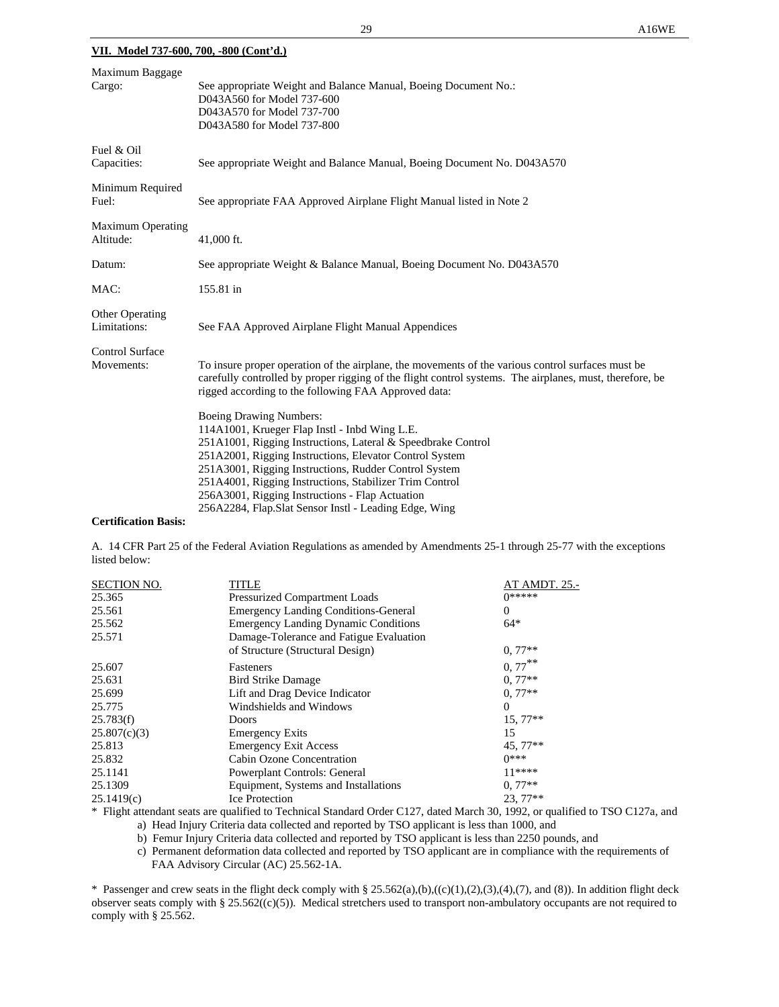| Maximum Baggage<br>Cargo:             | See appropriate Weight and Balance Manual, Boeing Document No.:<br>D043A560 for Model 737-600<br>D043A570 for Model 737-700<br>D043A580 for Model 737-800                                                                                                                                                                                                                                                                                                                                                                                                                                                                                                                                                           |
|---------------------------------------|---------------------------------------------------------------------------------------------------------------------------------------------------------------------------------------------------------------------------------------------------------------------------------------------------------------------------------------------------------------------------------------------------------------------------------------------------------------------------------------------------------------------------------------------------------------------------------------------------------------------------------------------------------------------------------------------------------------------|
| Fuel & Oil<br>Capacities:             | See appropriate Weight and Balance Manual, Boeing Document No. D043A570                                                                                                                                                                                                                                                                                                                                                                                                                                                                                                                                                                                                                                             |
| Minimum Required<br>Fuel:             | See appropriate FAA Approved Airplane Flight Manual listed in Note 2                                                                                                                                                                                                                                                                                                                                                                                                                                                                                                                                                                                                                                                |
| <b>Maximum Operating</b><br>Altitude: | 41,000 ft.                                                                                                                                                                                                                                                                                                                                                                                                                                                                                                                                                                                                                                                                                                          |
| Datum:                                | See appropriate Weight & Balance Manual, Boeing Document No. D043A570                                                                                                                                                                                                                                                                                                                                                                                                                                                                                                                                                                                                                                               |
| MAC:                                  | 155.81 in                                                                                                                                                                                                                                                                                                                                                                                                                                                                                                                                                                                                                                                                                                           |
| Other Operating<br>Limitations:       | See FAA Approved Airplane Flight Manual Appendices                                                                                                                                                                                                                                                                                                                                                                                                                                                                                                                                                                                                                                                                  |
| <b>Control Surface</b><br>Movements:  | To insure proper operation of the airplane, the movements of the various control surfaces must be<br>carefully controlled by proper rigging of the flight control systems. The airplanes, must, therefore, be<br>rigged according to the following FAA Approved data:<br><b>Boeing Drawing Numbers:</b><br>114A1001, Krueger Flap Instl - Inbd Wing L.E.<br>251A1001, Rigging Instructions, Lateral & Speedbrake Control<br>251A2001, Rigging Instructions, Elevator Control System<br>251A3001, Rigging Instructions, Rudder Control System<br>251A4001, Rigging Instructions, Stabilizer Trim Control<br>256A3001, Rigging Instructions - Flap Actuation<br>256A2284, Flap.Slat Sensor Instl - Leading Edge, Wing |

### **Certification Basis:**

A. 14 CFR Part 25 of the Federal Aviation Regulations as amended by Amendments 25-1 through 25-77 with the exceptions listed below:

| <b>SECTION NO.</b> | TITLE                                          | <b>AT AMDT. 25.-</b>            |
|--------------------|------------------------------------------------|---------------------------------|
| 25.365             | <b>Pressurized Compartment Loads</b>           | $0*****$                        |
| 25.561             | <b>Emergency Landing Conditions-General</b>    | 0                               |
| 25.562             | <b>Emergency Landing Dynamic Conditions</b>    | $64*$                           |
| 25.571             | Damage-Tolerance and Fatigue Evaluation        |                                 |
|                    | of Structure (Structural Design)               | $0.77**$                        |
| 25.607             | Fasteners                                      | $0, 77***$                      |
| 25.631             | <b>Bird Strike Damage</b>                      | $0.77**$                        |
| 25.699             | Lift and Drag Device Indicator                 | $0.77**$                        |
| 25.775             | Windshields and Windows                        | $\Omega$                        |
| 25.783(f)          | Doors                                          | $15,77**$                       |
| 25.807(c)(3)       | <b>Emergency Exits</b>                         | 15                              |
| 25.813             | <b>Emergency Exit Access</b>                   | $45.77**$                       |
| 25.832             | Cabin Ozone Concentration                      | $0***$                          |
| 25.1141            | Powerplant Controls: General                   | $11****$                        |
| 25.1309            | Equipment, Systems and Installations           | $0.77**$                        |
| 25.1419(c)         | <b>Ice Protection</b>                          | $23.77**$                       |
|                    | $1\%$ 1. For 1.1.0. 1.10.1.0107.1.134.100.1000 | $1.01 \pm 1.1$<br>$ma^{\alpha}$ |

\* Flight attendant seats are qualified to Technical Standard Order C127, dated March 30, 1992, or qualified to TSO C127a, and a) Head Injury Criteria data collected and reported by TSO applicant is less than 1000, and

b) Femur Injury Criteria data collected and reported by TSO applicant is less than 2250 pounds, and

c) Permanent deformation data collected and reported by TSO applicant are in compliance with the requirements of FAA Advisory Circular (AC) 25.562-1A.

\* Passenger and crew seats in the flight deck comply with § 25.562(a),(b),((c)(1),(2),(3),(4),(7), and (8)). In addition flight deck observer seats comply with § 25.562( $(c)(5)$ ). Medical stretchers used to transport non-ambulatory occupants are not required to comply with § 25.562.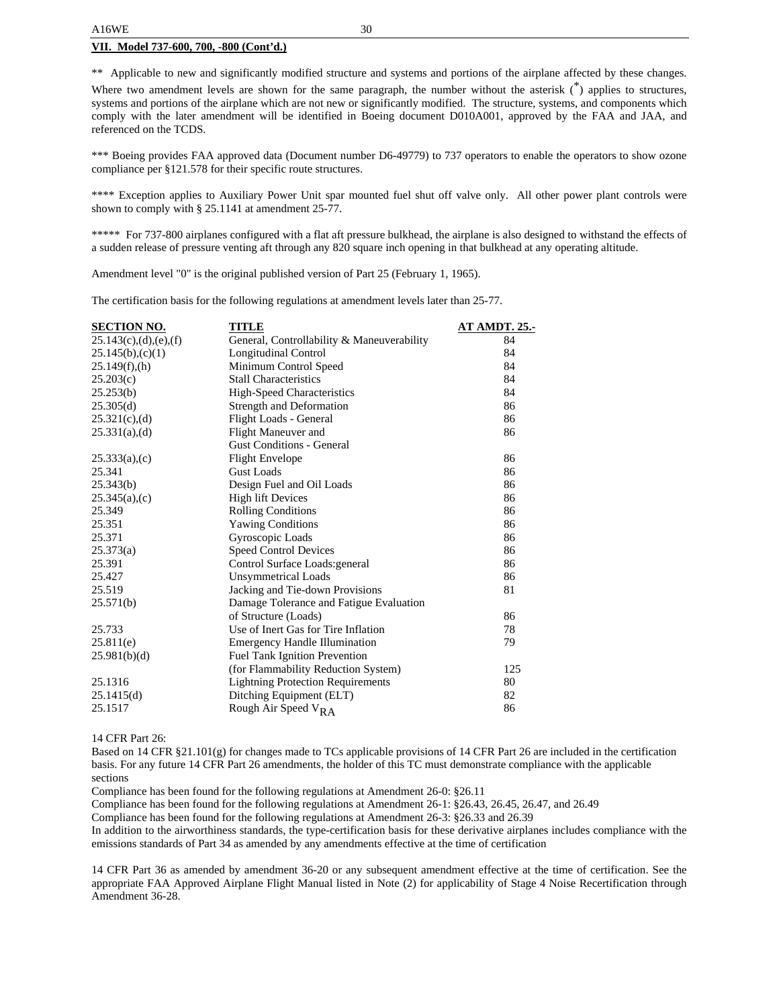\*\* Applicable to new and significantly modified structure and systems and portions of the airplane affected by these changes.

Where two amendment levels are shown for the same paragraph, the number without the asterisk  $\binom{*}{k}$  applies to structures, systems and portions of the airplane which are not new or significantly modified. The structure, systems, and components which comply with the later amendment will be identified in Boeing document D010A001, approved by the FAA and JAA, and referenced on the TCDS.

\*\*\* Boeing provides FAA approved data (Document number D6-49779) to 737 operators to enable the operators to show ozone compliance per §121.578 for their specific route structures.

\*\*\*\* Exception applies to Auxiliary Power Unit spar mounted fuel shut off valve only. All other power plant controls were shown to comply with § 25.1141 at amendment 25-77.

\*\*\*\*\* For 737-800 airplanes configured with a flat aft pressure bulkhead, the airplane is also designed to withstand the effects of a sudden release of pressure venting aft through any 820 square inch opening in that bulkhead at any operating altitude.

Amendment level "0" is the original published version of Part 25 (February 1, 1965).

The certification basis for the following regulations at amendment levels later than 25-77.

| <b>SECTION NO.</b>          | <b>TITLE</b>                               | <b>AT AMDT. 25.-</b> |
|-----------------------------|--------------------------------------------|----------------------|
| $25.143(c)$ , (d), (e), (f) | General, Controllability & Maneuverability | 84                   |
| 25.145(b),(c)(1)            | Longitudinal Control                       | 84                   |
| 25.149(f), (h)              | Minimum Control Speed                      | 84                   |
| 25.203(c)                   | <b>Stall Characteristics</b>               | 84                   |
| 25.253(b)                   | High-Speed Characteristics                 | 84                   |
| 25.305(d)                   | Strength and Deformation                   | 86                   |
| $25.321(c)$ , (d)           | Flight Loads - General                     | 86                   |
| 25.331(a),(d)               | Flight Maneuver and                        | 86                   |
|                             | <b>Gust Conditions - General</b>           |                      |
| $25.333(a)$ , (c)           | <b>Flight Envelope</b>                     | 86                   |
| 25.341                      | <b>Gust Loads</b>                          | 86                   |
| 25.343(b)                   | Design Fuel and Oil Loads                  | 86                   |
| 25.345(a),(c)               | <b>High lift Devices</b>                   | 86                   |
| 25.349                      | <b>Rolling Conditions</b>                  | 86                   |
| 25.351                      | <b>Yawing Conditions</b>                   | 86                   |
| 25.371                      | Gyroscopic Loads                           | 86                   |
| 25.373(a)                   | <b>Speed Control Devices</b>               | 86                   |
| 25.391                      | Control Surface Loads: general             | 86                   |
| 25.427                      | <b>Unsymmetrical Loads</b>                 | 86                   |
| 25.519                      | Jacking and Tie-down Provisions            | 81                   |
| 25.571(b)                   | Damage Tolerance and Fatigue Evaluation    |                      |
|                             | of Structure (Loads)                       | 86                   |
| 25.733                      | Use of Inert Gas for Tire Inflation        | 78                   |
| 25.811(e)                   | <b>Emergency Handle Illumination</b>       | 79                   |
| 25.981(b)(d)                | Fuel Tank Ignition Prevention              |                      |
|                             | (for Flammability Reduction System)        | 125                  |
| 25.1316                     | <b>Lightning Protection Requirements</b>   | 80                   |
| 25.1415(d)                  | Ditching Equipment (ELT)                   | 82                   |
| 25.1517                     | Rough Air Speed V <sub>RA</sub>            | 86                   |

14 CFR Part 26:

Based on 14 CFR §21.101(g) for changes made to TCs applicable provisions of 14 CFR Part 26 are included in the certification basis. For any future 14 CFR Part 26 amendments, the holder of this TC must demonstrate compliance with the applicable sections

Compliance has been found for the following regulations at Amendment 26-0: §26.11

Compliance has been found for the following regulations at Amendment 26-1: §26.43, 26.45, 26.47, and 26.49

Compliance has been found for the following regulations at Amendment 26-3: §26.33 and 26.39

In addition to the airworthiness standards, the type-certification basis for these derivative airplanes includes compliance with the emissions standards of Part 34 as amended by any amendments effective at the time of certification

14 CFR Part 36 as amended by amendment 36-20 or any subsequent amendment effective at the time of certification. See the appropriate FAA Approved Airplane Flight Manual listed in Note (2) for applicability of Stage 4 Noise Recertification through Amendment 36-28.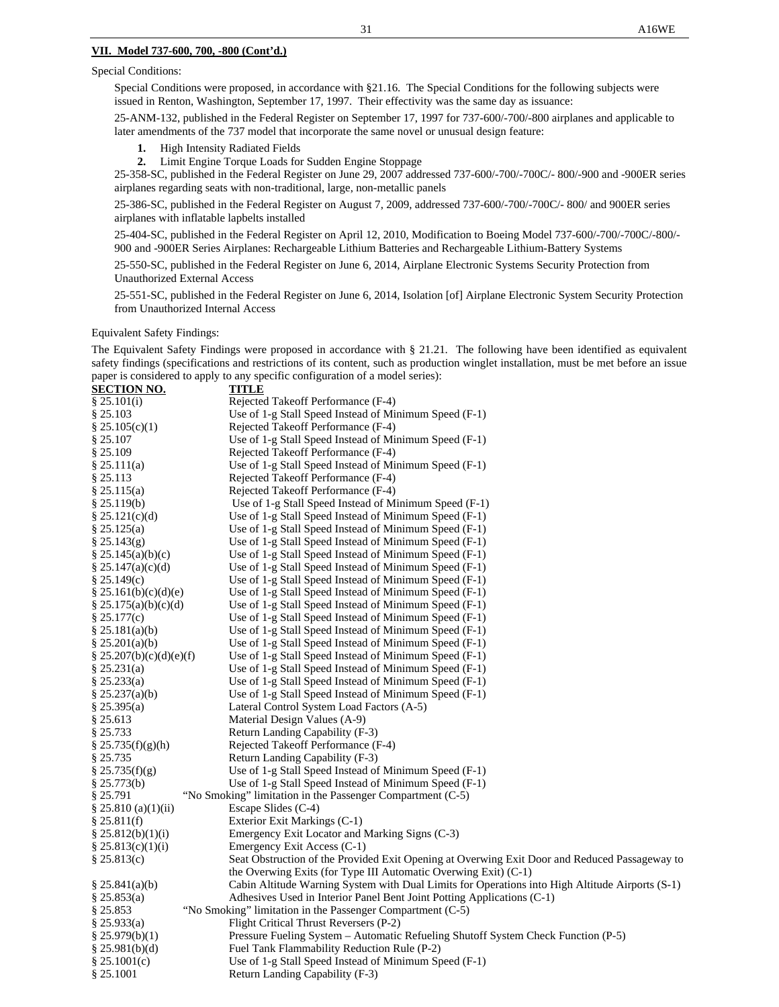Special Conditions were proposed, in accordance with §21.16. The Special Conditions for the following subjects were issued in Renton, Washington, September 17, 1997. Their effectivity was the same day as issuance:

25-ANM-132, published in the Federal Register on September 17, 1997 for 737-600/-700/-800 airplanes and applicable to later amendments of the 737 model that incorporate the same novel or unusual design feature:

- **1.** High Intensity Radiated Fields
- **2.** Limit Engine Torque Loads for Sudden Engine Stoppage

25-358-SC, published in the Federal Register on June 29, 2007 addressed 737-600/-700/-700C/- 800/-900 and -900ER series airplanes regarding seats with non-traditional, large, non-metallic panels

25-386-SC, published in the Federal Register on August 7, 2009, addressed 737-600/-700/-700C/- 800/ and 900ER series airplanes with inflatable lapbelts installed

25-404-SC, published in the Federal Register on April 12, 2010, Modification to Boeing Model 737-600/-700/-700C/-800/- 900 and -900ER Series Airplanes: Rechargeable Lithium Batteries and Rechargeable Lithium-Battery Systems

25-550-SC, published in the Federal Register on June 6, 2014, Airplane Electronic Systems Security Protection from Unauthorized External Access

25-551-SC, published in the Federal Register on June 6, 2014, Isolation [of] Airplane Electronic System Security Protection from Unauthorized Internal Access

### Equivalent Safety Findings:

The Equivalent Safety Findings were proposed in accordance with § 21.21. The following have been identified as equivalent safety findings (specifications and restrictions of its content, such as production winglet installation, must be met before an issue paper is considered to apply to any specific configuration of a model series):

| <b>SECTION NO.</b>              | <b>TITLE</b>                                                                                                                |
|---------------------------------|-----------------------------------------------------------------------------------------------------------------------------|
| § 25.101(i)                     | Rejected Takeoff Performance (F-4)                                                                                          |
| § 25.103                        | Use of 1-g Stall Speed Instead of Minimum Speed (F-1)                                                                       |
| § $25.105(c)(1)$                | Rejected Takeoff Performance (F-4)                                                                                          |
| § 25.107                        | Use of 1-g Stall Speed Instead of Minimum Speed (F-1)                                                                       |
| \$25.109                        | Rejected Takeoff Performance (F-4)                                                                                          |
| § 25.111(a)                     | Use of 1-g Stall Speed Instead of Minimum Speed (F-1)                                                                       |
| § 25.113                        | Rejected Takeoff Performance (F-4)                                                                                          |
| § 25.115(a)                     | Rejected Takeoff Performance (F-4)                                                                                          |
| $§$ 25.119(b)                   | Use of 1-g Stall Speed Instead of Minimum Speed (F-1)                                                                       |
| § 25.121(c)(d)                  | Use of 1-g Stall Speed Instead of Minimum Speed (F-1)                                                                       |
| § 25.125(a)                     | Use of 1-g Stall Speed Instead of Minimum Speed (F-1)                                                                       |
| § 25.143(g)                     | Use of 1-g Stall Speed Instead of Minimum Speed (F-1)                                                                       |
| § 25.145(a)(b)(c)               | Use of 1-g Stall Speed Instead of Minimum Speed (F-1)                                                                       |
| § $25.147(a)(c)(d)$             | Use of 1-g Stall Speed Instead of Minimum Speed (F-1)                                                                       |
| \$25.149(c)                     | Use of 1-g Stall Speed Instead of Minimum Speed (F-1)                                                                       |
| $\S 25.161(b)(c)(d)(e)$         | Use of 1-g Stall Speed Instead of Minimum Speed (F-1)                                                                       |
| § 25.175(a)(b)(c)(d)            | Use of 1-g Stall Speed Instead of Minimum Speed (F-1)                                                                       |
| § 25.177(c)                     | Use of 1-g Stall Speed Instead of Minimum Speed (F-1)                                                                       |
| § 25.181(a)(b)                  | Use of 1-g Stall Speed Instead of Minimum Speed (F-1)                                                                       |
| § 25.201(a)(b)                  | Use of 1-g Stall Speed Instead of Minimum Speed (F-1)                                                                       |
| § 25.207(b)(c)(d)(e)(f)         | Use of 1-g Stall Speed Instead of Minimum Speed (F-1)                                                                       |
| § 25.231(a)                     | Use of 1-g Stall Speed Instead of Minimum Speed (F-1)                                                                       |
| § 25.233(a)                     | Use of 1-g Stall Speed Instead of Minimum Speed (F-1)                                                                       |
| \$25.237(a)(b)                  | Use of 1-g Stall Speed Instead of Minimum Speed (F-1)                                                                       |
| § 25.395(a)                     | Lateral Control System Load Factors (A-5)                                                                                   |
| § 25.613                        | Material Design Values (A-9)                                                                                                |
| § 25.733                        | Return Landing Capability (F-3)                                                                                             |
| \$25.735(f)(g)(h)               | Rejected Takeoff Performance (F-4)                                                                                          |
| § 25.735                        | Return Landing Capability (F-3)                                                                                             |
| § 25.735(f)(g)                  | Use of 1-g Stall Speed Instead of Minimum Speed (F-1)                                                                       |
| $§$ 25.773(b)                   | Use of 1-g Stall Speed Instead of Minimum Speed (F-1)                                                                       |
| § 25.791                        | "No Smoking" limitation in the Passenger Compartment (C-5)                                                                  |
| § 25.810 $(a)(1)(ii)$           | Escape Slides (C-4)                                                                                                         |
| \$25.811(f)                     | Exterior Exit Markings (C-1)                                                                                                |
| \$25.812(b)(1)(i)               | Emergency Exit Locator and Marking Signs (C-3)                                                                              |
| \$25.813(c)(1)(i)               | Emergency Exit Access (C-1)                                                                                                 |
| \$25.813(c)                     | Seat Obstruction of the Provided Exit Opening at Overwing Exit Door and Reduced Passageway to                               |
|                                 | the Overwing Exits (for Type III Automatic Overwing Exit) (C-1)                                                             |
| \$25.841(a)(b)                  | Cabin Altitude Warning System with Dual Limits for Operations into High Altitude Airports (S-1)                             |
| \$25.853(a)                     | Adhesives Used in Interior Panel Bent Joint Potting Applications (C-1)                                                      |
| § 25.853                        | "No Smoking" limitation in the Passenger Compartment (C-5)                                                                  |
| $§$ 25.933(a)<br>\$25.979(b)(1) | Flight Critical Thrust Reversers (P-2)<br>Pressure Fueling System - Automatic Refueling Shutoff System Check Function (P-5) |
| $§$ 25.981(b)(d)                | Fuel Tank Flammability Reduction Rule (P-2)                                                                                 |
| § 25.1001(c)                    | Use of 1-g Stall Speed Instead of Minimum Speed (F-1)                                                                       |
| § 25.1001                       | Return Landing Capability (F-3)                                                                                             |
|                                 |                                                                                                                             |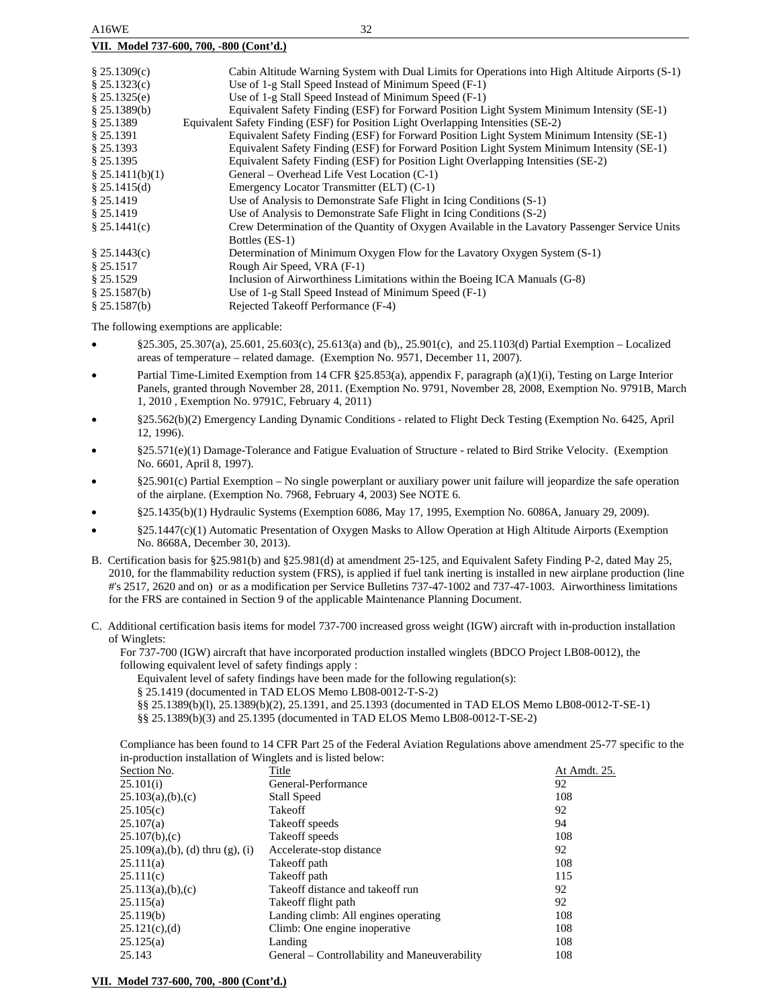|  | VII. Model 737-600, 700, -800 (Cont'd.) |  |
|--|-----------------------------------------|--|
|  |                                         |  |

| \$25.1309(c)<br>\$25.1323(c)<br>\$25.1325(e)<br>\$25.1389(b) | Cabin Altitude Warning System with Dual Limits for Operations into High Altitude Airports (S-1)<br>Use of 1-g Stall Speed Instead of Minimum Speed (F-1)<br>Use of 1-g Stall Speed Instead of Minimum Speed (F-1)<br>Equivalent Safety Finding (ESF) for Forward Position Light System Minimum Intensity (SE-1) |
|--------------------------------------------------------------|-----------------------------------------------------------------------------------------------------------------------------------------------------------------------------------------------------------------------------------------------------------------------------------------------------------------|
| \$25.1389                                                    | Equivalent Safety Finding (ESF) for Position Light Overlapping Intensities (SE-2)                                                                                                                                                                                                                               |
| § 25.1391                                                    | Equivalent Safety Finding (ESF) for Forward Position Light System Minimum Intensity (SE-1)                                                                                                                                                                                                                      |
| \$25.1393                                                    | Equivalent Safety Finding (ESF) for Forward Position Light System Minimum Intensity (SE-1)                                                                                                                                                                                                                      |
| $§$ 25.1395                                                  | Equivalent Safety Finding (ESF) for Position Light Overlapping Intensities (SE-2)                                                                                                                                                                                                                               |
| \$25.1411(b)(1)                                              | General – Overhead Life Vest Location (C-1)                                                                                                                                                                                                                                                                     |
| \$25.1415(d)                                                 | Emergency Locator Transmitter (ELT) (C-1)                                                                                                                                                                                                                                                                       |
| $§$ 25.1419                                                  | Use of Analysis to Demonstrate Safe Flight in Icing Conditions (S-1)                                                                                                                                                                                                                                            |
| $§$ 25.1419                                                  | Use of Analysis to Demonstrate Safe Flight in Icing Conditions (S-2)                                                                                                                                                                                                                                            |
| \$25.1441(c)                                                 | Crew Determination of the Quantity of Oxygen Available in the Lavatory Passenger Service Units<br>Bottles (ES-1)                                                                                                                                                                                                |
| \$25.1443(c)                                                 | Determination of Minimum Oxygen Flow for the Lavatory Oxygen System (S-1)                                                                                                                                                                                                                                       |
| \$25.1517                                                    | Rough Air Speed, VRA (F-1)                                                                                                                                                                                                                                                                                      |
| \$25.1529                                                    | Inclusion of Airworthiness Limitations within the Boeing ICA Manuals (G-8)                                                                                                                                                                                                                                      |
| \$25.1587(b)                                                 | Use of 1-g Stall Speed Instead of Minimum Speed (F-1)                                                                                                                                                                                                                                                           |
| \$25.1587(b)                                                 | Rejected Takeoff Performance (F-4)                                                                                                                                                                                                                                                                              |

The following exemptions are applicable:

- §25.305, 25.307(a), 25.601, 25.603(c), 25.613(a) and (b),, 25.901(c), and 25.1103(d) Partial Exemption Localized areas of temperature – related damage. (Exemption No. 9571, December 11, 2007).
- Partial Time-Limited Exemption from 14 CFR §25.853(a), appendix F, paragraph (a)(1)(i), Testing on Large Interior Panels, granted through November 28, 2011. (Exemption No. 9791, November 28, 2008, Exemption No. 9791B, March 1, 2010 , Exemption No. 9791C, February 4, 2011)
- §25.562(b)(2) Emergency Landing Dynamic Conditions related to Flight Deck Testing (Exemption No. 6425, April 12, 1996).
- §25.571(e)(1) Damage-Tolerance and Fatigue Evaluation of Structure related to Bird Strike Velocity. (Exemption No. 6601, April 8, 1997).
- §25.901(c) Partial Exemption No single powerplant or auxiliary power unit failure will jeopardize the safe operation of the airplane. (Exemption No. 7968, February 4, 2003) See NOTE 6.
- §25.1435(b)(1) Hydraulic Systems (Exemption 6086, May 17, 1995, Exemption No. 6086A, January 29, 2009).
- §25.1447(c)(1) Automatic Presentation of Oxygen Masks to Allow Operation at High Altitude Airports (Exemption No. 8668A, December 30, 2013).
- B. Certification basis for §25.981(b) and §25.981(d) at amendment 25-125, and Equivalent Safety Finding P-2, dated May 25, 2010, for the flammability reduction system (FRS), is applied if fuel tank inerting is installed in new airplane production (line #'s 2517, 2620 and on) or as a modification per Service Bulletins 737-47-1002 and 737-47-1003. Airworthiness limitations for the FRS are contained in Section 9 of the applicable Maintenance Planning Document.
- C. Additional certification basis items for model 737-700 increased gross weight (IGW) aircraft with in-production installation of Winglets:

For 737-700 (IGW) aircraft that have incorporated production installed winglets (BDCO Project LB08-0012), the following equivalent level of safety findings apply :

Equivalent level of safety findings have been made for the following regulation(s):

§ 25.1419 (documented in TAD ELOS Memo LB08-0012-T-S-2)

- §§ 25.1389(b)(l), 25.1389(b)(2), 25.1391, and 25.1393 (documented in TAD ELOS Memo LB08-0012-T-SE-1)
- §§ 25.1389(b)(3) and 25.1395 (documented in TAD ELOS Memo LB08-0012-T-SE-2)

Compliance has been found to 14 CFR Part 25 of the Federal Aviation Regulations above amendment 25-77 specific to the in-production installation of Winglets and is listed below:

| Section No.                          | Title                                         | At Amdt. 25. |
|--------------------------------------|-----------------------------------------------|--------------|
| 25.101(i)                            | General-Performance                           | 92           |
| $25.103(a)$ , (b), (c)               | Stall Speed                                   | 108          |
| 25.105(c)                            | Takeoff                                       | 92           |
| 25.107(a)                            | Takeoff speeds                                | 94           |
| $25.107(b)$ , (c)                    | Take off speeds                               | 108          |
| $25.109(a)$ , (b), (d) thru (g), (i) | Accelerate-stop distance                      | 92           |
| 25.111(a)                            | Take off path                                 | 108          |
| 25.111(c)                            | Take off path                                 | 115          |
| 25.113(a),(b),(c)                    | Take off distance and take off run            | 92           |
| 25.115(a)                            | Take off flight path                          | 92           |
| 25.119(b)                            | Landing climb: All engines operating          | 108          |
| $25.121(c)$ , (d)                    | Climb: One engine inoperative                 | 108          |
| 25.125(a)                            | Landing                                       | 108          |
| 25.143                               | General – Controllability and Maneuverability | 108          |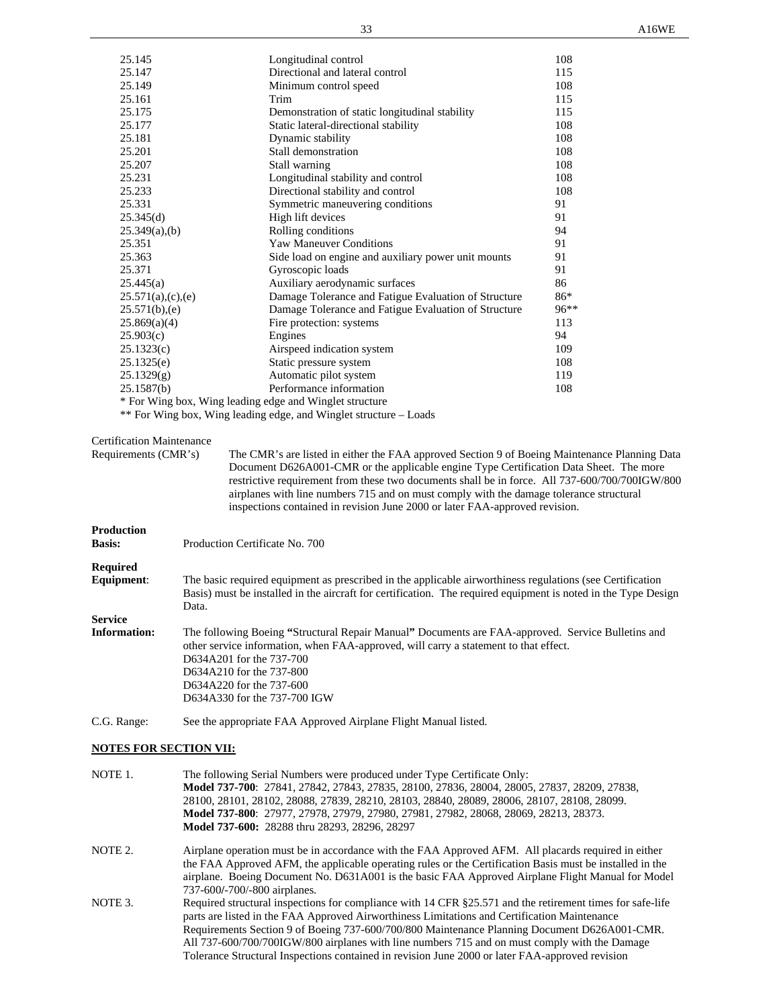| 25.145                           | Longitudinal control                                                                                           | 108  |
|----------------------------------|----------------------------------------------------------------------------------------------------------------|------|
| 25.147                           | Directional and lateral control                                                                                | 115  |
| 25.149                           | Minimum control speed                                                                                          | 108  |
| 25.161                           | Trim                                                                                                           | 115  |
| 25.175                           | Demonstration of static longitudinal stability                                                                 | 115  |
| 25.177                           | Static lateral-directional stability                                                                           | 108  |
| 25.181                           | Dynamic stability                                                                                              | 108  |
| 25.201                           | Stall demonstration                                                                                            | 108  |
| 25.207                           | Stall warning                                                                                                  | 108  |
| 25.231                           | Longitudinal stability and control                                                                             | 108  |
| 25.233                           | Directional stability and control                                                                              | 108  |
| 25.331                           | Symmetric maneuvering conditions                                                                               | 91   |
| 25.345(d)                        | High lift devices                                                                                              | 91   |
| $25.349(a)$ , (b)                | Rolling conditions                                                                                             | 94   |
| 25.351                           | <b>Yaw Maneuver Conditions</b>                                                                                 | 91   |
| 25.363                           |                                                                                                                | 91   |
|                                  | Side load on engine and auxiliary power unit mounts                                                            |      |
| 25.371                           | Gyroscopic loads                                                                                               | 91   |
| 25.445(a)                        | Auxiliary aerodynamic surfaces                                                                                 | 86   |
| 25.571(a),(c),(e)                | Damage Tolerance and Fatigue Evaluation of Structure                                                           | 86*  |
| 25.571(b),(e)                    | Damage Tolerance and Fatigue Evaluation of Structure                                                           | 96** |
| 25.869(a)(4)                     | Fire protection: systems                                                                                       | 113  |
| 25.903(c)                        | Engines                                                                                                        | 94   |
| 25.1323(c)                       | Airspeed indication system                                                                                     | 109  |
| 25.1325(e)                       | Static pressure system                                                                                         | 108  |
| 25.1329(g)                       | Automatic pilot system                                                                                         | 119  |
| 25.1587(b)                       | Performance information                                                                                        | 108  |
|                                  | * For Wing box, Wing leading edge and Winglet structure                                                        |      |
|                                  | ** For Wing box, Wing leading edge, and Winglet structure - Loads                                              |      |
|                                  |                                                                                                                |      |
| <b>Certification Maintenance</b> |                                                                                                                |      |
| Requirements (CMR's)             | The CMR's are listed in either the FAA approved Section 9 of Boeing Maintenance Planning Data                  |      |
|                                  | Document D626A001-CMR or the applicable engine Type Certification Data Sheet. The more                         |      |
|                                  | restrictive requirement from these two documents shall be in force. All 737-600/700/700IGW/800                 |      |
|                                  | airplanes with line numbers 715 and on must comply with the damage tolerance structural                        |      |
|                                  | inspections contained in revision June 2000 or later FAA-approved revision.                                    |      |
|                                  |                                                                                                                |      |
| <b>Production</b>                |                                                                                                                |      |
| <b>Basis:</b>                    | Production Certificate No. 700                                                                                 |      |
|                                  |                                                                                                                |      |
| <b>Required</b>                  |                                                                                                                |      |
| Equipment:                       | The basic required equipment as prescribed in the applicable airworthiness regulations (see Certification      |      |
|                                  | Basis) must be installed in the aircraft for certification. The required equipment is noted in the Type Design |      |
|                                  | Data.                                                                                                          |      |
| <b>Service</b>                   |                                                                                                                |      |
| <b>Information:</b>              | The following Boeing "Structural Repair Manual" Documents are FAA-approved. Service Bulletins and              |      |
|                                  | other service information, when FAA-approved, will carry a statement to that effect.                           |      |
|                                  | D634A201 for the 737-700                                                                                       |      |
|                                  | D634A210 for the 737-800                                                                                       |      |
|                                  | D634A220 for the 737-600                                                                                       |      |
|                                  | D634A330 for the 737-700 IGW                                                                                   |      |
|                                  |                                                                                                                |      |
| C.G. Range:                      | See the appropriate FAA Approved Airplane Flight Manual listed.                                                |      |
|                                  |                                                                                                                |      |
| <b>NOTES FOR SECTION VII:</b>    |                                                                                                                |      |

| NOTE 1. | The following Serial Numbers were produced under Type Certificate Only:<br>Model 737-700: 27841, 27842, 27843, 27835, 28100, 27836, 28004, 28005, 27837, 28209, 27838,<br>28100, 28101, 28102, 28088, 27839, 28210, 28103, 28840, 28089, 28006, 28107, 28108, 28099.<br>Model 737-800: 27977, 27978, 27979, 27980, 27981, 27982, 28068, 28069, 28213, 28373.<br><b>Model 737-600:</b> 28288 thru 28293, 28296, 28297                                                                                          |
|---------|---------------------------------------------------------------------------------------------------------------------------------------------------------------------------------------------------------------------------------------------------------------------------------------------------------------------------------------------------------------------------------------------------------------------------------------------------------------------------------------------------------------|
| NOTE 2. | Airplane operation must be in accordance with the FAA Approved AFM. All placards required in either<br>the FAA Approved AFM, the applicable operating rules or the Certification Basis must be installed in the<br>airplane. Boeing Document No. D631A001 is the basic FAA Approved Airplane Flight Manual for Model<br>737-600/-700/-800 airplanes.                                                                                                                                                          |
| NOTE 3. | Required structural inspections for compliance with 14 CFR §25.571 and the retirement times for safe-life<br>parts are listed in the FAA Approved Airworthiness Limitations and Certification Maintenance<br>Requirements Section 9 of Boeing 737-600/700/800 Maintenance Planning Document D626A001-CMR.<br>All 737-600/700/700IGW/800 airplanes with line numbers 715 and on must comply with the Damage<br>Tolerance Structural Inspections contained in revision June 2000 or later FAA-approved revision |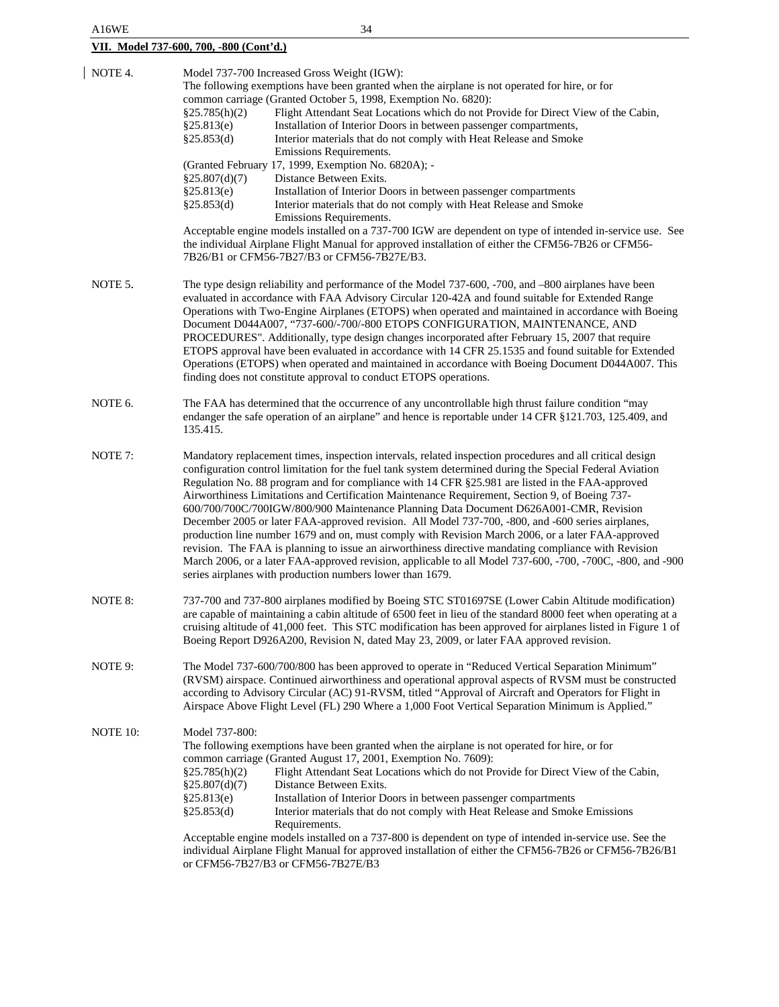| A16WE                                          | 34                                                                                                                                                                                                                                                                                                                                                                                                                                                                                                                                                                                                                                                                                                                                                                                                                                                                                                                                                                                                                                                                                          |  |  |  |
|------------------------------------------------|---------------------------------------------------------------------------------------------------------------------------------------------------------------------------------------------------------------------------------------------------------------------------------------------------------------------------------------------------------------------------------------------------------------------------------------------------------------------------------------------------------------------------------------------------------------------------------------------------------------------------------------------------------------------------------------------------------------------------------------------------------------------------------------------------------------------------------------------------------------------------------------------------------------------------------------------------------------------------------------------------------------------------------------------------------------------------------------------|--|--|--|
| <u>VII. Model 737-600, 700, -800 (Cont'd.)</u> |                                                                                                                                                                                                                                                                                                                                                                                                                                                                                                                                                                                                                                                                                                                                                                                                                                                                                                                                                                                                                                                                                             |  |  |  |
| NOTE 4.                                        | Model 737-700 Increased Gross Weight (IGW):<br>The following exemptions have been granted when the airplane is not operated for hire, or for<br>common carriage (Granted October 5, 1998, Exemption No. 6820):<br>Flight Attendant Seat Locations which do not Provide for Direct View of the Cabin,<br>§25.785(h)(2)<br>Installation of Interior Doors in between passenger compartments,<br>§25.813(e)<br>§25.853(d)<br>Interior materials that do not comply with Heat Release and Smoke<br>Emissions Requirements.<br>(Granted February 17, 1999, Exemption No. 6820A); -<br>§25.807(d)(7)<br>Distance Between Exits.<br>§25.813(e)<br>Installation of Interior Doors in between passenger compartments<br>Interior materials that do not comply with Heat Release and Smoke<br>§25.853(d)<br>Emissions Requirements.<br>Acceptable engine models installed on a 737-700 IGW are dependent on type of intended in-service use. See<br>the individual Airplane Flight Manual for approved installation of either the CFM56-7B26 or CFM56-<br>7B26/B1 or CFM56-7B27/B3 or CFM56-7B27E/B3. |  |  |  |
| NOTE 5.                                        | The type design reliability and performance of the Model 737-600, -700, and -800 airplanes have been<br>evaluated in accordance with FAA Advisory Circular 120-42A and found suitable for Extended Range<br>Operations with Two-Engine Airplanes (ETOPS) when operated and maintained in accordance with Boeing<br>Document D044A007, "737-600/-700/-800 ETOPS CONFIGURATION, MAINTENANCE, AND<br>PROCEDURES". Additionally, type design changes incorporated after February 15, 2007 that require<br>ETOPS approval have been evaluated in accordance with 14 CFR 25.1535 and found suitable for Extended<br>Operations (ETOPS) when operated and maintained in accordance with Boeing Document D044A007. This<br>finding does not constitute approval to conduct ETOPS operations.                                                                                                                                                                                                                                                                                                        |  |  |  |
| NOTE 6.                                        | The FAA has determined that the occurrence of any uncontrollable high thrust failure condition "may<br>endanger the safe operation of an airplane" and hence is reportable under 14 CFR §121.703, 125.409, and<br>135.415.                                                                                                                                                                                                                                                                                                                                                                                                                                                                                                                                                                                                                                                                                                                                                                                                                                                                  |  |  |  |
| NOTE 7:                                        | Mandatory replacement times, inspection intervals, related inspection procedures and all critical design<br>configuration control limitation for the fuel tank system determined during the Special Federal Aviation<br>Regulation No. 88 program and for compliance with 14 CFR §25.981 are listed in the FAA-approved<br>Airworthiness Limitations and Certification Maintenance Requirement, Section 9, of Boeing 737-<br>600/700/700C/700IGW/800/900 Maintenance Planning Data Document D626A001-CMR, Revision<br>December 2005 or later FAA-approved revision. All Model 737-700, -800, and -600 series airplanes,<br>production line number 1679 and on, must comply with Revision March 2006, or a later FAA-approved<br>revision. The FAA is planning to issue an airworthiness directive mandating compliance with Revision<br>March 2006, or a later FAA-approved revision, applicable to all Model 737-600, -700, -700C, -800, and -900<br>series airplanes with production numbers lower than 1679.                                                                             |  |  |  |
| NOTE 8:                                        | 737-700 and 737-800 airplanes modified by Boeing STC ST01697SE (Lower Cabin Altitude modification)<br>are capable of maintaining a cabin altitude of 6500 feet in lieu of the standard 8000 feet when operating at a<br>cruising altitude of 41,000 feet. This STC modification has been approved for airplanes listed in Figure 1 of<br>Boeing Report D926A200, Revision N, dated May 23, 2009, or later FAA approved revision.                                                                                                                                                                                                                                                                                                                                                                                                                                                                                                                                                                                                                                                            |  |  |  |
| NOTE 9:                                        | The Model 737-600/700/800 has been approved to operate in "Reduced Vertical Separation Minimum"<br>(RVSM) airspace. Continued airworthiness and operational approval aspects of RVSM must be constructed<br>according to Advisory Circular (AC) 91-RVSM, titled "Approval of Aircraft and Operators for Flight in<br>Airspace Above Flight Level (FL) 290 Where a 1,000 Foot Vertical Separation Minimum is Applied."                                                                                                                                                                                                                                                                                                                                                                                                                                                                                                                                                                                                                                                                       |  |  |  |
| NOTE 10:                                       | Model 737-800:<br>The following exemptions have been granted when the airplane is not operated for hire, or for<br>common carriage (Granted August 17, 2001, Exemption No. 7609):<br>Flight Attendant Seat Locations which do not Provide for Direct View of the Cabin,<br>$\S 25.785(h)(2)$<br>Distance Between Exits.<br>§25.807(d)(7)<br>§25.813(e)<br>Installation of Interior Doors in between passenger compartments<br>§25.853(d)<br>Interior materials that do not comply with Heat Release and Smoke Emissions<br>Requirements.<br>Acceptable engine models installed on a 737-800 is dependent on type of intended in-service use. See the<br>individual Airplane Flight Manual for approved installation of either the CFM56-7B26 or CFM56-7B26/B1<br>or CFM56-7B27/B3 or CFM56-7B27E/B3                                                                                                                                                                                                                                                                                         |  |  |  |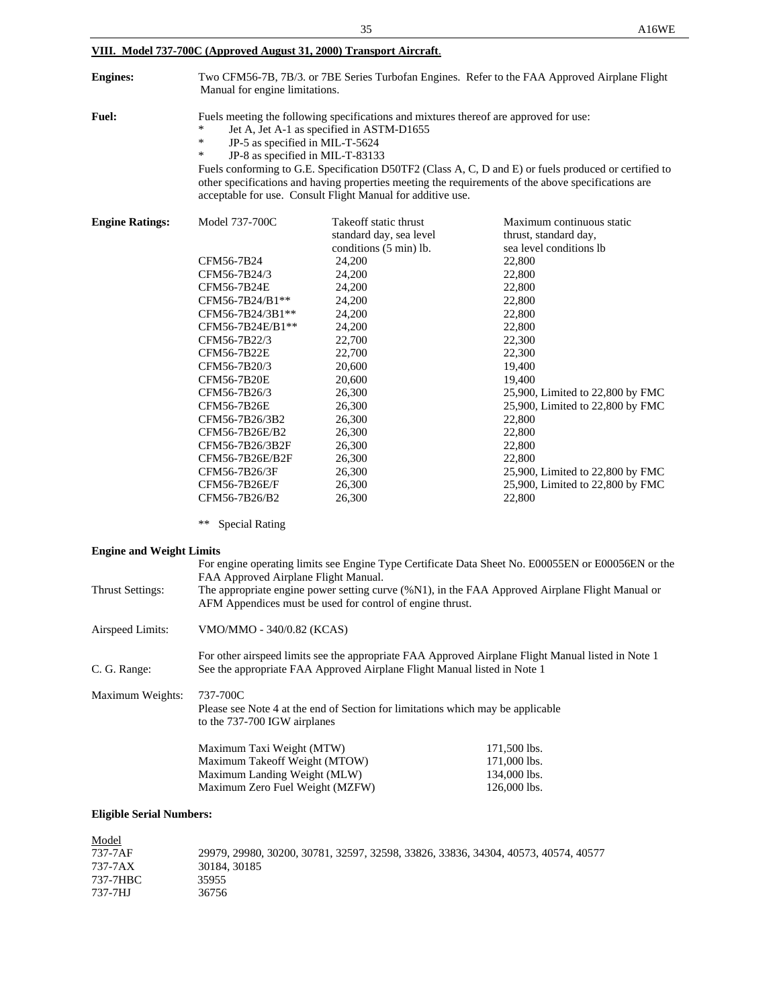| VIII. Model 737-700C (Approved August 31, 2000) Transport Aircraft. |                                                                                                                                                                                                                                                                                                                                                                                                                                                                                                    |                                                  |                                                                                                    |  |
|---------------------------------------------------------------------|----------------------------------------------------------------------------------------------------------------------------------------------------------------------------------------------------------------------------------------------------------------------------------------------------------------------------------------------------------------------------------------------------------------------------------------------------------------------------------------------------|--------------------------------------------------|----------------------------------------------------------------------------------------------------|--|
| <b>Engines:</b>                                                     | Two CFM56-7B, 7B/3. or 7BE Series Turbofan Engines. Refer to the FAA Approved Airplane Flight<br>Manual for engine limitations.                                                                                                                                                                                                                                                                                                                                                                    |                                                  |                                                                                                    |  |
| <b>Fuel:</b>                                                        | Fuels meeting the following specifications and mixtures thereof are approved for use:<br>Jet A, Jet A-1 as specified in ASTM-D1655<br>*<br>JP-5 as specified in MIL-T-5624<br>∗<br>JP-8 as specified in MIL-T-83133<br>Fuels conforming to G.E. Specification D50TF2 (Class A, C, D and E) or fuels produced or certified to<br>other specifications and having properties meeting the requirements of the above specifications are<br>acceptable for use. Consult Flight Manual for additive use. |                                                  |                                                                                                    |  |
| <b>Engine Ratings:</b>                                              | Model 737-700C                                                                                                                                                                                                                                                                                                                                                                                                                                                                                     | Takeoff static thrust<br>standard day, sea level | Maximum continuous static<br>thrust, standard day,                                                 |  |
|                                                                     |                                                                                                                                                                                                                                                                                                                                                                                                                                                                                                    | conditions (5 min) lb.                           | sea level conditions lb                                                                            |  |
|                                                                     | CFM56-7B24                                                                                                                                                                                                                                                                                                                                                                                                                                                                                         | 24,200                                           | 22,800                                                                                             |  |
|                                                                     | CFM56-7B24/3                                                                                                                                                                                                                                                                                                                                                                                                                                                                                       | 24,200                                           | 22,800                                                                                             |  |
|                                                                     | CFM56-7B24E                                                                                                                                                                                                                                                                                                                                                                                                                                                                                        | 24,200                                           | 22,800                                                                                             |  |
|                                                                     | CFM56-7B24/B1**                                                                                                                                                                                                                                                                                                                                                                                                                                                                                    | 24,200                                           | 22,800                                                                                             |  |
|                                                                     | CFM56-7B24/3B1**                                                                                                                                                                                                                                                                                                                                                                                                                                                                                   | 24,200                                           | 22,800                                                                                             |  |
|                                                                     | CFM56-7B24E/B1**                                                                                                                                                                                                                                                                                                                                                                                                                                                                                   | 24,200                                           | 22,800                                                                                             |  |
|                                                                     | CFM56-7B22/3                                                                                                                                                                                                                                                                                                                                                                                                                                                                                       | 22,700                                           | 22,300                                                                                             |  |
|                                                                     | CFM56-7B22E                                                                                                                                                                                                                                                                                                                                                                                                                                                                                        | 22,700                                           | 22,300                                                                                             |  |
|                                                                     | CFM56-7B20/3                                                                                                                                                                                                                                                                                                                                                                                                                                                                                       | 20,600                                           | 19,400                                                                                             |  |
|                                                                     | <b>CFM56-7B20E</b>                                                                                                                                                                                                                                                                                                                                                                                                                                                                                 | 20,600                                           | 19,400                                                                                             |  |
|                                                                     | CFM56-7B26/3                                                                                                                                                                                                                                                                                                                                                                                                                                                                                       | 26,300                                           | 25,900, Limited to 22,800 by FMC                                                                   |  |
|                                                                     | CFM56-7B26E                                                                                                                                                                                                                                                                                                                                                                                                                                                                                        | 26,300                                           | 25,900, Limited to 22,800 by FMC                                                                   |  |
|                                                                     | CFM56-7B26/3B2                                                                                                                                                                                                                                                                                                                                                                                                                                                                                     | 26,300                                           | 22,800                                                                                             |  |
|                                                                     | CFM56-7B26E/B2                                                                                                                                                                                                                                                                                                                                                                                                                                                                                     | 26,300                                           | 22,800                                                                                             |  |
|                                                                     | CFM56-7B26/3B2F                                                                                                                                                                                                                                                                                                                                                                                                                                                                                    | 26,300                                           | 22,800                                                                                             |  |
|                                                                     | CFM56-7B26E/B2F                                                                                                                                                                                                                                                                                                                                                                                                                                                                                    | 26,300                                           | 22,800                                                                                             |  |
|                                                                     | CFM56-7B26/3F                                                                                                                                                                                                                                                                                                                                                                                                                                                                                      | 26,300                                           | 25,900, Limited to 22,800 by FMC                                                                   |  |
|                                                                     | CFM56-7B26E/F                                                                                                                                                                                                                                                                                                                                                                                                                                                                                      | 26,300                                           | 25,900, Limited to 22,800 by FMC                                                                   |  |
|                                                                     | CFM56-7B26/B2                                                                                                                                                                                                                                                                                                                                                                                                                                                                                      | 26,300                                           | 22,800                                                                                             |  |
|                                                                     | **<br><b>Special Rating</b>                                                                                                                                                                                                                                                                                                                                                                                                                                                                        |                                                  |                                                                                                    |  |
| <b>Engine and Weight Limits</b>                                     |                                                                                                                                                                                                                                                                                                                                                                                                                                                                                                    |                                                  |                                                                                                    |  |
|                                                                     |                                                                                                                                                                                                                                                                                                                                                                                                                                                                                                    |                                                  | For engine operating limits see Engine Type Certificate Data Sheet No. E00055EN or E00056EN or the |  |
| Thrust Settings:                                                    | FAA Approved Airplane Flight Manual.<br>The appropriate engine power setting curve (%N1), in the FAA Approved Airplane Flight Manual or<br>AFM Appendices must be used for control of engine thrust.                                                                                                                                                                                                                                                                                               |                                                  |                                                                                                    |  |
| Airspeed Limits:                                                    | VMO/MMO - 340/0.82 (KCAS)                                                                                                                                                                                                                                                                                                                                                                                                                                                                          |                                                  |                                                                                                    |  |
| C. G. Range:                                                        | For other airspeed limits see the appropriate FAA Approved Airplane Flight Manual listed in Note 1<br>See the appropriate FAA Approved Airplane Flight Manual listed in Note 1                                                                                                                                                                                                                                                                                                                     |                                                  |                                                                                                    |  |
| Maximum Weights:                                                    | 737-700C<br>Please see Note 4 at the end of Section for limitations which may be applicable<br>to the 737-700 IGW airplanes                                                                                                                                                                                                                                                                                                                                                                        |                                                  |                                                                                                    |  |
|                                                                     | Maximum Taxi Weight (MTW)                                                                                                                                                                                                                                                                                                                                                                                                                                                                          |                                                  | 171,500 lbs.                                                                                       |  |
|                                                                     | Maximum Takeoff Weight (MTOW)                                                                                                                                                                                                                                                                                                                                                                                                                                                                      |                                                  | 171,000 lbs.                                                                                       |  |
|                                                                     | Maximum Landing Weight (MLW)                                                                                                                                                                                                                                                                                                                                                                                                                                                                       |                                                  | 134,000 lbs.                                                                                       |  |
|                                                                     | Maximum Zero Fuel Weight (MZFW)                                                                                                                                                                                                                                                                                                                                                                                                                                                                    |                                                  | 126,000 lbs.                                                                                       |  |
|                                                                     |                                                                                                                                                                                                                                                                                                                                                                                                                                                                                                    |                                                  |                                                                                                    |  |
| <b>Eligible Serial Numbers:</b>                                     |                                                                                                                                                                                                                                                                                                                                                                                                                                                                                                    |                                                  |                                                                                                    |  |

| Model    |                                                                                    |
|----------|------------------------------------------------------------------------------------|
| 737-7AF  | 29979, 29980, 30200, 30781, 32597, 32598, 33826, 33836, 34304, 40573, 40574, 40577 |
| 737-7AX  | 30184, 30185                                                                       |
| 737-7HBC | 35955                                                                              |
| 737-7HJ  | 36756                                                                              |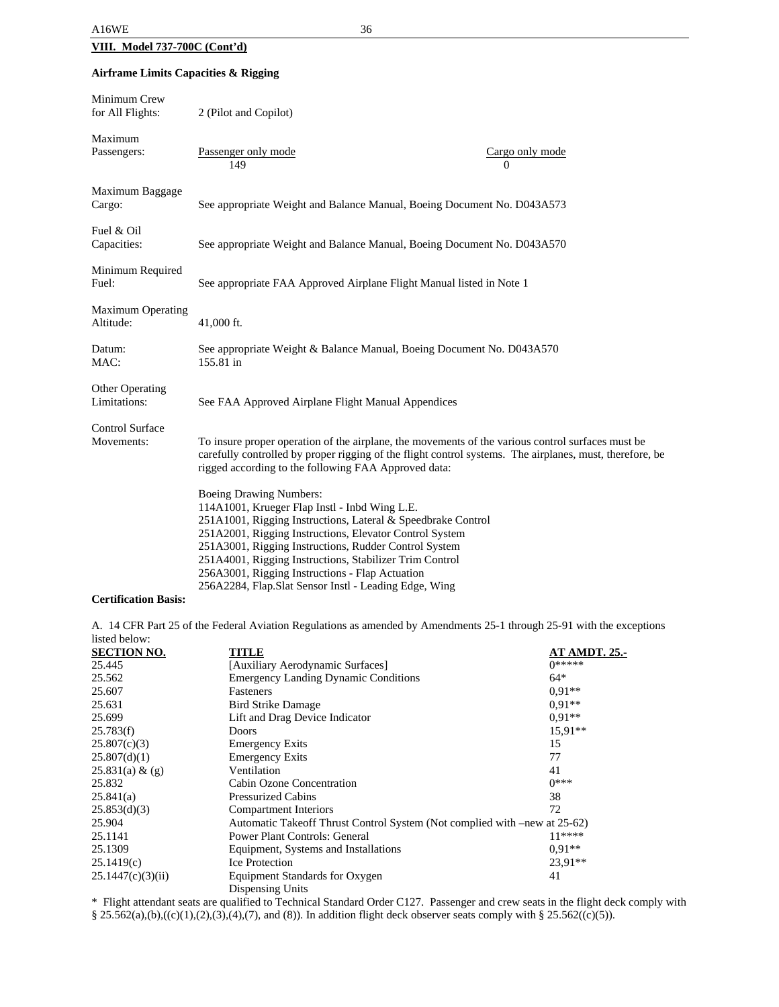### **Airframe Limits Capacities & Rigging**

| Minimum Crew<br>for All Flights:       | 2 (Pilot and Copilot)                                                                                                                                                                                                                                                                                                                                                                                                                      |                             |  |
|----------------------------------------|--------------------------------------------------------------------------------------------------------------------------------------------------------------------------------------------------------------------------------------------------------------------------------------------------------------------------------------------------------------------------------------------------------------------------------------------|-----------------------------|--|
| Maximum<br>Passengers:                 | Passenger only mode<br>149                                                                                                                                                                                                                                                                                                                                                                                                                 | Cargo only mode<br>$\Omega$ |  |
| Maximum Baggage<br>Cargo:              | See appropriate Weight and Balance Manual, Boeing Document No. D043A573                                                                                                                                                                                                                                                                                                                                                                    |                             |  |
| Fuel & Oil<br>Capacities:              | See appropriate Weight and Balance Manual, Boeing Document No. D043A570                                                                                                                                                                                                                                                                                                                                                                    |                             |  |
| Minimum Required<br>Fuel:              | See appropriate FAA Approved Airplane Flight Manual listed in Note 1                                                                                                                                                                                                                                                                                                                                                                       |                             |  |
| <b>Maximum Operating</b><br>Altitude:  | 41,000 ft.                                                                                                                                                                                                                                                                                                                                                                                                                                 |                             |  |
| Datum:<br>MAC:                         | See appropriate Weight & Balance Manual, Boeing Document No. D043A570<br>155.81 in                                                                                                                                                                                                                                                                                                                                                         |                             |  |
| <b>Other Operating</b><br>Limitations: | See FAA Approved Airplane Flight Manual Appendices                                                                                                                                                                                                                                                                                                                                                                                         |                             |  |
| <b>Control Surface</b><br>Movements:   | To insure proper operation of the airplane, the movements of the various control surfaces must be<br>carefully controlled by proper rigging of the flight control systems. The airplanes, must, therefore, be<br>rigged according to the following FAA Approved data:                                                                                                                                                                      |                             |  |
|                                        | <b>Boeing Drawing Numbers:</b><br>114A1001, Krueger Flap Instl - Inbd Wing L.E.<br>251A1001, Rigging Instructions, Lateral & Speedbrake Control<br>251A2001, Rigging Instructions, Elevator Control System<br>251A3001, Rigging Instructions, Rudder Control System<br>251A4001, Rigging Instructions, Stabilizer Trim Control<br>256A3001, Rigging Instructions - Flap Actuation<br>256A2284, Flap.Slat Sensor Instl - Leading Edge, Wing |                             |  |

### **Certification Basis:**

A. 14 CFR Part 25 of the Federal Aviation Regulations as amended by Amendments 25-1 through 25-91 with the exceptions listed below:

| <b>SECTION NO.</b> | <b>TITLE</b>                                                              | <b>AT AMDT. 25.-</b> |
|--------------------|---------------------------------------------------------------------------|----------------------|
| 25.445             | [Auxiliary Aerodynamic Surfaces]                                          | $0*****$             |
| 25.562             | <b>Emergency Landing Dynamic Conditions</b>                               | $64*$                |
| 25.607             | Fasteners                                                                 | $0.91**$             |
| 25.631             | <b>Bird Strike Damage</b>                                                 | $0.91**$             |
| 25.699             | Lift and Drag Device Indicator                                            | $0.91**$             |
| 25.783(f)          | <b>Doors</b>                                                              | $15.91**$            |
| 25.807(c)(3)       | <b>Emergency Exits</b>                                                    | 15                   |
| 25.807(d)(1)       | <b>Emergency Exits</b>                                                    | 77                   |
| 25.831(a) & (g)    | Ventilation                                                               | 41                   |
| 25.832             | Cabin Ozone Concentration                                                 | $0***$               |
| 25.841(a)          | <b>Pressurized Cabins</b>                                                 | 38                   |
| 25.853(d)(3)       | Compartment Interiors                                                     | 72                   |
| 25.904             | Automatic Takeoff Thrust Control System (Not complied with –new at 25-62) |                      |
| 25.1141            | <b>Power Plant Controls: General</b>                                      | $11***$              |
| 25.1309            | Equipment, Systems and Installations                                      | $0.91**$             |
| 25.1419(c)         | Ice Protection                                                            | 23,91**              |
| 25.1447(c)(3)(ii)  | Equipment Standards for Oxygen                                            | 41                   |
|                    | Dispensing Units                                                          |                      |

\* Flight attendant seats are qualified to Technical Standard Order C127. Passenger and crew seats in the flight deck comply with

 $§ 25.562(a), (b), ((c)(1), (2), (3), (4), (7),$  and (8)). In addition flight deck observer seats comply with § 25.562((c)(5)).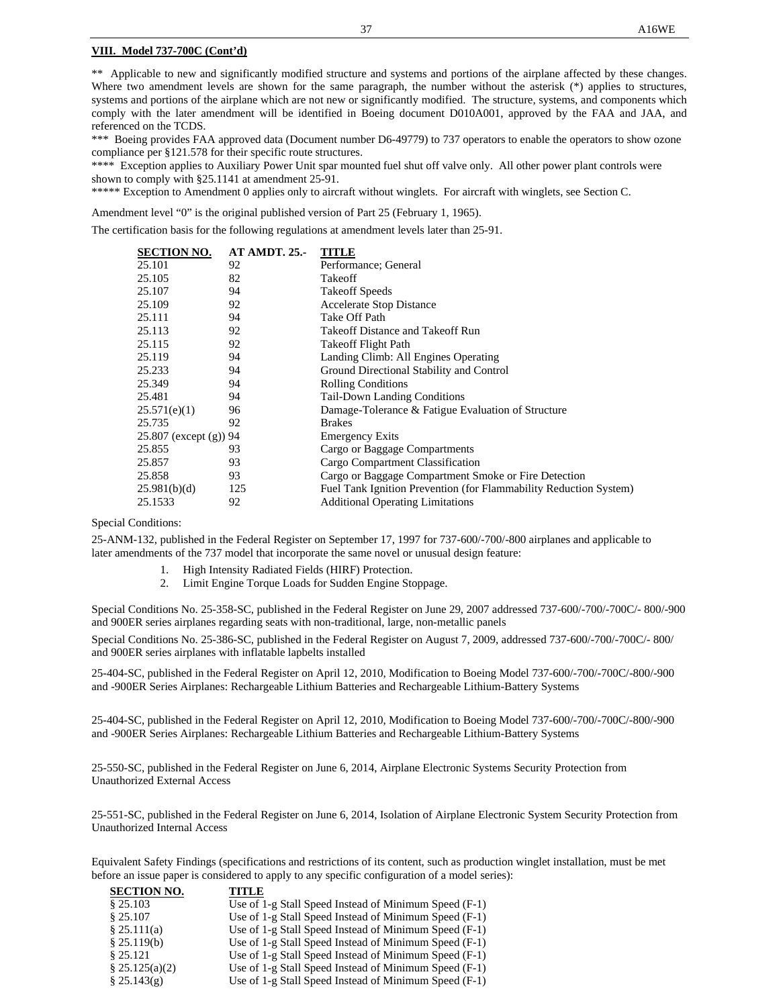#### **VIII. Model 737-700C (Cont'd)**

\*\* Applicable to new and significantly modified structure and systems and portions of the airplane affected by these changes. Where two amendment levels are shown for the same paragraph, the number without the asterisk (\*) applies to structures, systems and portions of the airplane which are not new or significantly modified. The structure, systems, and components which comply with the later amendment will be identified in Boeing document D010A001, approved by the FAA and JAA, and referenced on the TCDS.

\*\*\* Boeing provides FAA approved data (Document number D6-49779) to 737 operators to enable the operators to show ozone compliance per §121.578 for their specific route structures.

\*\*\*\* Exception applies to Auxiliary Power Unit spar mounted fuel shut off valve only. All other power plant controls were shown to comply with §25.1141 at amendment 25-91.

\*\*\*\*\* Exception to Amendment 0 applies only to aircraft without winglets. For aircraft with winglets, see Section C.

Amendment level "0" is the original published version of Part 25 (February 1, 1965).

The certification basis for the following regulations at amendment levels later than 25-91.

| <b>SECTION NO.</b>       | <b>AT AMDT. 25.-</b> | <b>TITLE</b>                                                      |
|--------------------------|----------------------|-------------------------------------------------------------------|
| 25.101                   | 92                   | Performance; General                                              |
| 25.105                   | 82                   | Takeoff                                                           |
| 25.107                   | 94                   | <b>Takeoff Speeds</b>                                             |
| 25.109                   | 92                   | <b>Accelerate Stop Distance</b>                                   |
| 25.111                   | 94                   | Take Off Path                                                     |
| 25.113                   | 92                   | Takeoff Distance and Takeoff Run                                  |
| 25.115                   | 92                   | Takeoff Flight Path                                               |
| 25.119                   | 94                   | Landing Climb: All Engines Operating                              |
| 25.233                   | 94                   | Ground Directional Stability and Control                          |
| 25.349                   | 94                   | <b>Rolling Conditions</b>                                         |
| 25.481                   | 94                   | <b>Tail-Down Landing Conditions</b>                               |
| 25.571(e)(1)             | 96                   | Damage-Tolerance & Fatigue Evaluation of Structure                |
| 25.735                   | 92                   | <b>Brakes</b>                                                     |
| $25.807$ (except (g)) 94 |                      | <b>Emergency Exits</b>                                            |
| 25.855                   | 93                   | Cargo or Baggage Compartments                                     |
| 25.857                   | 93                   | Cargo Compartment Classification                                  |
| 25.858                   | 93                   | Cargo or Baggage Compartment Smoke or Fire Detection              |
| 25.981(b)(d)             | 125                  | Fuel Tank Ignition Prevention (for Flammability Reduction System) |
| 25.1533                  | 92                   | <b>Additional Operating Limitations</b>                           |
|                          |                      |                                                                   |

### Special Conditions:

25-ANM-132, published in the Federal Register on September 17, 1997 for 737-600/-700/-800 airplanes and applicable to later amendments of the 737 model that incorporate the same novel or unusual design feature:

- 1. High Intensity Radiated Fields (HIRF) Protection.
- 2. Limit Engine Torque Loads for Sudden Engine Stoppage.

Special Conditions No. 25-358-SC, published in the Federal Register on June 29, 2007 addressed 737-600/-700/-700C/- 800/-900 and 900ER series airplanes regarding seats with non-traditional, large, non-metallic panels

Special Conditions No. 25-386-SC, published in the Federal Register on August 7, 2009, addressed 737-600/-700/-700C/- 800/ and 900ER series airplanes with inflatable lapbelts installed

25-404-SC, published in the Federal Register on April 12, 2010, Modification to Boeing Model 737-600/-700/-700C/-800/-900 and -900ER Series Airplanes: Rechargeable Lithium Batteries and Rechargeable Lithium-Battery Systems

25-404-SC, published in the Federal Register on April 12, 2010, Modification to Boeing Model 737-600/-700/-700C/-800/-900 and -900ER Series Airplanes: Rechargeable Lithium Batteries and Rechargeable Lithium-Battery Systems

25-550-SC, published in the Federal Register on June 6, 2014, Airplane Electronic Systems Security Protection from Unauthorized External Access

25-551-SC, published in the Federal Register on June 6, 2014, Isolation of Airplane Electronic System Security Protection from Unauthorized Internal Access

Equivalent Safety Findings (specifications and restrictions of its content, such as production winglet installation, must be met before an issue paper is considered to apply to any specific configuration of a model series):

| <b>SECTION NO.</b> | TITLE                                                 |
|--------------------|-------------------------------------------------------|
| \$25.103           | Use of 1-g Stall Speed Instead of Minimum Speed (F-1) |
| \$25.107           | Use of 1-g Stall Speed Instead of Minimum Speed (F-1) |
| § 25.111(a)        | Use of 1-g Stall Speed Instead of Minimum Speed (F-1) |
| \$25.119(b)        | Use of 1-g Stall Speed Instead of Minimum Speed (F-1) |
| \$25.121           | Use of 1-g Stall Speed Instead of Minimum Speed (F-1) |
| \$25.125(a)(2)     | Use of 1-g Stall Speed Instead of Minimum Speed (F-1) |
| § 25.143(g)        | Use of 1-g Stall Speed Instead of Minimum Speed (F-1) |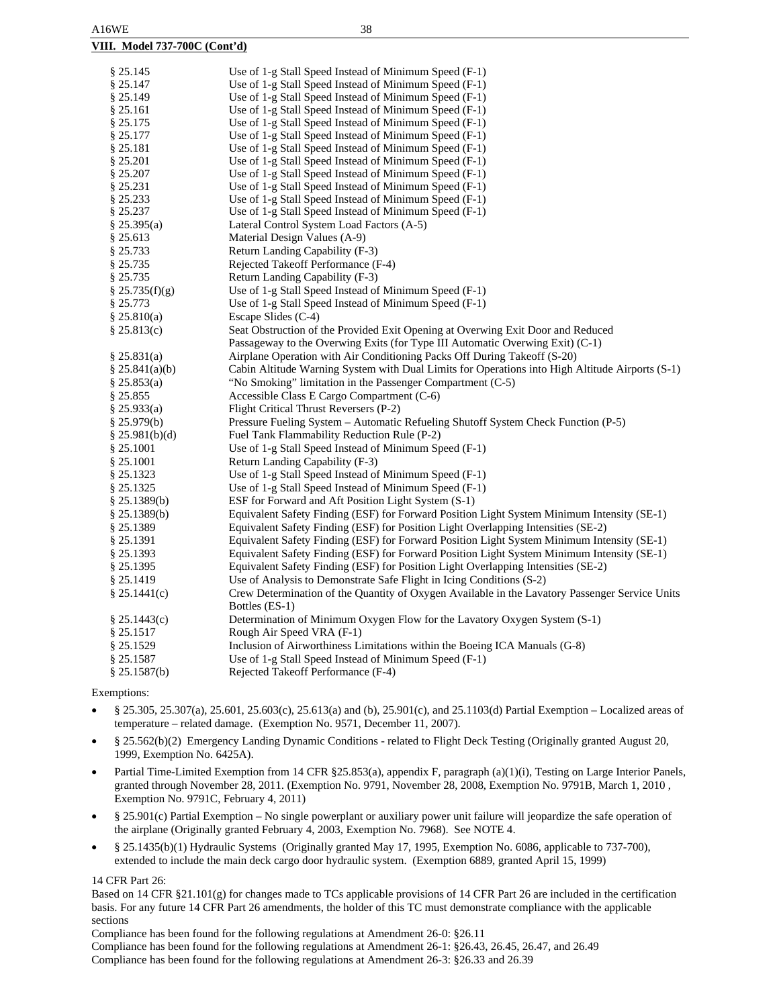### **VIII. Model 737-700C (Cont'd)**

| § 25.145        | Use of 1-g Stall Speed Instead of Minimum Speed (F-1)                                           |
|-----------------|-------------------------------------------------------------------------------------------------|
| § 25.147        | Use of 1-g Stall Speed Instead of Minimum Speed (F-1)                                           |
| § 25.149        | Use of 1-g Stall Speed Instead of Minimum Speed (F-1)                                           |
| \$25.161        | Use of 1-g Stall Speed Instead of Minimum Speed (F-1)                                           |
| § 25.175        | Use of 1-g Stall Speed Instead of Minimum Speed (F-1)                                           |
| § 25.177        | Use of 1-g Stall Speed Instead of Minimum Speed (F-1)                                           |
| § 25.181        | Use of 1-g Stall Speed Instead of Minimum Speed (F-1)                                           |
| § 25.201        | Use of 1-g Stall Speed Instead of Minimum Speed (F-1)                                           |
| § 25.207        | Use of 1-g Stall Speed Instead of Minimum Speed (F-1)                                           |
| § 25.231        | Use of 1-g Stall Speed Instead of Minimum Speed (F-1)                                           |
| § 25.233        | Use of 1-g Stall Speed Instead of Minimum Speed (F-1)                                           |
| § 25.237        | Use of 1-g Stall Speed Instead of Minimum Speed (F-1)                                           |
| § 25.395(a)     | Lateral Control System Load Factors (A-5)                                                       |
| § 25.613        | Material Design Values (A-9)                                                                    |
| § 25.733        | Return Landing Capability (F-3)                                                                 |
| § 25.735        | Rejected Takeoff Performance (F-4)                                                              |
| § 25.735        | Return Landing Capability (F-3)                                                                 |
| § 25.735(f)(g)  | Use of 1-g Stall Speed Instead of Minimum Speed (F-1)                                           |
| § 25.773        | Use of 1-g Stall Speed Instead of Minimum Speed (F-1)                                           |
| § 25.810(a)     | Escape Slides (C-4)                                                                             |
| § 25.813(c)     | Seat Obstruction of the Provided Exit Opening at Overwing Exit Door and Reduced                 |
|                 | Passageway to the Overwing Exits (for Type III Automatic Overwing Exit) (C-1)                   |
| § 25.831(a)     | Airplane Operation with Air Conditioning Packs Off During Takeoff (S-20)                        |
| § 25.841(a)(b)  | Cabin Altitude Warning System with Dual Limits for Operations into High Altitude Airports (S-1) |
| § 25.853(a)     | "No Smoking" limitation in the Passenger Compartment (C-5)                                      |
| § 25.855        | Accessible Class E Cargo Compartment (C-6)                                                      |
| § 25.933(a)     | Flight Critical Thrust Reversers (P-2)                                                          |
| § 25.979(b)     | Pressure Fueling System – Automatic Refueling Shutoff System Check Function (P-5)               |
| § 25.981(b)(d)  | Fuel Tank Flammability Reduction Rule (P-2)                                                     |
| § 25.1001       | Use of 1-g Stall Speed Instead of Minimum Speed (F-1)                                           |
| § 25.1001       | Return Landing Capability (F-3)                                                                 |
| § 25.1323       | Use of 1-g Stall Speed Instead of Minimum Speed (F-1)                                           |
| § 25.1325       | Use of 1-g Stall Speed Instead of Minimum Speed (F-1)                                           |
| § 25.1389(b)    | ESF for Forward and Aft Position Light System (S-1)                                             |
| § 25.1389(b)    | Equivalent Safety Finding (ESF) for Forward Position Light System Minimum Intensity (SE-1)      |
| § 25.1389       | Equivalent Safety Finding (ESF) for Position Light Overlapping Intensities (SE-2)               |
| § 25.1391       | Equivalent Safety Finding (ESF) for Forward Position Light System Minimum Intensity (SE-1)      |
| § 25.1393       | Equivalent Safety Finding (ESF) for Forward Position Light System Minimum Intensity (SE-1)      |
| § 25.1395       | Equivalent Safety Finding (ESF) for Position Light Overlapping Intensities (SE-2)               |
| § 25.1419       | Use of Analysis to Demonstrate Safe Flight in Icing Conditions (S-2)                            |
| § 25.1441(c)    | Crew Determination of the Quantity of Oxygen Available in the Lavatory Passenger Service Units  |
|                 | Bottles (ES-1)                                                                                  |
| $\S 25.1443(c)$ | Determination of Minimum Oxygen Flow for the Lavatory Oxygen System (S-1)                       |
| § 25.1517       | Rough Air Speed VRA (F-1)                                                                       |
| § 25.1529       | Inclusion of Airworthiness Limitations within the Boeing ICA Manuals (G-8)                      |
| § 25.1587       | Use of 1-g Stall Speed Instead of Minimum Speed (F-1)                                           |
| $\S 25.1587(b)$ | Rejected Takeoff Performance (F-4)                                                              |
|                 |                                                                                                 |

Exemptions:

- § 25.305, 25.307(a), 25.601, 25.603(c), 25.613(a) and (b), 25.901(c), and 25.1103(d) Partial Exemption Localized areas of temperature – related damage. (Exemption No. 9571, December 11, 2007).
- § 25.562(b)(2) Emergency Landing Dynamic Conditions related to Flight Deck Testing (Originally granted August 20, 1999, Exemption No. 6425A).
- Partial Time-Limited Exemption from 14 CFR §25.853(a), appendix F, paragraph (a)(1)(i), Testing on Large Interior Panels, granted through November 28, 2011. (Exemption No. 9791, November 28, 2008, Exemption No. 9791B, March 1, 2010 , Exemption No. 9791C, February 4, 2011)
- § 25.901(c) Partial Exemption No single powerplant or auxiliary power unit failure will jeopardize the safe operation of the airplane (Originally granted February 4, 2003, Exemption No. 7968). See NOTE 4.
- § 25.1435(b)(1) Hydraulic Systems (Originally granted May 17, 1995, Exemption No. 6086, applicable to 737-700), extended to include the main deck cargo door hydraulic system. (Exemption 6889, granted April 15, 1999)

### 14 CFR Part 26:

Based on 14 CFR §21.101(g) for changes made to TCs applicable provisions of 14 CFR Part 26 are included in the certification basis. For any future 14 CFR Part 26 amendments, the holder of this TC must demonstrate compliance with the applicable sections

Compliance has been found for the following regulations at Amendment 26-0: §26.11

Compliance has been found for the following regulations at Amendment 26-1: §26.43, 26.45, 26.47, and 26.49 Compliance has been found for the following regulations at Amendment 26-3: §26.33 and 26.39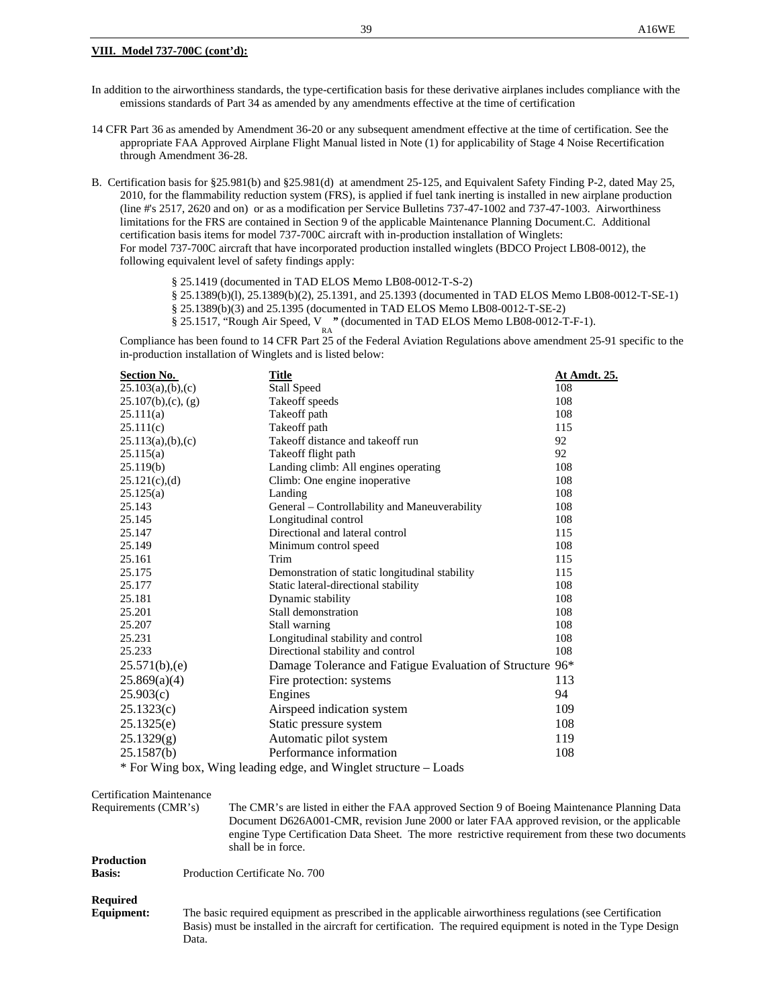### **VIII. Model 737-700C (cont'd):**

In addition to the airworthiness standards, the type-certification basis for these derivative airplanes includes compliance with the emissions standards of Part 34 as amended by any amendments effective at the time of certification

14 CFR Part 36 as amended by Amendment 36-20 or any subsequent amendment effective at the time of certification. See the appropriate FAA Approved Airplane Flight Manual listed in Note (1) for applicability of Stage 4 Noise Recertification through Amendment 36-28.

B. Certification basis for §25.981(b) and §25.981(d) at amendment 25-125, and Equivalent Safety Finding P-2, dated May 25, 2010, for the flammability reduction system (FRS), is applied if fuel tank inerting is installed in new airplane production (line #'s 2517, 2620 and on) or as a modification per Service Bulletins 737-47-1002 and 737-47-1003. Airworthiness limitations for the FRS are contained in Section 9 of the applicable Maintenance Planning Document.C. Additional certification basis items for model 737-700C aircraft with in-production installation of Winglets: For model 737-700C aircraft that have incorporated production installed winglets (BDCO Project LB08-0012), the following equivalent level of safety findings apply:

§ 25.1419 (documented in TAD ELOS Memo LB08-0012-T-S-2)

§ 25.1389(b)(l), 25.1389(b)(2), 25.1391, and 25.1393 (documented in TAD ELOS Memo LB08-0012-T-SE-1)

§ 25.1389(b)(3) and 25.1395 (documented in TAD ELOS Memo LB08-0012-T-SE-2)

§ 25.1517, "Rough Air Speed, V " (documented in TAD ELOS Memo LB08-0012-T-F-1).

Compliance has been found to 14 CFR Part 25 of the Federal Aviation Regulations above amendment 25-91 specific to the in-production installation of Winglets and is listed below:

| <b>Section No.</b>               | <b>Title</b>                                                                                                                                                                                                                                                                                                                                                                                                                                                                                                            | At Amdt. 25. |
|----------------------------------|-------------------------------------------------------------------------------------------------------------------------------------------------------------------------------------------------------------------------------------------------------------------------------------------------------------------------------------------------------------------------------------------------------------------------------------------------------------------------------------------------------------------------|--------------|
| 25.103(a),(b),(c)                | <b>Stall Speed</b>                                                                                                                                                                                                                                                                                                                                                                                                                                                                                                      | 108          |
| $25.107(b)$ , (c), (g)           | Takeoff speeds                                                                                                                                                                                                                                                                                                                                                                                                                                                                                                          | 108          |
| 25.111(a)                        | Takeoff path                                                                                                                                                                                                                                                                                                                                                                                                                                                                                                            | 108          |
| 25.111(c)                        | Takeoff path                                                                                                                                                                                                                                                                                                                                                                                                                                                                                                            | 115          |
| 25.113(a),(b),(c)                | Takeoff distance and takeoff run                                                                                                                                                                                                                                                                                                                                                                                                                                                                                        | 92           |
| 25.115(a)                        | Takeoff flight path                                                                                                                                                                                                                                                                                                                                                                                                                                                                                                     | 92           |
| 25.119(b)                        | Landing climb: All engines operating                                                                                                                                                                                                                                                                                                                                                                                                                                                                                    | 108          |
| $25.121(c)$ , (d)                | Climb: One engine inoperative                                                                                                                                                                                                                                                                                                                                                                                                                                                                                           | 108          |
| 25.125(a)                        | Landing                                                                                                                                                                                                                                                                                                                                                                                                                                                                                                                 | 108          |
| 25.143                           | General – Controllability and Maneuverability                                                                                                                                                                                                                                                                                                                                                                                                                                                                           | 108          |
| 25.145                           | Longitudinal control                                                                                                                                                                                                                                                                                                                                                                                                                                                                                                    | 108          |
| 25.147                           | Directional and lateral control                                                                                                                                                                                                                                                                                                                                                                                                                                                                                         | 115          |
| 25.149                           | Minimum control speed                                                                                                                                                                                                                                                                                                                                                                                                                                                                                                   | 108          |
| 25.161                           | Trim                                                                                                                                                                                                                                                                                                                                                                                                                                                                                                                    | 115          |
| 25.175                           | Demonstration of static longitudinal stability                                                                                                                                                                                                                                                                                                                                                                                                                                                                          | 115          |
| 25.177                           | Static lateral-directional stability                                                                                                                                                                                                                                                                                                                                                                                                                                                                                    | 108          |
| 25.181                           | Dynamic stability                                                                                                                                                                                                                                                                                                                                                                                                                                                                                                       | 108          |
| 25.201                           | Stall demonstration                                                                                                                                                                                                                                                                                                                                                                                                                                                                                                     | 108          |
| 25.207                           | Stall warning                                                                                                                                                                                                                                                                                                                                                                                                                                                                                                           | 108          |
| 25.231                           | Longitudinal stability and control                                                                                                                                                                                                                                                                                                                                                                                                                                                                                      | 108          |
| 25.233                           | Directional stability and control                                                                                                                                                                                                                                                                                                                                                                                                                                                                                       | 108          |
| 25.571(b),(e)                    | Damage Tolerance and Fatigue Evaluation of Structure 96*                                                                                                                                                                                                                                                                                                                                                                                                                                                                |              |
| 25.869(a)(4)                     | Fire protection: systems                                                                                                                                                                                                                                                                                                                                                                                                                                                                                                | 113          |
| 25.903(c)                        | Engines                                                                                                                                                                                                                                                                                                                                                                                                                                                                                                                 | 94           |
| 25.1323(c)                       | Airspeed indication system                                                                                                                                                                                                                                                                                                                                                                                                                                                                                              | 109          |
| 25.1325(e)                       | Static pressure system                                                                                                                                                                                                                                                                                                                                                                                                                                                                                                  | 108          |
| 25.1329(g)                       | Automatic pilot system                                                                                                                                                                                                                                                                                                                                                                                                                                                                                                  | 119          |
| 25.1587(b)                       | Performance information                                                                                                                                                                                                                                                                                                                                                                                                                                                                                                 | 108          |
|                                  | * For Wing box, Wing leading edge, and Winglet structure – Loads                                                                                                                                                                                                                                                                                                                                                                                                                                                        |              |
| <b>Certification Maintenance</b> |                                                                                                                                                                                                                                                                                                                                                                                                                                                                                                                         |              |
| Requirements (CMR's)             | The CMR's are listed in either the FAA approved Section 9 of Boeing Maintenance Planning Data<br>$\mathbf{L} \mathbf{D} \mathbf{C} \mathbf{D} \mathbf{C} \mathbf{A} \mathbf{D} \mathbf{D} \mathbf{D} \mathbf{D} \mathbf{D} \mathbf{D} \mathbf{D} \mathbf{D} \mathbf{D} \mathbf{D} \mathbf{D} \mathbf{D} \mathbf{D} \mathbf{D} \mathbf{D} \mathbf{D} \mathbf{D} \mathbf{D} \mathbf{D} \mathbf{D} \mathbf{D} \mathbf{D} \mathbf{D} \mathbf{D} \mathbf{D} \mathbf{D} \mathbf{D} \mathbf{D} \mathbf{D} \mathbf{D} \mathbf{$ |              |

Document D626A001-CMR, revision June 2000 or later FAA approved revision, or the applicable engine Type Certification Data Sheet. The more restrictive requirement from these two documents shall be in force.

**Production**

**Basis:** Production Certificate No. 700

### **Required**

**Equipment:** The basic required equipment as prescribed in the applicable airworthiness regulations (see Certification Basis) must be installed in the aircraft for certification. The required equipment is noted in the Type Design Data.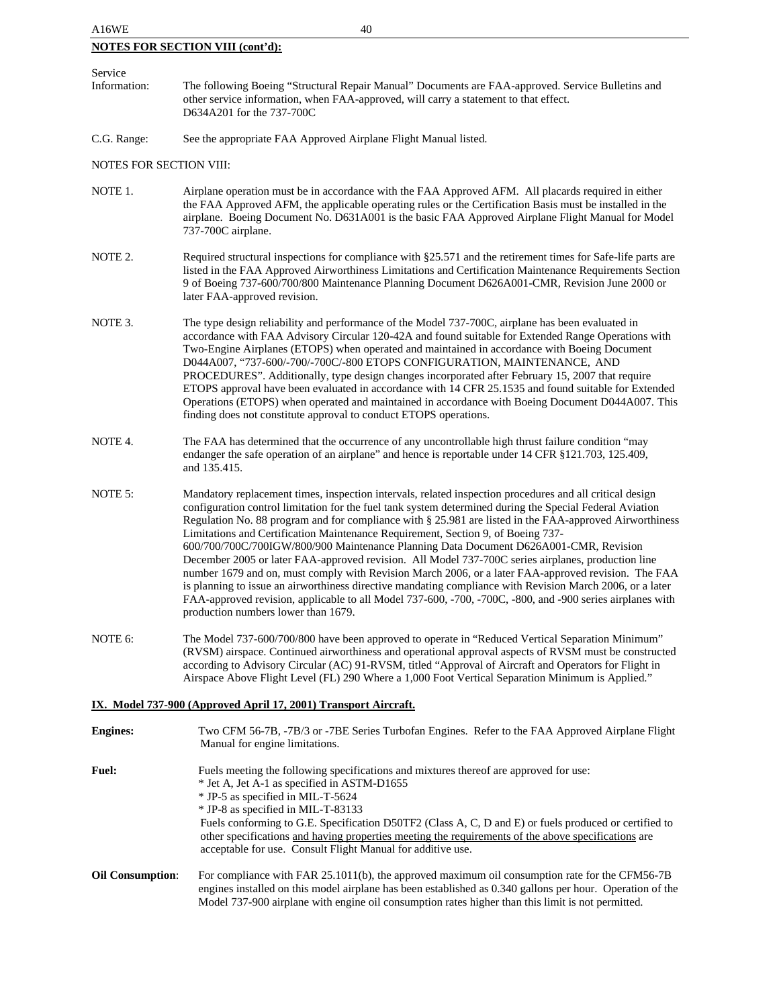| A16WE                          | 40                                                                                                                                                                                                                                                                                                                                                                                                                                                                                                                                                                                                                                                                                                                                                                                                                                                                                                                                                                                         |
|--------------------------------|--------------------------------------------------------------------------------------------------------------------------------------------------------------------------------------------------------------------------------------------------------------------------------------------------------------------------------------------------------------------------------------------------------------------------------------------------------------------------------------------------------------------------------------------------------------------------------------------------------------------------------------------------------------------------------------------------------------------------------------------------------------------------------------------------------------------------------------------------------------------------------------------------------------------------------------------------------------------------------------------|
|                                | <b>NOTES FOR SECTION VIII (cont'd):</b>                                                                                                                                                                                                                                                                                                                                                                                                                                                                                                                                                                                                                                                                                                                                                                                                                                                                                                                                                    |
| Service                        |                                                                                                                                                                                                                                                                                                                                                                                                                                                                                                                                                                                                                                                                                                                                                                                                                                                                                                                                                                                            |
| Information:                   | The following Boeing "Structural Repair Manual" Documents are FAA-approved. Service Bulletins and<br>other service information, when FAA-approved, will carry a statement to that effect.<br>D634A201 for the 737-700C                                                                                                                                                                                                                                                                                                                                                                                                                                                                                                                                                                                                                                                                                                                                                                     |
| C.G. Range:                    | See the appropriate FAA Approved Airplane Flight Manual listed.                                                                                                                                                                                                                                                                                                                                                                                                                                                                                                                                                                                                                                                                                                                                                                                                                                                                                                                            |
| <b>NOTES FOR SECTION VIII:</b> |                                                                                                                                                                                                                                                                                                                                                                                                                                                                                                                                                                                                                                                                                                                                                                                                                                                                                                                                                                                            |
| NOTE 1.                        | Airplane operation must be in accordance with the FAA Approved AFM. All placards required in either<br>the FAA Approved AFM, the applicable operating rules or the Certification Basis must be installed in the<br>airplane. Boeing Document No. D631A001 is the basic FAA Approved Airplane Flight Manual for Model<br>737-700C airplane.                                                                                                                                                                                                                                                                                                                                                                                                                                                                                                                                                                                                                                                 |
| NOTE 2.                        | Required structural inspections for compliance with §25.571 and the retirement times for Safe-life parts are<br>listed in the FAA Approved Airworthiness Limitations and Certification Maintenance Requirements Section<br>9 of Boeing 737-600/700/800 Maintenance Planning Document D626A001-CMR, Revision June 2000 or<br>later FAA-approved revision.                                                                                                                                                                                                                                                                                                                                                                                                                                                                                                                                                                                                                                   |
| NOTE 3.                        | The type design reliability and performance of the Model 737-700C, airplane has been evaluated in<br>accordance with FAA Advisory Circular 120-42A and found suitable for Extended Range Operations with<br>Two-Engine Airplanes (ETOPS) when operated and maintained in accordance with Boeing Document<br>D044A007, "737-600/-700/-700C/-800 ETOPS CONFIGURATION, MAINTENANCE, AND<br>PROCEDURES". Additionally, type design changes incorporated after February 15, 2007 that require<br>ETOPS approval have been evaluated in accordance with 14 CFR 25.1535 and found suitable for Extended<br>Operations (ETOPS) when operated and maintained in accordance with Boeing Document D044A007. This<br>finding does not constitute approval to conduct ETOPS operations.                                                                                                                                                                                                                 |
| NOTE 4.                        | The FAA has determined that the occurrence of any uncontrollable high thrust failure condition "may<br>endanger the safe operation of an airplane" and hence is reportable under 14 CFR §121.703, 125.409,<br>and 135.415.                                                                                                                                                                                                                                                                                                                                                                                                                                                                                                                                                                                                                                                                                                                                                                 |
| NOTE 5:                        | Mandatory replacement times, inspection intervals, related inspection procedures and all critical design<br>configuration control limitation for the fuel tank system determined during the Special Federal Aviation<br>Regulation No. 88 program and for compliance with § 25.981 are listed in the FAA-approved Airworthiness<br>Limitations and Certification Maintenance Requirement, Section 9, of Boeing 737-<br>600/700/700C/700IGW/800/900 Maintenance Planning Data Document D626A001-CMR, Revision<br>December 2005 or later FAA-approved revision. All Model 737-700C series airplanes, production line<br>number 1679 and on, must comply with Revision March 2006, or a later FAA-approved revision. The FAA<br>is planning to issue an airworthiness directive mandating compliance with Revision March 2006, or a later<br>FAA-approved revision, applicable to all Model 737-600, -700, -700C, -800, and -900 series airplanes with<br>production numbers lower than 1679. |
| NOTE 6:                        | The Model 737-600/700/800 have been approved to operate in "Reduced Vertical Separation Minimum"<br>(RVSM) airspace. Continued airworthiness and operational approval aspects of RVSM must be constructed<br>according to Advisory Circular (AC) 91-RVSM, titled "Approval of Aircraft and Operators for Flight in<br>Airspace Above Flight Level (FL) 290 Where a 1,000 Foot Vertical Separation Minimum is Applied."                                                                                                                                                                                                                                                                                                                                                                                                                                                                                                                                                                     |
|                                | IX. Model 737-900 (Approved April 17, 2001) Transport Aircraft.                                                                                                                                                                                                                                                                                                                                                                                                                                                                                                                                                                                                                                                                                                                                                                                                                                                                                                                            |
| <b>Engines:</b>                | Two CFM 56-7B, -7B/3 or -7BE Series Turbofan Engines. Refer to the FAA Approved Airplane Flight                                                                                                                                                                                                                                                                                                                                                                                                                                                                                                                                                                                                                                                                                                                                                                                                                                                                                            |

| <b>Fuel:</b>                            | Fuels meeting the following specifications and mixtures thereof are approved for use:                                           |
|-----------------------------------------|---------------------------------------------------------------------------------------------------------------------------------|
|                                         | * Jet A, Jet A-1 as specified in ASTM-D1655                                                                                     |
|                                         | * JP-5 as specified in MIL-T-5624                                                                                               |
|                                         | * JP-8 as specified in MIL-T-83133                                                                                              |
|                                         | Fuels conforming to G.E. Specification D50TF2 (Class A, C, D and E) or fuels produced or certified to                           |
|                                         | other specifications and having properties meeting the requirements of the above specifications are                             |
|                                         | acceptable for use. Consult Flight Manual for additive use.                                                                     |
|                                         |                                                                                                                                 |
| $\Omega_{\text{1}}$ $\Omega_{\text{2}}$ | $\Gamma_{\text{on}}$ compliance with $\Gamma$ AD 25 1011(b) the environment measurement and concurrent on note for the CEMSC 7D |

Manual for engine limitations.

**Oil Consumption**: For compliance with FAR 25.1011(b), the approved maximum oil consumption rate for the CFM56-7B engines installed on this model airplane has been established as 0.340 gallons per hour. Operation of the Model 737-900 airplane with engine oil consumption rates higher than this limit is not permitted.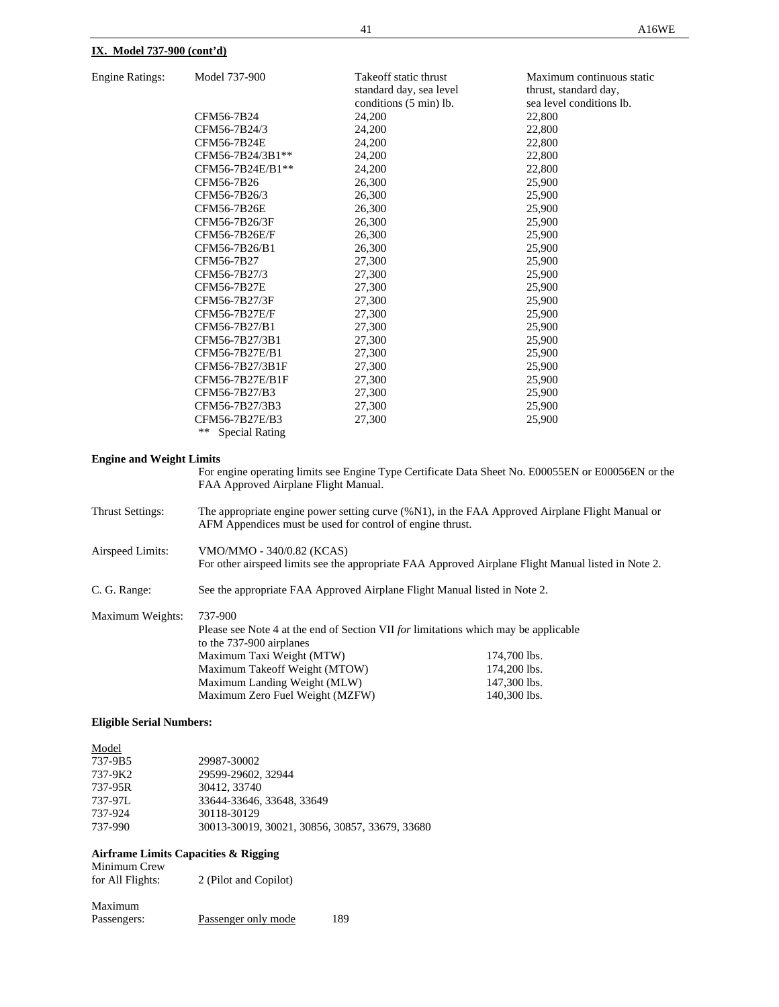### **IX. Model 737-900 (cont'd)**

| <b>Engine Ratings:</b> | Model 737-900 |
|------------------------|---------------|
|------------------------|---------------|

| <b>Engine Ratings:</b> | Model 737-900               | Take off static thrust<br>standard day, sea level | Maximum continuous static<br>thrust, standard day, |
|------------------------|-----------------------------|---------------------------------------------------|----------------------------------------------------|
|                        |                             | conditions (5 min) lb.                            | sea level conditions lb.                           |
|                        | CFM56-7B24                  | 24,200                                            | 22,800                                             |
|                        | CFM56-7B24/3                | 24,200                                            | 22,800                                             |
|                        | CFM56-7B24E                 | 24,200                                            | 22,800                                             |
|                        | CFM56-7B24/3B1**            | 24,200                                            | 22,800                                             |
|                        | CFM56-7B24E/B1**            | 24,200                                            | 22,800                                             |
|                        | CFM56-7B26                  | 26,300                                            | 25,900                                             |
|                        | CFM56-7B26/3                | 26,300                                            | 25,900                                             |
|                        | CFM56-7B26E                 | 26,300                                            | 25,900                                             |
|                        | CFM56-7B26/3F               | 26,300                                            | 25,900                                             |
|                        | CFM56-7B26E/F               | 26,300                                            | 25,900                                             |
|                        | CFM56-7B26/B1               | 26,300                                            | 25,900                                             |
|                        | CFM56-7B27                  | 27,300                                            | 25,900                                             |
|                        | CFM56-7B27/3                | 27,300                                            | 25,900                                             |
|                        | CFM56-7B27E                 | 27,300                                            | 25,900                                             |
|                        | CFM56-7B27/3F               | 27,300                                            | 25,900                                             |
|                        | CFM56-7B27E/F               | 27,300                                            | 25,900                                             |
|                        | CFM56-7B27/B1               | 27,300                                            | 25,900                                             |
|                        | CFM56-7B27/3B1              | 27,300                                            | 25,900                                             |
|                        | CFM56-7B27E/B1              | 27,300                                            | 25,900                                             |
|                        | CFM56-7B27/3B1F             | 27,300                                            | 25,900                                             |
|                        | CFM56-7B27E/B1F             | 27,300                                            | 25,900                                             |
|                        | CFM56-7B27/B3               | 27,300                                            | 25,900                                             |
|                        | CFM56-7B27/3B3              | 27,300                                            | 25,900                                             |
|                        | CFM56-7B27E/B3              | 27,300                                            | 25,900                                             |
|                        | **<br><b>Special Rating</b> |                                                   |                                                    |

#### **Engine and Weight Limits**

For engine operating limits see Engine Type Certificate Data Sheet No. E00055EN or E00056EN or the FAA Approved Airplane Flight Manual.

Thrust Settings: The appropriate engine power setting curve (%N1), in the FAA Approved Airplane Flight Manual or AFM Appendices must be used for control of engine thrust. Airspeed Limits: VMO/MMO - 340/0.82 (KCAS) For other airspeed limits see the appropriate FAA Approved Airplane Flight Manual listed in Note 2. C. G. Range: See the appropriate FAA Approved Airplane Flight Manual listed in Note 2. Maximum Weights: 737-900 Please see Note 4 at the end of Section VII *for* limitations which may be applicable to the 737-900 airplanes

| Maximum Taxi Weight (MTW)       | 174,700 lbs. |
|---------------------------------|--------------|
| Maximum Takeoff Weight (MTOW)   | 174,200 lbs. |
| Maximum Landing Weight (MLW)    | 147.300 lbs. |
| Maximum Zero Fuel Weight (MZFW) | 140.300 lbs. |

### **Eligible Serial Numbers:**

| Model   |                                                |
|---------|------------------------------------------------|
| 737-9B5 | 29987-30002                                    |
| 737-9K2 | 29599-29602, 32944                             |
| 737-95R | 30412, 33740                                   |
| 737-97L | 33644-33646, 33648, 33649                      |
| 737-924 | 30118-30129                                    |
| 737-990 | 30013-30019, 30021, 30856, 30857, 33679, 33680 |

#### **Airframe Limits Capacities & Rigging** Minimum Crew

| <b>NUMBER OF</b><br>for All Flights: | 2 (Pilot and Copilot) |      |
|--------------------------------------|-----------------------|------|
| Maximum                              |                       |      |
| Passengers:                          | Passenger only mode   | 189. |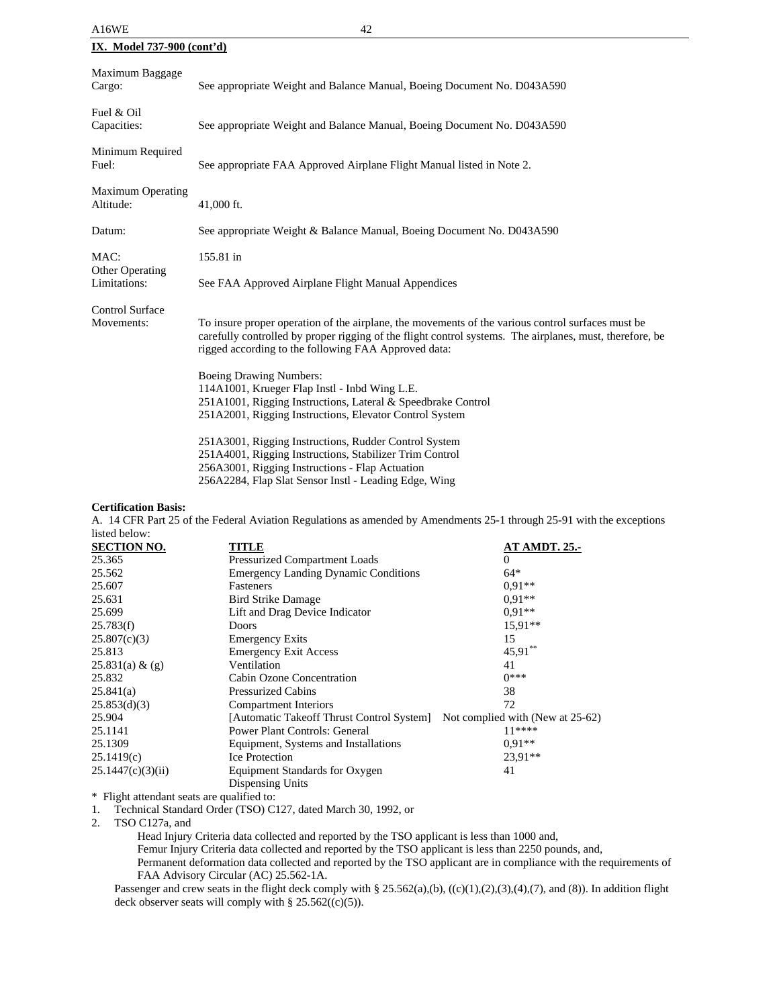| A16WE                                 | 42                                                                                                                                                                                                                                                                    |
|---------------------------------------|-----------------------------------------------------------------------------------------------------------------------------------------------------------------------------------------------------------------------------------------------------------------------|
| <b>IX.</b> Model 737-900 (cont'd)     |                                                                                                                                                                                                                                                                       |
| Maximum Baggage<br>Cargo:             | See appropriate Weight and Balance Manual, Boeing Document No. D043A590                                                                                                                                                                                               |
| Fuel & Oil<br>Capacities:             | See appropriate Weight and Balance Manual, Boeing Document No. D043A590                                                                                                                                                                                               |
| Minimum Required<br>Fuel:             | See appropriate FAA Approved Airplane Flight Manual listed in Note 2.                                                                                                                                                                                                 |
| <b>Maximum Operating</b><br>Altitude: | 41,000 ft.                                                                                                                                                                                                                                                            |
| Datum:                                | See appropriate Weight & Balance Manual, Boeing Document No. D043A590                                                                                                                                                                                                 |
| MAC:<br><b>Other Operating</b>        | 155.81 in                                                                                                                                                                                                                                                             |
| Limitations:                          | See FAA Approved Airplane Flight Manual Appendices                                                                                                                                                                                                                    |
| Control Surface<br>Movements:         | To insure proper operation of the airplane, the movements of the various control surfaces must be<br>carefully controlled by proper rigging of the flight control systems. The airplanes, must, therefore, be<br>rigged according to the following FAA Approved data: |
|                                       | <b>Boeing Drawing Numbers:</b><br>114A1001, Krueger Flap Instl - Inbd Wing L.E.<br>251A1001, Rigging Instructions, Lateral & Speedbrake Control<br>251A2001, Rigging Instructions, Elevator Control System                                                            |
|                                       | 251A3001, Rigging Instructions, Rudder Control System<br>251A4001, Rigging Instructions, Stabilizer Trim Control<br>256A3001, Rigging Instructions - Flap Actuation                                                                                                   |

### **Certification Basis:**

A. 14 CFR Part 25 of the Federal Aviation Regulations as amended by Amendments 25-1 through 25-91 with the exceptions listed below:

| <b>SECTION NO.</b> | TITLE                                                                      | <b>AT AMDT. 25.-</b> |
|--------------------|----------------------------------------------------------------------------|----------------------|
| 25.365             | Pressurized Compartment Loads                                              | $\theta$             |
| 25.562             | <b>Emergency Landing Dynamic Conditions</b>                                | $64*$                |
| 25.607             | Fasteners                                                                  | $0.91**$             |
| 25.631             | <b>Bird Strike Damage</b>                                                  | $0.91**$             |
| 25.699             | Lift and Drag Device Indicator                                             | $0.91**$             |
| 25.783(f)          | Doors                                                                      | $15.91**$            |
| 25.807(c)(3)       | <b>Emergency Exits</b>                                                     | 15                   |
| 25.813             | <b>Emergency Exit Access</b>                                               | $45,91$ **           |
| 25.831(a) & (g)    | Ventilation                                                                | 41                   |
| 25.832             | Cabin Ozone Concentration                                                  | $0***$               |
| 25.841(a)          | <b>Pressurized Cabins</b>                                                  | 38                   |
| 25.853(d)(3)       | <b>Compartment Interiors</b>                                               | 72                   |
| 25.904             | [Automatic Takeoff Thrust Control System] Not complied with (New at 25-62) |                      |
| 25.1141            | <b>Power Plant Controls: General</b>                                       | $11***$              |
| 25.1309            | Equipment, Systems and Installations                                       | $0.91**$             |
| 25.1419(c)         | <b>Ice Protection</b>                                                      | $23.91**$            |
| 25.1447(c)(3)(ii)  | Equipment Standards for Oxygen                                             | 41                   |
|                    | Dispensing Units                                                           |                      |
|                    |                                                                            |                      |

256A2284, Flap Slat Sensor Instl - Leading Edge, Wing

\* Flight attendant seats are qualified to:

1. Technical Standard Order (TSO) C127, dated March 30, 1992, or

2. TSO C127a, and

Head Injury Criteria data collected and reported by the TSO applicant is less than 1000 and,

Femur Injury Criteria data collected and reported by the TSO applicant is less than 2250 pounds, and,

Permanent deformation data collected and reported by the TSO applicant are in compliance with the requirements of FAA Advisory Circular (AC) 25.562-1A.

Passenger and crew seats in the flight deck comply with § 25.562(a),(b), ((c)(1),(2),(3),(4),(7), and (8)). In addition flight deck observer seats will comply with §  $25.562((c)(5))$ .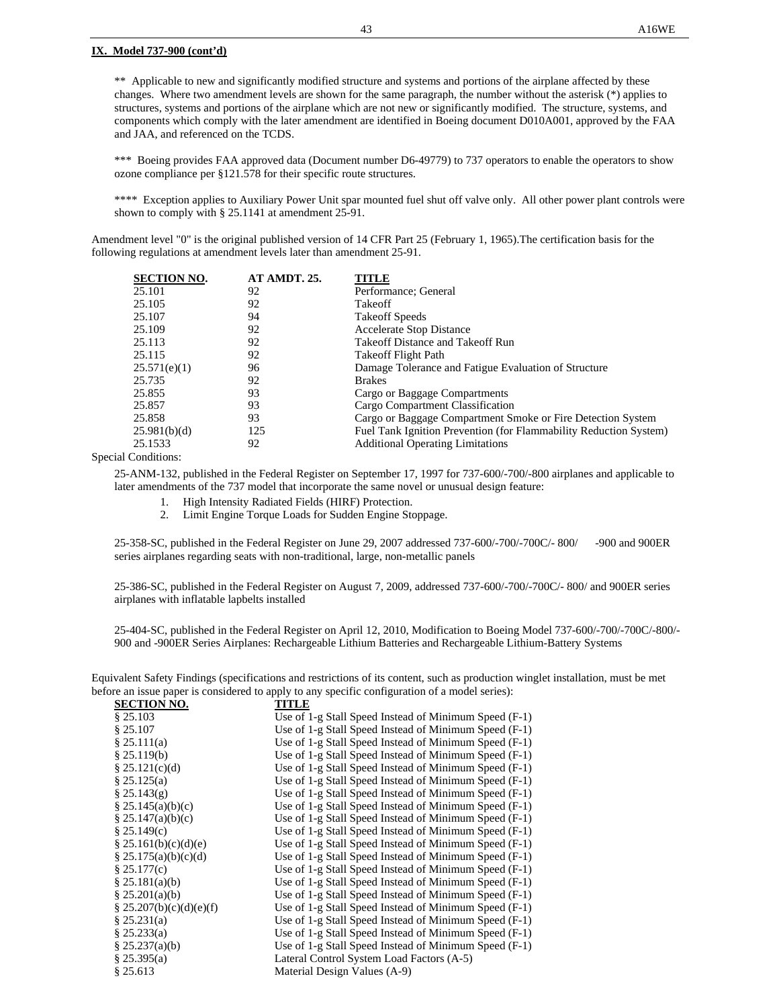### **IX. Model 737-900 (cont'd)**

\*\* Applicable to new and significantly modified structure and systems and portions of the airplane affected by these changes. Where two amendment levels are shown for the same paragraph, the number without the asterisk (\*) applies to structures, systems and portions of the airplane which are not new or significantly modified. The structure, systems, and components which comply with the later amendment are identified in Boeing document D010A001, approved by the FAA and JAA, and referenced on the TCDS.

\*\*\* Boeing provides FAA approved data (Document number D6-49779) to 737 operators to enable the operators to show ozone compliance per §121.578 for their specific route structures.

\*\*\*\* Exception applies to Auxiliary Power Unit spar mounted fuel shut off valve only. All other power plant controls were shown to comply with § 25.1141 at amendment 25-91.

Amendment level "0" is the original published version of 14 CFR Part 25 (February 1, 1965).The certification basis for the following regulations at amendment levels later than amendment 25-91.

| Cargo or Baggage Compartment Smoke or Fire Detection System       |
|-------------------------------------------------------------------|
| Fuel Tank Ignition Prevention (for Flammability Reduction System) |
|                                                                   |
|                                                                   |

Special Conditions:

25-ANM-132, published in the Federal Register on September 17, 1997 for 737-600/-700/-800 airplanes and applicable to later amendments of the 737 model that incorporate the same novel or unusual design feature:

- 1. High Intensity Radiated Fields (HIRF) Protection.
- 2. Limit Engine Torque Loads for Sudden Engine Stoppage.

25-358-SC, published in the Federal Register on June 29, 2007 addressed 737-600/-700/-700C/- 800/ -900 and 900ER series airplanes regarding seats with non-traditional, large, non-metallic panels

25-386-SC, published in the Federal Register on August 7, 2009, addressed 737-600/-700/-700C/- 800/ and 900ER series airplanes with inflatable lapbelts installed

25-404-SC, published in the Federal Register on April 12, 2010, Modification to Boeing Model 737-600/-700/-700C/-800/- 900 and -900ER Series Airplanes: Rechargeable Lithium Batteries and Rechargeable Lithium-Battery Systems

Equivalent Safety Findings (specifications and restrictions of its content, such as production winglet installation, must be met before an issue paper is considered to apply to any specific configuration of a model series):

| <b>SECTION NO.</b>               | TITLE                                                 |
|----------------------------------|-------------------------------------------------------|
| \$25.103                         | Use of 1-g Stall Speed Instead of Minimum Speed (F-1) |
| \$25.107                         | Use of 1-g Stall Speed Instead of Minimum Speed (F-1) |
| \$25.111(a)                      | Use of 1-g Stall Speed Instead of Minimum Speed (F-1) |
| $§$ 25.119(b)                    | Use of 1-g Stall Speed Instead of Minimum Speed (F-1) |
| § 25.121(c)(d)                   | Use of 1-g Stall Speed Instead of Minimum Speed (F-1) |
| § 25.125(a)                      | Use of 1-g Stall Speed Instead of Minimum Speed (F-1) |
| § 25.143(g)                      | Use of 1-g Stall Speed Instead of Minimum Speed (F-1) |
| § $25.145(a)(b)(c)$              | Use of 1-g Stall Speed Instead of Minimum Speed (F-1) |
| § 25.147(a)(b)(c)                | Use of 1-g Stall Speed Instead of Minimum Speed (F-1) |
| \$25.149(c)                      | Use of 1-g Stall Speed Instead of Minimum Speed (F-1) |
| $\frac{8}{3}$ 25.161(b)(c)(d)(e) | Use of 1-g Stall Speed Instead of Minimum Speed (F-1) |
| § $25.175(a)(b)(c)(d)$           | Use of 1-g Stall Speed Instead of Minimum Speed (F-1) |
| § 25.177(c)                      | Use of 1-g Stall Speed Instead of Minimum Speed (F-1) |
| § $25.181(a)(b)$                 | Use of 1-g Stall Speed Instead of Minimum Speed (F-1) |
| § $25.201(a)(b)$                 | Use of 1-g Stall Speed Instead of Minimum Speed (F-1) |
| § 25.207(b)(c)(d)(e)(f)          | Use of 1-g Stall Speed Instead of Minimum Speed (F-1) |
| \$25.231(a)                      | Use of 1-g Stall Speed Instead of Minimum Speed (F-1) |
| § 25.233(a)                      | Use of 1-g Stall Speed Instead of Minimum Speed (F-1) |
| § $25.237(a)(b)$                 | Use of 1-g Stall Speed Instead of Minimum Speed (F-1) |
| § 25.395(a)                      | Lateral Control System Load Factors (A-5)             |
| § 25.613                         | Material Design Values (A-9)                          |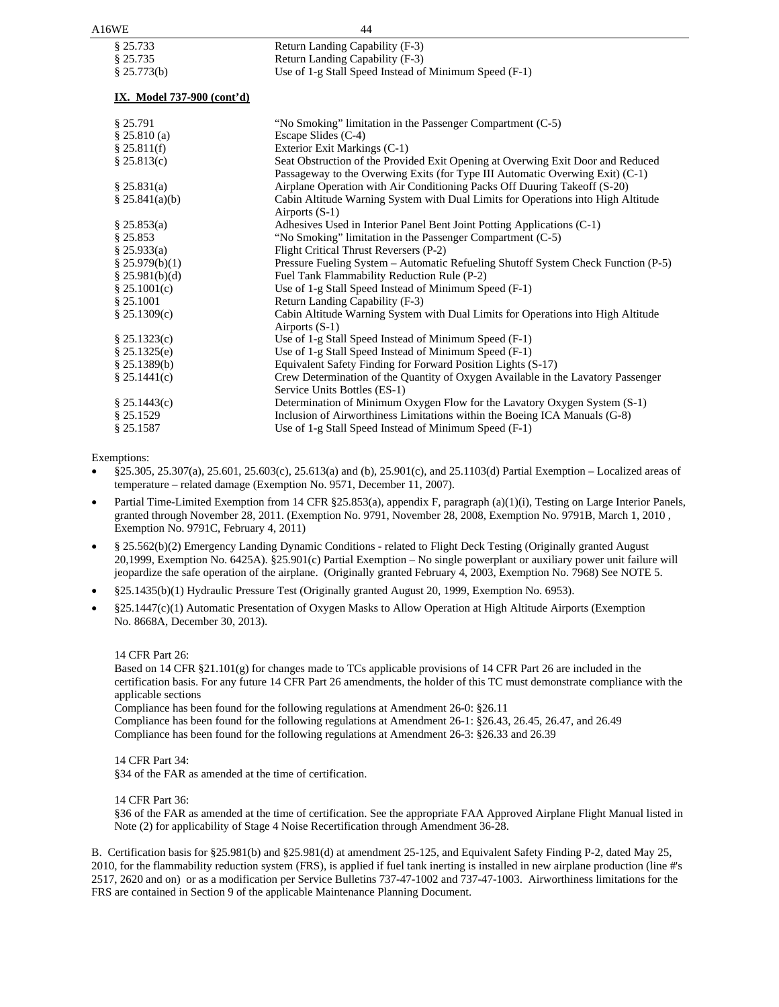| A16WE                      | 44                                                                                                               |
|----------------------------|------------------------------------------------------------------------------------------------------------------|
| § 25.733                   | Return Landing Capability (F-3)                                                                                  |
| § 25.735                   | Return Landing Capability (F-3)                                                                                  |
| § 25.773(b)                | Use of 1-g Stall Speed Instead of Minimum Speed (F-1)                                                            |
| IX. Model 737-900 (cont'd) |                                                                                                                  |
| § 25.791                   | "No Smoking" limitation in the Passenger Compartment (C-5)                                                       |
| \$25.810(a)                | Escape Slides (C-4)                                                                                              |
| \$25.811(f)                | Exterior Exit Markings (C-1)                                                                                     |
| $§$ 25.813(c)              | Seat Obstruction of the Provided Exit Opening at Overwing Exit Door and Reduced                                  |
|                            | Passageway to the Overwing Exits (for Type III Automatic Overwing Exit) (C-1)                                    |
| \$25.831(a)                | Airplane Operation with Air Conditioning Packs Off Duuring Takeoff (S-20)                                        |
| \$25.841(a)(b)             | Cabin Altitude Warning System with Dual Limits for Operations into High Altitude                                 |
|                            | Airports $(S-1)$                                                                                                 |
| § 25.853(a)                | Adhesives Used in Interior Panel Bent Joint Potting Applications (C-1)                                           |
| \$25.853                   | "No Smoking" limitation in the Passenger Compartment (C-5)                                                       |
| \$25.933(a)                | Flight Critical Thrust Reversers (P-2)                                                                           |
| \$25.979(b)(1)             | Pressure Fueling System – Automatic Refueling Shutoff System Check Function (P-5)                                |
| § $25.981(b)(d)$           | Fuel Tank Flammability Reduction Rule (P-2)                                                                      |
| \$25.1001(c)               | Use of 1-g Stall Speed Instead of Minimum Speed (F-1)                                                            |
| § 25.1001                  | Return Landing Capability (F-3)                                                                                  |
| § 25.1309(c)               | Cabin Altitude Warning System with Dual Limits for Operations into High Altitude                                 |
|                            | Airports (S-1)                                                                                                   |
| \$25.1323(c)               | Use of 1-g Stall Speed Instead of Minimum Speed (F-1)                                                            |
| \$25.1325(e)               | Use of 1-g Stall Speed Instead of Minimum Speed (F-1)                                                            |
| $§$ 25.1389(b)             | Equivalent Safety Finding for Forward Position Lights (S-17)                                                     |
| \$25.1441(c)               | Crew Determination of the Quantity of Oxygen Available in the Lavatory Passenger<br>Service Units Bottles (ES-1) |
| § 25.1443(c)               | Determination of Minimum Oxygen Flow for the Lavatory Oxygen System (S-1)                                        |
| \$25.1529                  | Inclusion of Airworthiness Limitations within the Boeing ICA Manuals (G-8)                                       |
| § 25.1587                  | Use of 1-g Stall Speed Instead of Minimum Speed (F-1)                                                            |
|                            |                                                                                                                  |

Exemptions:

- §25.305, 25.307(a), 25.601, 25.603(c), 25.613(a) and (b), 25.901(c), and 25.1103(d) Partial Exemption Localized areas of temperature – related damage (Exemption No. 9571, December 11, 2007).
- Partial Time-Limited Exemption from 14 CFR §25.853(a), appendix F, paragraph (a)(1)(i), Testing on Large Interior Panels, granted through November 28, 2011. (Exemption No. 9791, November 28, 2008, Exemption No. 9791B, March 1, 2010 , Exemption No. 9791C, February 4, 2011)
- § 25.562(b)(2) Emergency Landing Dynamic Conditions related to Flight Deck Testing (Originally granted August 20,1999, Exemption No. 6425A). §25.901(c) Partial Exemption – No single powerplant or auxiliary power unit failure will jeopardize the safe operation of the airplane. (Originally granted February 4, 2003, Exemption No. 7968) See NOTE 5.
- §25.1435(b)(1) Hydraulic Pressure Test (Originally granted August 20, 1999, Exemption No. 6953).
- §25.1447(c)(1) Automatic Presentation of Oxygen Masks to Allow Operation at High Altitude Airports (Exemption No. 8668A, December 30, 2013).

### 14 CFR Part 26:

Based on 14 CFR §21.101(g) for changes made to TCs applicable provisions of 14 CFR Part 26 are included in the certification basis. For any future 14 CFR Part 26 amendments, the holder of this TC must demonstrate compliance with the applicable sections

Compliance has been found for the following regulations at Amendment 26-0: §26.11

Compliance has been found for the following regulations at Amendment 26-1: §26.43, 26.45, 26.47, and 26.49 Compliance has been found for the following regulations at Amendment 26-3: §26.33 and 26.39

14 CFR Part 34:

§34 of the FAR as amended at the time of certification.

14 CFR Part 36:

§36 of the FAR as amended at the time of certification. See the appropriate FAA Approved Airplane Flight Manual listed in Note (2) for applicability of Stage 4 Noise Recertification through Amendment 36-28.

B. Certification basis for §25.981(b) and §25.981(d) at amendment 25-125, and Equivalent Safety Finding P-2, dated May 25, 2010, for the flammability reduction system (FRS), is applied if fuel tank inerting is installed in new airplane production (line #'s 2517, 2620 and on) or as a modification per Service Bulletins 737-47-1002 and 737-47-1003. Airworthiness limitations for the FRS are contained in Section 9 of the applicable Maintenance Planning Document.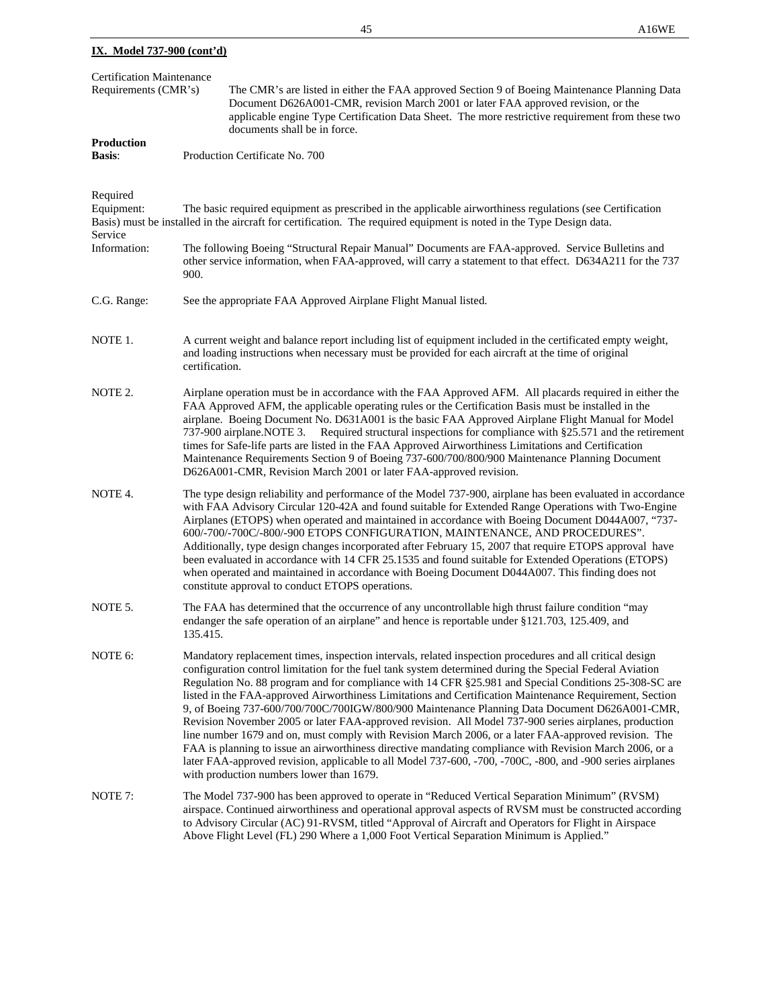|                                                 |  | 45                                                                                                                                                                                                                                                                                                                     | A16WE |
|-------------------------------------------------|--|------------------------------------------------------------------------------------------------------------------------------------------------------------------------------------------------------------------------------------------------------------------------------------------------------------------------|-------|
| IX. Model 737-900 (cont'd)                      |  |                                                                                                                                                                                                                                                                                                                        |       |
| <b>Certification Maintenance</b>                |  |                                                                                                                                                                                                                                                                                                                        |       |
| Requirements (CMR's)                            |  | The CMR's are listed in either the FAA approved Section 9 of Boeing Maintenance Planning Data<br>Document D626A001-CMR, revision March 2001 or later FAA approved revision, or the<br>applicable engine Type Certification Data Sheet. The more restrictive requirement from these two<br>documents shall be in force. |       |
| <b>Production</b>                               |  |                                                                                                                                                                                                                                                                                                                        |       |
| Production Certificate No. 700<br><b>Basis:</b> |  |                                                                                                                                                                                                                                                                                                                        |       |
| Required                                        |  |                                                                                                                                                                                                                                                                                                                        |       |
| Equipment:                                      |  | The basic required equipment as prescribed in the applicable airworthiness regulations (see Certification                                                                                                                                                                                                              |       |
|                                                 |  | Basis) must be installed in the aircraft for certification. The required equipment is noted in the Type Design data.                                                                                                                                                                                                   |       |

- Service Information: The following Boeing "Structural Repair Manual" Documents are FAA-approved. Service Bulletins and other service information, when FAA-approved, will carry a statement to that effect. D634A211 for the 737 900. C.G. Range: See the appropriate FAA Approved Airplane Flight Manual listed. NOTE 1. A current weight and balance report including list of equipment included in the certificated empty weight, and loading instructions when necessary must be provided for each aircraft at the time of original certification. NOTE 2. Airplane operation must be in accordance with the FAA Approved AFM. All placards required in either the FAA Approved AFM, the applicable operating rules or the Certification Basis must be installed in the
- airplane. Boeing Document No. D631A001 is the basic FAA Approved Airplane Flight Manual for Model 737-900 airplane.NOTE 3. Required structural inspections for compliance with §25.571 and the retirement times for Safe-life parts are listed in the FAA Approved Airworthiness Limitations and Certification Maintenance Requirements Section 9 of Boeing 737-600/700/800/900 Maintenance Planning Document D626A001-CMR, Revision March 2001 or later FAA-approved revision.
- NOTE 4. The type design reliability and performance of the Model 737-900, airplane has been evaluated in accordance with FAA Advisory Circular 120-42A and found suitable for Extended Range Operations with Two-Engine Airplanes (ETOPS) when operated and maintained in accordance with Boeing Document D044A007, "737- 600/-700/-700C/-800/-900 ETOPS CONFIGURATION, MAINTENANCE, AND PROCEDURES". Additionally, type design changes incorporated after February 15, 2007 that require ETOPS approval have been evaluated in accordance with 14 CFR 25.1535 and found suitable for Extended Operations (ETOPS) when operated and maintained in accordance with Boeing Document D044A007. This finding does not constitute approval to conduct ETOPS operations.
- NOTE 5. The FAA has determined that the occurrence of any uncontrollable high thrust failure condition "may endanger the safe operation of an airplane" and hence is reportable under §121.703, 125.409, and 135.415.
- NOTE 6: Mandatory replacement times, inspection intervals, related inspection procedures and all critical design configuration control limitation for the fuel tank system determined during the Special Federal Aviation Regulation No. 88 program and for compliance with 14 CFR §25.981 and Special Conditions 25-308-SC are listed in the FAA-approved Airworthiness Limitations and Certification Maintenance Requirement, Section 9, of Boeing 737-600/700/700C/700IGW/800/900 Maintenance Planning Data Document D626A001-CMR, Revision November 2005 or later FAA-approved revision. All Model 737-900 series airplanes, production line number 1679 and on, must comply with Revision March 2006, or a later FAA-approved revision. The FAA is planning to issue an airworthiness directive mandating compliance with Revision March 2006, or a later FAA-approved revision, applicable to all Model 737-600, -700, -700C, -800, and -900 series airplanes with production numbers lower than 1679.
- NOTE 7: The Model 737-900 has been approved to operate in "Reduced Vertical Separation Minimum" (RVSM) airspace. Continued airworthiness and operational approval aspects of RVSM must be constructed according to Advisory Circular (AC) 91-RVSM, titled "Approval of Aircraft and Operators for Flight in Airspace Above Flight Level (FL) 290 Where a 1,000 Foot Vertical Separation Minimum is Applied."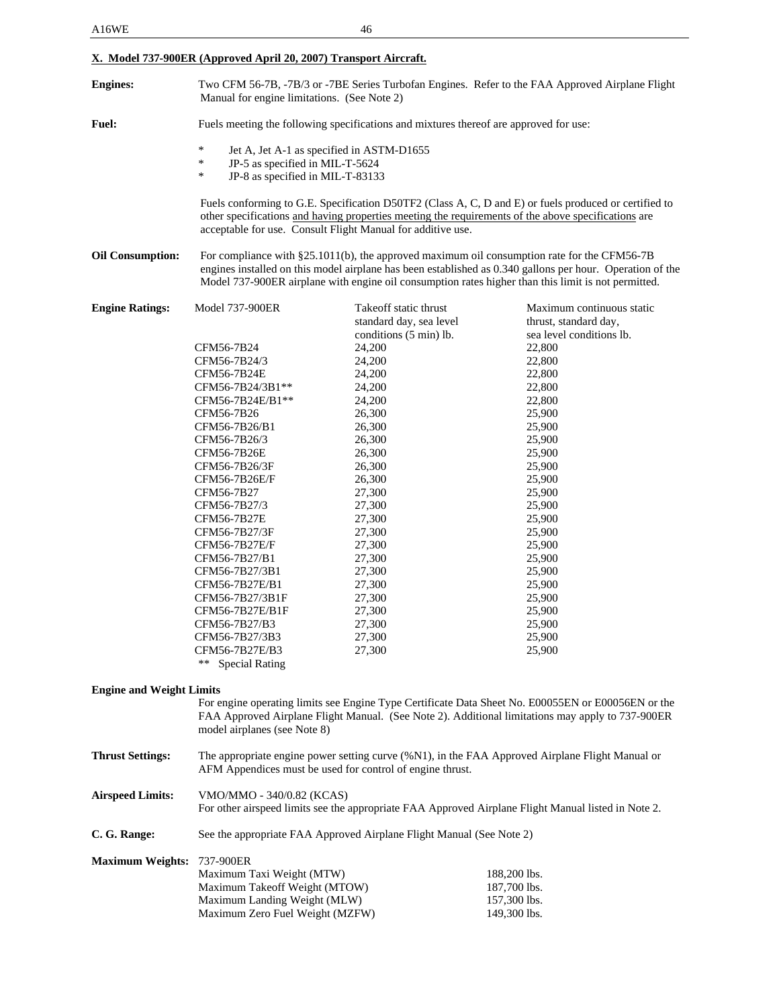# **X. Model 737-900ER (Approved April 20, 2007) Transport Aircraft.**

| <b>Fuel:</b><br>$\ast$<br>Jet A, Jet A-1 as specified in ASTM-D1655<br>$\ast$<br>JP-5 as specified in MIL-T-5624<br>$\ast$<br>JP-8 as specified in MIL-T-83133<br>Fuels conforming to G.E. Specification D50TF2 (Class A, C, D and E) or fuels produced or certified to<br>other specifications and having properties meeting the requirements of the above specifications are<br>acceptable for use. Consult Flight Manual for additive use.<br><b>Oil Consumption:</b><br>Takeoff static thrust<br><b>Engine Ratings:</b><br><b>Model 737-900ER</b><br>standard day, sea level<br>conditions (5 min) lb.<br>CFM56-7B24<br>24,200<br>CFM56-7B24/3<br>24,200<br>CFM56-7B24E<br>24,200<br>CFM56-7B24/3B1**<br>24,200<br>CFM56-7B24E/B1**<br>24,200<br>26,300<br>CFM56-7B26<br>26,300<br>CFM56-7B26/B1 | Two CFM 56-7B, -7B/3 or -7BE Series Turbofan Engines. Refer to the FAA Approved Airplane Flight<br>Manual for engine limitations. (See Note 2)                                                                                                                                                                  |  |  |
|------------------------------------------------------------------------------------------------------------------------------------------------------------------------------------------------------------------------------------------------------------------------------------------------------------------------------------------------------------------------------------------------------------------------------------------------------------------------------------------------------------------------------------------------------------------------------------------------------------------------------------------------------------------------------------------------------------------------------------------------------------------------------------------------------|-----------------------------------------------------------------------------------------------------------------------------------------------------------------------------------------------------------------------------------------------------------------------------------------------------------------|--|--|
|                                                                                                                                                                                                                                                                                                                                                                                                                                                                                                                                                                                                                                                                                                                                                                                                      | Fuels meeting the following specifications and mixtures thereof are approved for use:                                                                                                                                                                                                                           |  |  |
|                                                                                                                                                                                                                                                                                                                                                                                                                                                                                                                                                                                                                                                                                                                                                                                                      |                                                                                                                                                                                                                                                                                                                 |  |  |
|                                                                                                                                                                                                                                                                                                                                                                                                                                                                                                                                                                                                                                                                                                                                                                                                      |                                                                                                                                                                                                                                                                                                                 |  |  |
|                                                                                                                                                                                                                                                                                                                                                                                                                                                                                                                                                                                                                                                                                                                                                                                                      |                                                                                                                                                                                                                                                                                                                 |  |  |
|                                                                                                                                                                                                                                                                                                                                                                                                                                                                                                                                                                                                                                                                                                                                                                                                      |                                                                                                                                                                                                                                                                                                                 |  |  |
|                                                                                                                                                                                                                                                                                                                                                                                                                                                                                                                                                                                                                                                                                                                                                                                                      | For compliance with §25.1011(b), the approved maximum oil consumption rate for the CFM56-7B<br>engines installed on this model airplane has been established as 0.340 gallons per hour. Operation of the<br>Model 737-900ER airplane with engine oil consumption rates higher than this limit is not permitted. |  |  |
|                                                                                                                                                                                                                                                                                                                                                                                                                                                                                                                                                                                                                                                                                                                                                                                                      | Maximum continuous static<br>thrust, standard day,                                                                                                                                                                                                                                                              |  |  |
|                                                                                                                                                                                                                                                                                                                                                                                                                                                                                                                                                                                                                                                                                                                                                                                                      | sea level conditions lb.                                                                                                                                                                                                                                                                                        |  |  |
|                                                                                                                                                                                                                                                                                                                                                                                                                                                                                                                                                                                                                                                                                                                                                                                                      | 22,800                                                                                                                                                                                                                                                                                                          |  |  |
|                                                                                                                                                                                                                                                                                                                                                                                                                                                                                                                                                                                                                                                                                                                                                                                                      | 22,800                                                                                                                                                                                                                                                                                                          |  |  |
|                                                                                                                                                                                                                                                                                                                                                                                                                                                                                                                                                                                                                                                                                                                                                                                                      | 22,800                                                                                                                                                                                                                                                                                                          |  |  |
|                                                                                                                                                                                                                                                                                                                                                                                                                                                                                                                                                                                                                                                                                                                                                                                                      | 22,800                                                                                                                                                                                                                                                                                                          |  |  |
|                                                                                                                                                                                                                                                                                                                                                                                                                                                                                                                                                                                                                                                                                                                                                                                                      | 22,800                                                                                                                                                                                                                                                                                                          |  |  |
|                                                                                                                                                                                                                                                                                                                                                                                                                                                                                                                                                                                                                                                                                                                                                                                                      | 25,900                                                                                                                                                                                                                                                                                                          |  |  |
| 26,300<br>CFM56-7B26/3                                                                                                                                                                                                                                                                                                                                                                                                                                                                                                                                                                                                                                                                                                                                                                               | 25,900<br>25,900                                                                                                                                                                                                                                                                                                |  |  |
| 26,300<br>CFM56-7B26E                                                                                                                                                                                                                                                                                                                                                                                                                                                                                                                                                                                                                                                                                                                                                                                | 25,900                                                                                                                                                                                                                                                                                                          |  |  |
| 26,300<br>CFM56-7B26/3F                                                                                                                                                                                                                                                                                                                                                                                                                                                                                                                                                                                                                                                                                                                                                                              | 25,900                                                                                                                                                                                                                                                                                                          |  |  |
| 26,300<br>CFM56-7B26E/F                                                                                                                                                                                                                                                                                                                                                                                                                                                                                                                                                                                                                                                                                                                                                                              | 25,900                                                                                                                                                                                                                                                                                                          |  |  |
| CFM56-7B27<br>27,300                                                                                                                                                                                                                                                                                                                                                                                                                                                                                                                                                                                                                                                                                                                                                                                 | 25,900                                                                                                                                                                                                                                                                                                          |  |  |
| CFM56-7B27/3<br>27,300                                                                                                                                                                                                                                                                                                                                                                                                                                                                                                                                                                                                                                                                                                                                                                               | 25,900                                                                                                                                                                                                                                                                                                          |  |  |
| 27,300<br>CFM56-7B27E                                                                                                                                                                                                                                                                                                                                                                                                                                                                                                                                                                                                                                                                                                                                                                                | 25,900                                                                                                                                                                                                                                                                                                          |  |  |
| 27,300<br>CFM56-7B27/3F                                                                                                                                                                                                                                                                                                                                                                                                                                                                                                                                                                                                                                                                                                                                                                              | 25,900                                                                                                                                                                                                                                                                                                          |  |  |
| CFM56-7B27E/F<br>27,300                                                                                                                                                                                                                                                                                                                                                                                                                                                                                                                                                                                                                                                                                                                                                                              | 25,900                                                                                                                                                                                                                                                                                                          |  |  |
| 27,300<br>CFM56-7B27/B1                                                                                                                                                                                                                                                                                                                                                                                                                                                                                                                                                                                                                                                                                                                                                                              | 25,900                                                                                                                                                                                                                                                                                                          |  |  |
| 27,300<br>CFM56-7B27/3B1                                                                                                                                                                                                                                                                                                                                                                                                                                                                                                                                                                                                                                                                                                                                                                             | 25,900                                                                                                                                                                                                                                                                                                          |  |  |
| 27,300<br>CFM56-7B27E/B1                                                                                                                                                                                                                                                                                                                                                                                                                                                                                                                                                                                                                                                                                                                                                                             | 25,900                                                                                                                                                                                                                                                                                                          |  |  |
| CFM56-7B27/3B1F<br>27,300                                                                                                                                                                                                                                                                                                                                                                                                                                                                                                                                                                                                                                                                                                                                                                            | 25,900                                                                                                                                                                                                                                                                                                          |  |  |
| 27,300<br>CFM56-7B27E/B1F<br>CFM56-7B27/B3                                                                                                                                                                                                                                                                                                                                                                                                                                                                                                                                                                                                                                                                                                                                                           | 25,900<br>25,900                                                                                                                                                                                                                                                                                                |  |  |
| 27,300<br>CFM56-7B27/3B3<br>27,300                                                                                                                                                                                                                                                                                                                                                                                                                                                                                                                                                                                                                                                                                                                                                                   | 25,900                                                                                                                                                                                                                                                                                                          |  |  |
| 27,300<br>CFM56-7B27E/B3                                                                                                                                                                                                                                                                                                                                                                                                                                                                                                                                                                                                                                                                                                                                                                             | 25,900                                                                                                                                                                                                                                                                                                          |  |  |
| ** Special Rating                                                                                                                                                                                                                                                                                                                                                                                                                                                                                                                                                                                                                                                                                                                                                                                    |                                                                                                                                                                                                                                                                                                                 |  |  |
| <b>Engine and Weight Limits</b>                                                                                                                                                                                                                                                                                                                                                                                                                                                                                                                                                                                                                                                                                                                                                                      |                                                                                                                                                                                                                                                                                                                 |  |  |
| For engine operating limits see Engine Type Certificate Data Sheet No. E00055EN or E00056EN or the<br>FAA Approved Airplane Flight Manual. (See Note 2). Additional limitations may apply to 737-900ER<br>model airplanes (see Note 8)                                                                                                                                                                                                                                                                                                                                                                                                                                                                                                                                                               |                                                                                                                                                                                                                                                                                                                 |  |  |
| <b>Thrust Settings:</b>                                                                                                                                                                                                                                                                                                                                                                                                                                                                                                                                                                                                                                                                                                                                                                              | The appropriate engine power setting curve (%N1), in the FAA Approved Airplane Flight Manual or<br>AFM Appendices must be used for control of engine thrust.                                                                                                                                                    |  |  |
| <b>Airspeed Limits:</b><br>VMO/MMO - 340/0.82 (KCAS)                                                                                                                                                                                                                                                                                                                                                                                                                                                                                                                                                                                                                                                                                                                                                 | For other airspeed limits see the appropriate FAA Approved Airplane Flight Manual listed in Note 2.                                                                                                                                                                                                             |  |  |
| C. G. Range:<br>See the appropriate FAA Approved Airplane Flight Manual (See Note 2)                                                                                                                                                                                                                                                                                                                                                                                                                                                                                                                                                                                                                                                                                                                 |                                                                                                                                                                                                                                                                                                                 |  |  |
| 737-900ER<br><b>Maximum Weights:</b><br>Maximum Taxi Weight (MTW)<br>Maximum Takeoff Weight (MTOW)<br>Maximum Landing Weight (MLW)<br>Maximum Zero Fuel Weight (MZFW)                                                                                                                                                                                                                                                                                                                                                                                                                                                                                                                                                                                                                                | 188,200 lbs.<br>187,700 lbs.<br>157,300 lbs.<br>149,300 lbs.                                                                                                                                                                                                                                                    |  |  |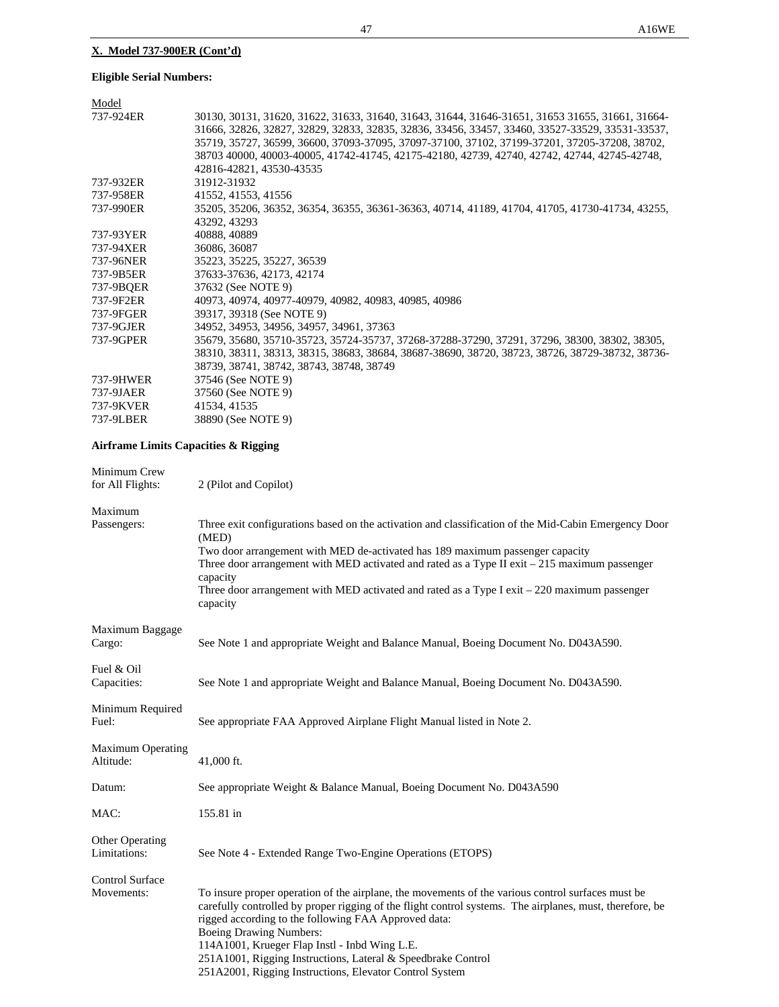# **X. Model 737-900ER (Cont'd)**

# **Eligible Serial Numbers:**

| Model     |                                                                                                 |
|-----------|-------------------------------------------------------------------------------------------------|
| 737-924ER | 30130, 30131, 31620, 31622, 31633, 31640, 31643, 31644, 31646-31651, 31653 31655, 31661, 31664- |
|           | 31666, 32826, 32827, 32829, 32833, 32835, 32836, 33456, 33457, 33460, 33527-33529, 33531-33537, |
|           | 35719, 35727, 36599, 36600, 37093-37095, 37097-37100, 37102, 37199-37201, 37205-37208, 38702,   |
|           | 38703 40000, 40003-40005, 41742-41745, 42175-42180, 42739, 42740, 42742, 42744, 42745-42748,    |
|           | 42816-42821, 43530-43535                                                                        |
| 737-932ER | 31912-31932                                                                                     |
| 737-958ER | 41552, 41553, 41556                                                                             |
| 737-990ER | 35205, 35206, 36352, 36354, 36355, 36361-36363, 40714, 41189, 41704, 41705, 41730-41734, 43255, |
|           | 43292, 43293                                                                                    |
| 737-93YER | 40888, 40889                                                                                    |
| 737-94XER | 36086, 36087                                                                                    |
| 737-96NER | 35223, 35225, 35227, 36539                                                                      |
| 737-9B5ER | 37633-37636, 42173, 42174                                                                       |
| 737-9BOER | 37632 (See NOTE 9)                                                                              |
| 737-9F2ER | 40973, 40974, 40977-40979, 40982, 40983, 40985, 40986                                           |
| 737-9FGER | 39317, 39318 (See NOTE 9)                                                                       |
| 737-9GJER | 34952, 34953, 34956, 34957, 34961, 37363                                                        |
| 737-9GPER | 35679, 35680, 35710-35723, 35724-35737, 37268-37288-37290, 37291, 37296, 38300, 38302, 38305,   |
|           | 38310, 38311, 38313, 38315, 38683, 38684, 38687-38690, 38720, 38723, 38726, 38729-38732, 38736- |
|           | 38739, 38741, 38742, 38743, 38748, 38749                                                        |
| 737-9HWER | 37546 (See NOTE 9)                                                                              |
| 737-9JAER | 37560 (See NOTE 9)                                                                              |
| 737-9KVER | 41534, 41535                                                                                    |
| 737-9LBER | 38890 (See NOTE 9)                                                                              |
|           |                                                                                                 |

# **Airframe Limits Capacities & Rigging**

| Minimum Crew<br>for All Flights:       | 2 (Pilot and Copilot)                                                                                                                                                                                                                                                                                                                                                                                                                                                               |
|----------------------------------------|-------------------------------------------------------------------------------------------------------------------------------------------------------------------------------------------------------------------------------------------------------------------------------------------------------------------------------------------------------------------------------------------------------------------------------------------------------------------------------------|
| Maximum<br>Passengers:                 | Three exit configurations based on the activation and classification of the Mid-Cabin Emergency Door<br>(MED)<br>Two door arrangement with MED de-activated has 189 maximum passenger capacity<br>Three door arrangement with MED activated and rated as a Type II exit $-215$ maximum passenger<br>capacity<br>Three door arrangement with MED activated and rated as a Type I exit - 220 maximum passenger<br>capacity                                                            |
| Maximum Baggage<br>Cargo:              | See Note 1 and appropriate Weight and Balance Manual, Boeing Document No. D043A590.                                                                                                                                                                                                                                                                                                                                                                                                 |
| Fuel & Oil<br>Capacities:              | See Note 1 and appropriate Weight and Balance Manual, Boeing Document No. D043A590.                                                                                                                                                                                                                                                                                                                                                                                                 |
| Minimum Required<br>Fuel:              | See appropriate FAA Approved Airplane Flight Manual listed in Note 2.                                                                                                                                                                                                                                                                                                                                                                                                               |
| <b>Maximum Operating</b><br>Altitude:  | 41,000 ft.                                                                                                                                                                                                                                                                                                                                                                                                                                                                          |
| Datum:                                 | See appropriate Weight & Balance Manual, Boeing Document No. D043A590                                                                                                                                                                                                                                                                                                                                                                                                               |
| MAC:                                   | 155.81 in                                                                                                                                                                                                                                                                                                                                                                                                                                                                           |
| <b>Other Operating</b><br>Limitations: | See Note 4 - Extended Range Two-Engine Operations (ETOPS)                                                                                                                                                                                                                                                                                                                                                                                                                           |
| <b>Control Surface</b><br>Movements:   | To insure proper operation of the airplane, the movements of the various control surfaces must be<br>carefully controlled by proper rigging of the flight control systems. The airplanes, must, therefore, be<br>rigged according to the following FAA Approved data:<br><b>Boeing Drawing Numbers:</b><br>114A1001, Krueger Flap Instl - Inbd Wing L.E.<br>251A1001, Rigging Instructions, Lateral & Speedbrake Control<br>251A2001, Rigging Instructions, Elevator Control System |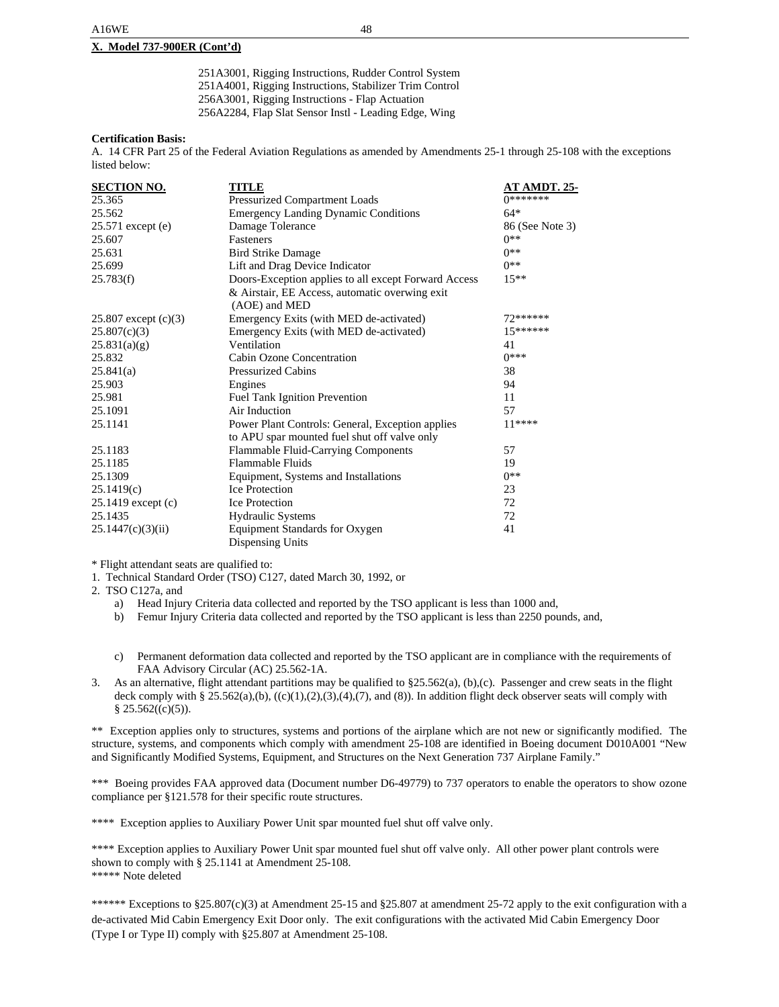### **X. Model 737-900ER (Cont'd)**

251A3001, Rigging Instructions, Rudder Control System 251A4001, Rigging Instructions, Stabilizer Trim Control 256A3001, Rigging Instructions - Flap Actuation 256A2284, Flap Slat Sensor Instl - Leading Edge, Wing

### **Certification Basis:**

A. 14 CFR Part 25 of the Federal Aviation Regulations as amended by Amendments 25-1 through 25-108 with the exceptions listed below:

| <b>SECTION NO.</b>     | TITLE                                                | AT AMDT. 25-    |
|------------------------|------------------------------------------------------|-----------------|
| 25.365                 | Pressurized Compartment Loads                        | 0*******        |
| 25.562                 | <b>Emergency Landing Dynamic Conditions</b>          | $64*$           |
| 25.571 except (e)      | Damage Tolerance                                     | 86 (See Note 3) |
| 25.607                 | <b>Fasteners</b>                                     | $0**$           |
| 25.631                 | <b>Bird Strike Damage</b>                            | $0**$           |
| 25.699                 | Lift and Drag Device Indicator                       | $0**$           |
| 25.783(f)              | Doors-Exception applies to all except Forward Access | $15**$          |
|                        | & Airstair, EE Access, automatic overwing exit       |                 |
|                        | (AOE) and MED                                        |                 |
| 25.807 except $(c)(3)$ | Emergency Exits (with MED de-activated)              | 72******        |
| 25.807(c)(3)           | Emergency Exits (with MED de-activated)              | 15******        |
| 25.831(a)(g)           | Ventilation                                          | 41              |
| 25.832                 | Cabin Ozone Concentration                            | $0***$          |
| 25.841(a)              | <b>Pressurized Cabins</b>                            | 38              |
| 25.903                 | Engines                                              | 94              |
| 25.981                 | Fuel Tank Ignition Prevention                        | 11              |
| 25.1091                | Air Induction                                        | 57              |
| 25.1141                | Power Plant Controls: General, Exception applies     | $11***$         |
|                        | to APU spar mounted fuel shut off valve only         |                 |
| 25.1183                | Flammable Fluid-Carrying Components                  | 57              |
| 25.1185                | <b>Flammable Fluids</b>                              | 19              |
| 25.1309                | Equipment, Systems and Installations                 | $0**$           |
| 25.1419(c)             | <b>Ice Protection</b>                                | 23              |
| 25.1419 except (c)     | <b>Ice Protection</b>                                | 72              |
| 25.1435                | <b>Hydraulic Systems</b>                             | 72              |
| 25.1447(c)(3)(ii)      | Equipment Standards for Oxygen                       | 41              |
|                        | Dispensing Units                                     |                 |

\* Flight attendant seats are qualified to:

1. Technical Standard Order (TSO) C127, dated March 30, 1992, or

2. TSO C127a, and

- a) Head Injury Criteria data collected and reported by the TSO applicant is less than 1000 and,
- b) Femur Injury Criteria data collected and reported by the TSO applicant is less than 2250 pounds, and,
- c) Permanent deformation data collected and reported by the TSO applicant are in compliance with the requirements of FAA Advisory Circular (AC) 25.562-1A.
- 3. As an alternative, flight attendant partitions may be qualified to §25.562(a), (b),(c). Passenger and crew seats in the flight deck comply with § 25.562(a),(b),  $((c)(1),(2),(3),(4),(7))$ , and (8)). In addition flight deck observer seats will comply with  $§$  25.562((c)(5)).

\*\* Exception applies only to structures, systems and portions of the airplane which are not new or significantly modified. The structure, systems, and components which comply with amendment 25-108 are identified in Boeing document D010A001 "New and Significantly Modified Systems, Equipment, and Structures on the Next Generation 737 Airplane Family."

\*\*\* Boeing provides FAA approved data (Document number D6-49779) to 737 operators to enable the operators to show ozone compliance per §121.578 for their specific route structures.

\*\*\*\* Exception applies to Auxiliary Power Unit spar mounted fuel shut off valve only.

\*\*\*\* Exception applies to Auxiliary Power Unit spar mounted fuel shut off valve only. All other power plant controls were shown to comply with § 25.1141 at Amendment 25-108. \*\*\*\*\* Note deleted

\*\*\*\*\*\* Exceptions to §25.807(c)(3) at Amendment 25-15 and §25.807 at amendment 25-72 apply to the exit configuration with a de-activated Mid Cabin Emergency Exit Door only. The exit configurations with the activated Mid Cabin Emergency Door (Type I or Type II) comply with §25.807 at Amendment 25-108.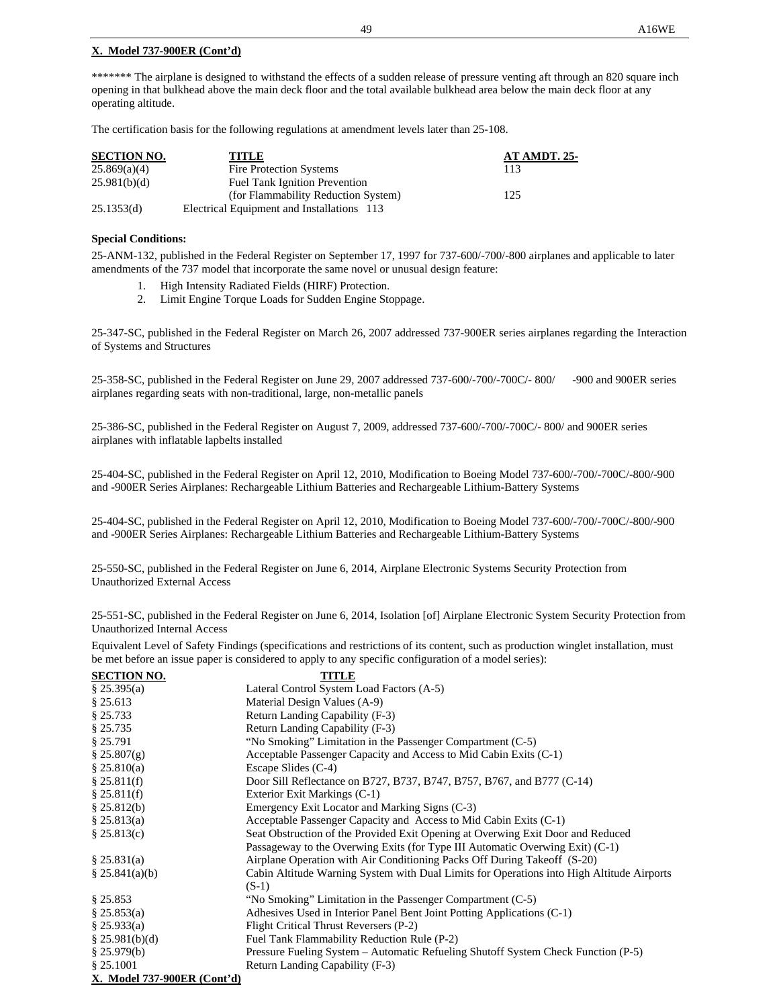### **X. Model 737-900ER (Cont'd)**

\*\*\*\*\*\* The airplane is designed to withstand the effects of a sudden release of pressure venting aft through an 820 square inch opening in that bulkhead above the main deck floor and the total available bulkhead area below the main deck floor at any operating altitude.

The certification basis for the following regulations at amendment levels later than 25-108.

| <b>SECTION NO.</b> | TITLE                                      | <b>AT AMDT. 25-</b> |
|--------------------|--------------------------------------------|---------------------|
| 25.869(a)(4)       | Fire Protection Systems                    | 113                 |
| 25.981(b)(d)       | <b>Fuel Tank Ignition Prevention</b>       |                     |
|                    | (for Flammability Reduction System)        | 125                 |
| 25.1353(d)         | Electrical Equipment and Installations 113 |                     |

### **Special Conditions:**

25-ANM-132, published in the Federal Register on September 17, 1997 for 737-600/-700/-800 airplanes and applicable to later amendments of the 737 model that incorporate the same novel or unusual design feature:

- 1. High Intensity Radiated Fields (HIRF) Protection.
- 2. Limit Engine Torque Loads for Sudden Engine Stoppage.

25-347-SC, published in the Federal Register on March 26, 2007 addressed 737-900ER series airplanes regarding the Interaction of Systems and Structures

25-358-SC, published in the Federal Register on June 29, 2007 addressed 737-600/-700/-700C/- 800/ -900 and 900ER series airplanes regarding seats with non-traditional, large, non-metallic panels

25-386-SC, published in the Federal Register on August 7, 2009, addressed 737-600/-700/-700C/- 800/ and 900ER series airplanes with inflatable lapbelts installed

25-404-SC, published in the Federal Register on April 12, 2010, Modification to Boeing Model 737-600/-700/-700C/-800/-900 and -900ER Series Airplanes: Rechargeable Lithium Batteries and Rechargeable Lithium-Battery Systems

25-404-SC, published in the Federal Register on April 12, 2010, Modification to Boeing Model 737-600/-700/-700C/-800/-900 and -900ER Series Airplanes: Rechargeable Lithium Batteries and Rechargeable Lithium-Battery Systems

25-550-SC, published in the Federal Register on June 6, 2014, Airplane Electronic Systems Security Protection from Unauthorized External Access

25-551-SC, published in the Federal Register on June 6, 2014, Isolation [of] Airplane Electronic System Security Protection from Unauthorized Internal Access

Equivalent Level of Safety Findings (specifications and restrictions of its content, such as production winglet installation, must be met before an issue paper is considered to apply to any specific configuration of a model series):

| <b>SECTION NO.</b>                | <b>TITLE</b>                                                                              |
|-----------------------------------|-------------------------------------------------------------------------------------------|
| \$25.395(a)                       | Lateral Control System Load Factors (A-5)                                                 |
| \$25.613                          | Material Design Values (A-9)                                                              |
| § 25.733                          | Return Landing Capability (F-3)                                                           |
| § 25.735                          | Return Landing Capability (F-3)                                                           |
| \$25.791                          | "No Smoking" Limitation in the Passenger Compartment (C-5)                                |
| $\S 25.807(g)$                    | Acceptable Passenger Capacity and Access to Mid Cabin Exits (C-1)                         |
| \$25.810(a)                       | Escape Slides $(C-4)$                                                                     |
| \$25.811(f)                       | Door Sill Reflectance on B727, B737, B747, B757, B767, and B777 (C-14)                    |
| \$25.811(f)                       | Exterior Exit Markings (C-1)                                                              |
| \$25.812(b)                       | Emergency Exit Locator and Marking Signs (C-3)                                            |
| \$25.813(a)                       | Acceptable Passenger Capacity and Access to Mid Cabin Exits (C-1)                         |
| \$25.813(c)                       | Seat Obstruction of the Provided Exit Opening at Overwing Exit Door and Reduced           |
|                                   | Passageway to the Overwing Exits (for Type III Automatic Overwing Exit) (C-1)             |
| \$25.831(a)                       | Airplane Operation with Air Conditioning Packs Off During Takeoff (S-20)                  |
| \$25.841(a)(b)                    | Cabin Altitude Warning System with Dual Limits for Operations into High Altitude Airports |
|                                   | $(S-1)$                                                                                   |
| \$25.853                          | "No Smoking" Limitation in the Passenger Compartment (C-5)                                |
| \$25.853(a)                       | Adhesives Used in Interior Panel Bent Joint Potting Applications (C-1)                    |
| \$25.933(a)                       | Flight Critical Thrust Reversers (P-2)                                                    |
| \$25.981(b)(d)                    | Fuel Tank Flammability Reduction Rule (P-2)                                               |
| \$25.979(b)                       | Pressure Fueling System – Automatic Refueling Shutoff System Check Function (P-5)         |
| \$25.1001                         | Return Landing Capability (F-3)                                                           |
| $V$ Medal 727 000ED $(C_{ext}/J)$ |                                                                                           |

**X. Model 737-900ER (Cont'd)**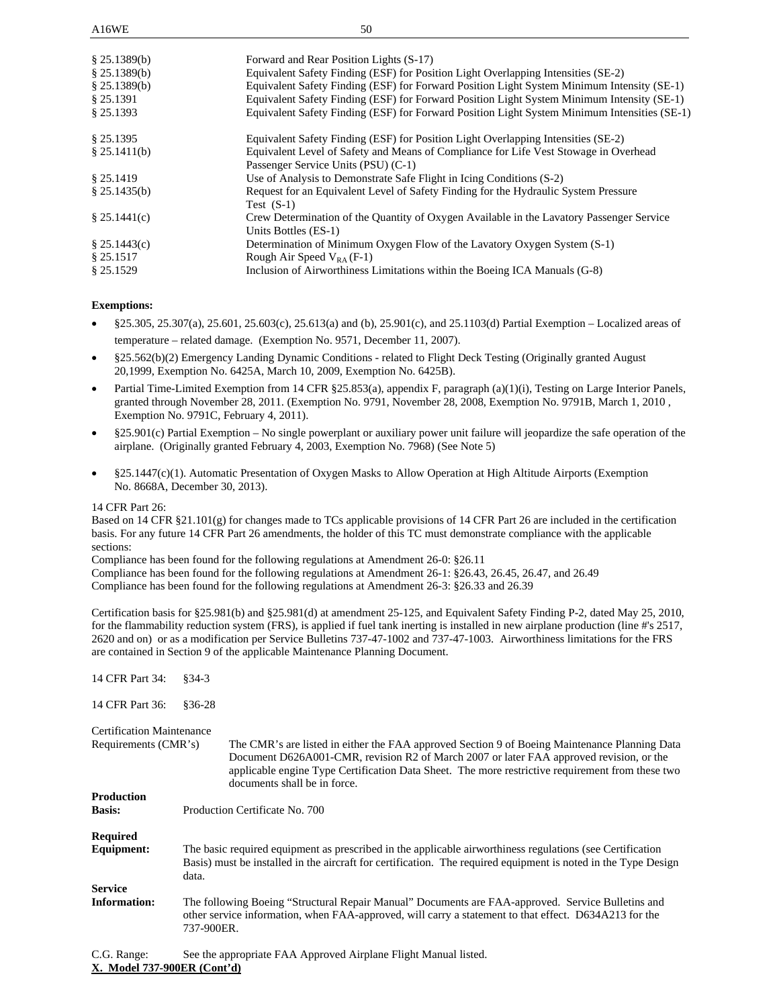| \$25.1389(b)<br>\$25.1389(b)<br>\$25.1389(b)<br>\$25.1391<br>\$25.1393 | Forward and Rear Position Lights (S-17)<br>Equivalent Safety Finding (ESF) for Position Light Overlapping Intensities (SE-2)<br>Equivalent Safety Finding (ESF) for Forward Position Light System Minimum Intensity (SE-1)<br>Equivalent Safety Finding (ESF) for Forward Position Light System Minimum Intensity (SE-1)<br>Equivalent Safety Finding (ESF) for Forward Position Light System Minimum Intensities (SE-1) |
|------------------------------------------------------------------------|--------------------------------------------------------------------------------------------------------------------------------------------------------------------------------------------------------------------------------------------------------------------------------------------------------------------------------------------------------------------------------------------------------------------------|
| \$25.1395                                                              | Equivalent Safety Finding (ESF) for Position Light Overlapping Intensities (SE-2)                                                                                                                                                                                                                                                                                                                                        |
| $§$ 25.1411(b)                                                         | Equivalent Level of Safety and Means of Compliance for Life Vest Stowage in Overhead<br>Passenger Service Units (PSU) (C-1)                                                                                                                                                                                                                                                                                              |
| \$25.1419                                                              | Use of Analysis to Demonstrate Safe Flight in Icing Conditions (S-2)                                                                                                                                                                                                                                                                                                                                                     |
| \$25.1435(b)                                                           | Request for an Equivalent Level of Safety Finding for the Hydraulic System Pressure<br>Test $(S-1)$                                                                                                                                                                                                                                                                                                                      |
| \$25.1441(c)                                                           | Crew Determination of the Quantity of Oxygen Available in the Lavatory Passenger Service<br>Units Bottles (ES-1)                                                                                                                                                                                                                                                                                                         |
| \$25.1443(c)                                                           | Determination of Minimum Oxygen Flow of the Lavatory Oxygen System (S-1)                                                                                                                                                                                                                                                                                                                                                 |
| \$25.1517                                                              | Rough Air Speed $V_{RA}$ (F-1)                                                                                                                                                                                                                                                                                                                                                                                           |
| § 25.1529                                                              | Inclusion of Airworthiness Limitations within the Boeing ICA Manuals (G-8)                                                                                                                                                                                                                                                                                                                                               |

### **Exemptions:**

- §25.305, 25.307(a), 25.601, 25.603(c), 25.613(a) and (b), 25.901(c), and 25.1103(d) Partial Exemption Localized areas of temperature – related damage. (Exemption No. 9571, December 11, 2007).
- §25.562(b)(2) Emergency Landing Dynamic Conditions related to Flight Deck Testing (Originally granted August 20,1999, Exemption No. 6425A, March 10, 2009, Exemption No. 6425B).
- Partial Time-Limited Exemption from 14 CFR §25.853(a), appendix F, paragraph (a)(1)(i), Testing on Large Interior Panels, granted through November 28, 2011. (Exemption No. 9791, November 28, 2008, Exemption No. 9791B, March 1, 2010 , Exemption No. 9791C, February 4, 2011).
- §25.901(c) Partial Exemption No single powerplant or auxiliary power unit failure will jeopardize the safe operation of the airplane. (Originally granted February 4, 2003, Exemption No. 7968) (See Note 5)
- §25.1447(c)(1). Automatic Presentation of Oxygen Masks to Allow Operation at High Altitude Airports (Exemption No. 8668A, December 30, 2013).

### 14 CFR Part 26:

Based on 14 CFR §21.101(g) for changes made to TCs applicable provisions of 14 CFR Part 26 are included in the certification basis. For any future 14 CFR Part 26 amendments, the holder of this TC must demonstrate compliance with the applicable sections:

Compliance has been found for the following regulations at Amendment 26-0: §26.11

Compliance has been found for the following regulations at Amendment 26-1: §26.43, 26.45, 26.47, and 26.49 Compliance has been found for the following regulations at Amendment 26-3: §26.33 and 26.39

Certification basis for §25.981(b) and §25.981(d) at amendment 25-125, and Equivalent Safety Finding P-2, dated May 25, 2010, for the flammability reduction system (FRS), is applied if fuel tank inerting is installed in new airplane production (line #'s 2517, 2620 and on) or as a modification per Service Bulletins 737-47-1002 and 737-47-1003. Airworthiness limitations for the FRS are contained in Section 9 of the applicable Maintenance Planning Document.

| 14 CFR Part 34:                  | $§34-3$                                                                                                                                                                                                                                                                                                                      |  |
|----------------------------------|------------------------------------------------------------------------------------------------------------------------------------------------------------------------------------------------------------------------------------------------------------------------------------------------------------------------------|--|
| 14 CFR Part 36:                  | $§36-28$                                                                                                                                                                                                                                                                                                                     |  |
| <b>Certification Maintenance</b> |                                                                                                                                                                                                                                                                                                                              |  |
| Requirements (CMR's)             | The CMR's are listed in either the FAA approved Section 9 of Boeing Maintenance Planning Data<br>Document D626A001-CMR, revision R2 of March 2007 or later FAA approved revision, or the<br>applicable engine Type Certification Data Sheet. The more restrictive requirement from these two<br>documents shall be in force. |  |
| <b>Production</b>                |                                                                                                                                                                                                                                                                                                                              |  |
| <b>Basis:</b>                    | Production Certificate No. 700                                                                                                                                                                                                                                                                                               |  |
| <b>Required</b>                  |                                                                                                                                                                                                                                                                                                                              |  |
| Equipment:                       | The basic required equipment as prescribed in the applicable airworthiness regulations (see Certification<br>Basis) must be installed in the aircraft for certification. The required equipment is noted in the Type Design<br>data.                                                                                         |  |
| <b>Service</b>                   |                                                                                                                                                                                                                                                                                                                              |  |
| <b>Information:</b>              | The following Boeing "Structural Repair Manual" Documents are FAA-approved. Service Bulletins and<br>other service information, when FAA-approved, will carry a statement to that effect. D634A213 for the<br>737-900ER.                                                                                                     |  |
| C.G. Range:                      | See the appropriate FAA Approved Airplane Flight Manual listed.                                                                                                                                                                                                                                                              |  |

**X. Model 737-900ER (Cont'd)**